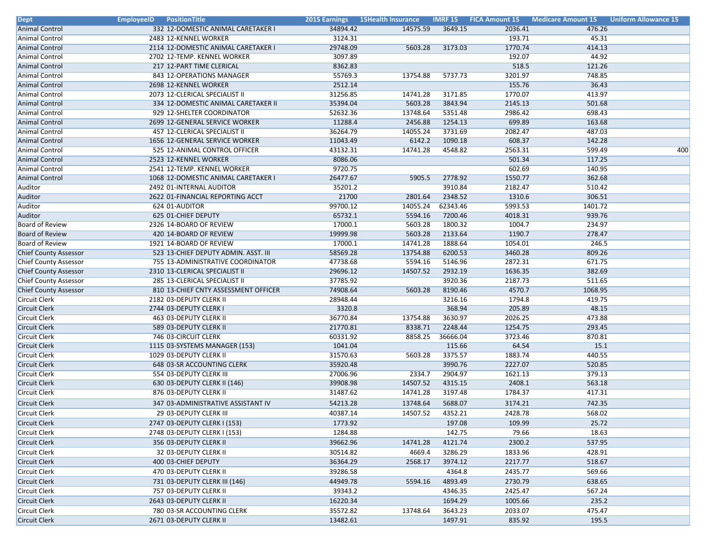| <b>Animal Control</b><br>3649.15<br>332 12-DOMESTIC ANIMAL CARETAKER I<br>34894.42<br>14575.59<br>2036.41<br>476.26<br><b>Animal Control</b><br>3124.31<br>193.71<br>45.31<br>2483 12-KENNEL WORKER<br>1770.74<br>29748.09<br>414.13<br><b>Animal Control</b><br>2114 12-DOMESTIC ANIMAL CARETAKER I<br>5603.28<br>3173.03<br>3097.89<br>192.07<br>44.92<br>Animal Control<br>2702 12-TEMP. KENNEL WORKER<br>8362.83<br>518.5<br><b>Animal Control</b><br>217 12-PART TIME CLERICAL<br>121.26<br>55769.3<br>3201.97<br>748.85<br><b>Animal Control</b><br>843 12-OPERATIONS MANAGER<br>13754.88<br>5737.73<br>2512.14<br>155.76<br>36.43<br><b>Animal Control</b><br>2698 12-KENNEL WORKER<br>31256.85<br>3171.85<br>1770.07<br>413.97<br><b>Animal Control</b><br>2073 12-CLERICAL SPECIALIST II<br>14741.28<br>5603.28<br>3843.94<br>2145.13<br><b>Animal Control</b><br>334 12-DOMESTIC ANIMAL CARETAKER II<br>35394.04<br>501.68<br>929 12-SHELTER COORDINATOR<br>52632.36<br>13748.64<br>5351.48<br>2986.42<br>698.43<br><b>Animal Control</b><br>11288.4<br>2456.88<br>1254.13<br>699.89<br>163.68<br><b>Animal Control</b><br>2699 12-GENERAL SERVICE WORKER<br>36264.79<br>14055.24<br>3731.69<br>2082.47<br>487.03<br><b>Animal Control</b><br>457 12-CLERICAL SPECIALIST II<br>11043.49<br>6142.2<br>1090.18<br>608.37<br>142.28<br><b>Animal Control</b><br>1656 12-GENERAL SERVICE WORKER<br><b>Animal Control</b><br>43132.31<br>14741.28<br>4548.82<br>2563.31<br>599.49<br>525 12-ANIMAL CONTROL OFFICER<br>400<br><b>Animal Control</b><br>8086.06<br>501.34<br>117.25<br>2523 12-KENNEL WORKER<br>9720.75<br>602.69<br>140.95<br><b>Animal Control</b><br>2541 12-TEMP. KENNEL WORKER<br>26477.67<br>1550.77<br>362.68<br><b>Animal Control</b><br>1068 12-DOMESTIC ANIMAL CARETAKER I<br>5905.5<br>2778.92<br>35201.2<br>3910.84<br>2182.47<br>510.42<br>Auditor<br>2492 01-INTERNAL AUDITOR<br>Auditor<br>21700<br>2348.52<br>1310.6<br>306.51<br>2622 01-FINANCIAL REPORTING ACCT<br>2801.64<br>99700.12<br>14055.24<br>62343.46<br>5993.53<br>1401.72<br>Auditor<br>624 01-AUDITOR<br>625 01-CHIEF DEPUTY<br>65732.1<br>5594.16<br>7200.46<br>4018.31<br>939.76<br>Auditor<br><b>Board of Review</b><br>17000.1<br>5603.28<br>1800.32<br>1004.7<br>234.97<br>2326 14-BOARD OF REVIEW<br><b>Board of Review</b><br>19999.98<br>5603.28<br>2133.64<br>1190.7<br>278.47<br>420 14-BOARD OF REVIEW<br><b>Board of Review</b><br>17000.1<br>14741.28<br>1888.64<br>1054.01<br>246.5<br>1921 14-BOARD OF REVIEW<br>58569.28<br>13754.88<br>6200.53<br>3460.28<br>809.26<br><b>Chief County Assessor</b><br>523 13-CHIEF DEPUTY ADMIN. ASST. III<br>2872.31<br>47738.68<br>5594.16<br>5146.96<br>671.75<br><b>Chief County Assessor</b><br>755 13-ADMINISTRATIVE COORDINATOR<br>1636.35<br><b>Chief County Assessor</b><br>29696.12<br>14507.52<br>2932.19<br>382.69<br>2310 13-CLERICAL SPECIALIST II<br>2187.73<br><b>Chief County Assessor</b><br>285 13-CLERICAL SPECIALIST II<br>37785.92<br>3920.36<br>511.65<br>74908.64<br>8190.46<br>4570.7<br>1068.95<br><b>Chief County Assessor</b><br>5603.28<br>810 13-CHIEF CNTY ASSESSMENT OFFICER<br><b>Circuit Clerk</b><br>28948.44<br>3216.16<br>1794.8<br>419.75<br>2182 03-DEPUTY CLERK II<br><b>Circuit Clerk</b><br>3320.8<br>368.94<br>205.89<br>48.15<br>2744 03-DEPUTY CLERK I<br><b>Circuit Clerk</b><br>36770.84<br>3630.97<br>2026.25<br>473.88<br>463 03-DEPUTY CLERK II<br>13754.88<br>21770.81<br>8338.71<br>2248.44<br>1254.75<br>293.45<br>Circuit Clerk<br>589 03-DEPUTY CLERK II<br><b>Circuit Clerk</b><br>60331.92<br>8858.25<br>36666.04<br>3723.46<br>870.81<br>746 03-CIRCUIT CLERK<br>1041.04<br>115.66<br>64.54<br>15.1<br><b>Circuit Clerk</b><br>1115 03-SYSTEMS MANAGER (153)<br>31570.63<br>3375.57<br>1883.74<br>Circuit Clerk<br>1029 03-DEPUTY CLERK II<br>5603.28<br>440.55<br>35920.48<br>3990.76<br>2227.07<br>520.85<br>Circuit Clerk<br>648 03-SR ACCOUNTING CLERK<br><b>Circuit Clerk</b><br>554 03-DEPUTY CLERK III<br>27006.96<br>2334.7<br>2904.97<br>1621.13<br>379.13<br>39908.98<br>14507.52<br>4315.15<br>2408.1<br>563.18<br><b>Circuit Clerk</b><br>630 03-DEPUTY CLERK II (146)<br><b>Circuit Clerk</b><br>31487.62<br>14741.28<br>3197.48<br>1784.37<br>417.31<br>876 03-DEPUTY CLERK II<br><b>Circuit Clerk</b><br>54213.28<br>13748.64<br>5688.07<br>3174.21<br>742.35<br>347 03-ADMINISTRATIVE ASSISTANT IV<br>14507.52<br>4352.21<br>2428.78<br>568.02<br><b>Circuit Clerk</b><br>29 03-DEPUTY CLERK III<br>40387.14<br>Circuit Clerk<br>2747 03-DEPUTY CLERK I (153)<br>1773.92<br>197.08<br>109.99<br>25.72<br>Circuit Clerk<br>2748 03-DEPUTY CLERK I (153)<br>1284.88<br>142.75<br>79.66<br>18.63<br>39662.96<br>4121.74<br>2300.2<br>537.95<br>Circuit Clerk<br>356 03-DEPUTY CLERK II<br>14741.28<br>30514.82<br>3286.29<br>32 03-DEPUTY CLERK II<br>4669.4<br>1833.96<br>428.91<br><b>Circuit Clerk</b><br>36364.29<br>2568.17<br>3974.12<br>2217.77<br>518.67<br>400 03-CHIEF DEPUTY<br>39286.58<br><b>Circuit Clerk</b><br>470 03-DEPUTY CLERK II<br>4364.8<br>2435.77<br>569.66<br>Circuit Clerk<br>44949.78<br>5594.16<br>4893.49<br>2730.79<br>638.65<br>731 03-DEPUTY CLERK III (146)<br>Circuit Clerk<br>757 03-DEPUTY CLERK II<br>39343.2<br>4346.35<br>2425.47<br>567.24<br>Circuit Clerk<br>2643 03-DEPUTY CLERK II<br>16220.34<br>1694.29<br>1005.66<br>235.2<br>35572.82<br>13748.64<br>3643.23<br>2033.07<br>475.47<br>Circuit Clerk<br>780 03-SR ACCOUNTING CLERK<br><b>Circuit Clerk</b><br>13482.61<br>1497.91<br>835.92<br>195.5<br>2671 03-DEPUTY CLERK II | <b>Dept</b>   | <b>EmployeeID</b><br><b>PositionTitle</b> | 2015 Earnings 15Health Insurance | <b>IMRF 15 FICA Amount 15</b> | Medicare Amount 15 | <b>Uniform Allowance 15</b> |
|-----------------------------------------------------------------------------------------------------------------------------------------------------------------------------------------------------------------------------------------------------------------------------------------------------------------------------------------------------------------------------------------------------------------------------------------------------------------------------------------------------------------------------------------------------------------------------------------------------------------------------------------------------------------------------------------------------------------------------------------------------------------------------------------------------------------------------------------------------------------------------------------------------------------------------------------------------------------------------------------------------------------------------------------------------------------------------------------------------------------------------------------------------------------------------------------------------------------------------------------------------------------------------------------------------------------------------------------------------------------------------------------------------------------------------------------------------------------------------------------------------------------------------------------------------------------------------------------------------------------------------------------------------------------------------------------------------------------------------------------------------------------------------------------------------------------------------------------------------------------------------------------------------------------------------------------------------------------------------------------------------------------------------------------------------------------------------------------------------------------------------------------------------------------------------------------------------------------------------------------------------------------------------------------------------------------------------------------------------------------------------------------------------------------------------------------------------------------------------------------------------------------------------------------------------------------------------------------------------------------------------------------------------------------------------------------------------------------------------------------------------------------------------------------------------------------------------------------------------------------------------------------------------------------------------------------------------------------------------------------------------------------------------------------------------------------------------------------------------------------------------------------------------------------------------------------------------------------------------------------------------------------------------------------------------------------------------------------------------------------------------------------------------------------------------------------------------------------------------------------------------------------------------------------------------------------------------------------------------------------------------------------------------------------------------------------------------------------------------------------------------------------------------------------------------------------------------------------------------------------------------------------------------------------------------------------------------------------------------------------------------------------------------------------------------------------------------------------------------------------------------------------------------------------------------------------------------------------------------------------------------------------------------------------------------------------------------------------------------------------------------------------------------------------------------------------------------------------------------------------------------------------------------------------------------------------------------------------------------------------------------------------------------------------------------------------------------------------------------------------------------------------------------------------------------------------------------------------------------------------------------------------------------------------------------------------------------------------------------------------------------------------------------------------------------------------------------------------------------------------------------------------------------------------------------------------------------------------------------------------------------------------------------------------------------------------------------------------------------------------------------------------------------------------------------------------------------------------------------------------------------------------------------------------------------------------------------------------------------------|---------------|-------------------------------------------|----------------------------------|-------------------------------|--------------------|-----------------------------|
|                                                                                                                                                                                                                                                                                                                                                                                                                                                                                                                                                                                                                                                                                                                                                                                                                                                                                                                                                                                                                                                                                                                                                                                                                                                                                                                                                                                                                                                                                                                                                                                                                                                                                                                                                                                                                                                                                                                                                                                                                                                                                                                                                                                                                                                                                                                                                                                                                                                                                                                                                                                                                                                                                                                                                                                                                                                                                                                                                                                                                                                                                                                                                                                                                                                                                                                                                                                                                                                                                                                                                                                                                                                                                                                                                                                                                                                                                                                                                                                                                                                                                                                                                                                                                                                                                                                                                                                                                                                                                                                                                                                                                                                                                                                                                                                                                                                                                                                                                                                                                                                                                                                                                                                                                                                                                                                                                                                                                                                                                                                                                                                                           |               |                                           |                                  |                               |                    |                             |
|                                                                                                                                                                                                                                                                                                                                                                                                                                                                                                                                                                                                                                                                                                                                                                                                                                                                                                                                                                                                                                                                                                                                                                                                                                                                                                                                                                                                                                                                                                                                                                                                                                                                                                                                                                                                                                                                                                                                                                                                                                                                                                                                                                                                                                                                                                                                                                                                                                                                                                                                                                                                                                                                                                                                                                                                                                                                                                                                                                                                                                                                                                                                                                                                                                                                                                                                                                                                                                                                                                                                                                                                                                                                                                                                                                                                                                                                                                                                                                                                                                                                                                                                                                                                                                                                                                                                                                                                                                                                                                                                                                                                                                                                                                                                                                                                                                                                                                                                                                                                                                                                                                                                                                                                                                                                                                                                                                                                                                                                                                                                                                                                           |               |                                           |                                  |                               |                    |                             |
|                                                                                                                                                                                                                                                                                                                                                                                                                                                                                                                                                                                                                                                                                                                                                                                                                                                                                                                                                                                                                                                                                                                                                                                                                                                                                                                                                                                                                                                                                                                                                                                                                                                                                                                                                                                                                                                                                                                                                                                                                                                                                                                                                                                                                                                                                                                                                                                                                                                                                                                                                                                                                                                                                                                                                                                                                                                                                                                                                                                                                                                                                                                                                                                                                                                                                                                                                                                                                                                                                                                                                                                                                                                                                                                                                                                                                                                                                                                                                                                                                                                                                                                                                                                                                                                                                                                                                                                                                                                                                                                                                                                                                                                                                                                                                                                                                                                                                                                                                                                                                                                                                                                                                                                                                                                                                                                                                                                                                                                                                                                                                                                                           |               |                                           |                                  |                               |                    |                             |
|                                                                                                                                                                                                                                                                                                                                                                                                                                                                                                                                                                                                                                                                                                                                                                                                                                                                                                                                                                                                                                                                                                                                                                                                                                                                                                                                                                                                                                                                                                                                                                                                                                                                                                                                                                                                                                                                                                                                                                                                                                                                                                                                                                                                                                                                                                                                                                                                                                                                                                                                                                                                                                                                                                                                                                                                                                                                                                                                                                                                                                                                                                                                                                                                                                                                                                                                                                                                                                                                                                                                                                                                                                                                                                                                                                                                                                                                                                                                                                                                                                                                                                                                                                                                                                                                                                                                                                                                                                                                                                                                                                                                                                                                                                                                                                                                                                                                                                                                                                                                                                                                                                                                                                                                                                                                                                                                                                                                                                                                                                                                                                                                           |               |                                           |                                  |                               |                    |                             |
|                                                                                                                                                                                                                                                                                                                                                                                                                                                                                                                                                                                                                                                                                                                                                                                                                                                                                                                                                                                                                                                                                                                                                                                                                                                                                                                                                                                                                                                                                                                                                                                                                                                                                                                                                                                                                                                                                                                                                                                                                                                                                                                                                                                                                                                                                                                                                                                                                                                                                                                                                                                                                                                                                                                                                                                                                                                                                                                                                                                                                                                                                                                                                                                                                                                                                                                                                                                                                                                                                                                                                                                                                                                                                                                                                                                                                                                                                                                                                                                                                                                                                                                                                                                                                                                                                                                                                                                                                                                                                                                                                                                                                                                                                                                                                                                                                                                                                                                                                                                                                                                                                                                                                                                                                                                                                                                                                                                                                                                                                                                                                                                                           |               |                                           |                                  |                               |                    |                             |
|                                                                                                                                                                                                                                                                                                                                                                                                                                                                                                                                                                                                                                                                                                                                                                                                                                                                                                                                                                                                                                                                                                                                                                                                                                                                                                                                                                                                                                                                                                                                                                                                                                                                                                                                                                                                                                                                                                                                                                                                                                                                                                                                                                                                                                                                                                                                                                                                                                                                                                                                                                                                                                                                                                                                                                                                                                                                                                                                                                                                                                                                                                                                                                                                                                                                                                                                                                                                                                                                                                                                                                                                                                                                                                                                                                                                                                                                                                                                                                                                                                                                                                                                                                                                                                                                                                                                                                                                                                                                                                                                                                                                                                                                                                                                                                                                                                                                                                                                                                                                                                                                                                                                                                                                                                                                                                                                                                                                                                                                                                                                                                                                           |               |                                           |                                  |                               |                    |                             |
|                                                                                                                                                                                                                                                                                                                                                                                                                                                                                                                                                                                                                                                                                                                                                                                                                                                                                                                                                                                                                                                                                                                                                                                                                                                                                                                                                                                                                                                                                                                                                                                                                                                                                                                                                                                                                                                                                                                                                                                                                                                                                                                                                                                                                                                                                                                                                                                                                                                                                                                                                                                                                                                                                                                                                                                                                                                                                                                                                                                                                                                                                                                                                                                                                                                                                                                                                                                                                                                                                                                                                                                                                                                                                                                                                                                                                                                                                                                                                                                                                                                                                                                                                                                                                                                                                                                                                                                                                                                                                                                                                                                                                                                                                                                                                                                                                                                                                                                                                                                                                                                                                                                                                                                                                                                                                                                                                                                                                                                                                                                                                                                                           |               |                                           |                                  |                               |                    |                             |
|                                                                                                                                                                                                                                                                                                                                                                                                                                                                                                                                                                                                                                                                                                                                                                                                                                                                                                                                                                                                                                                                                                                                                                                                                                                                                                                                                                                                                                                                                                                                                                                                                                                                                                                                                                                                                                                                                                                                                                                                                                                                                                                                                                                                                                                                                                                                                                                                                                                                                                                                                                                                                                                                                                                                                                                                                                                                                                                                                                                                                                                                                                                                                                                                                                                                                                                                                                                                                                                                                                                                                                                                                                                                                                                                                                                                                                                                                                                                                                                                                                                                                                                                                                                                                                                                                                                                                                                                                                                                                                                                                                                                                                                                                                                                                                                                                                                                                                                                                                                                                                                                                                                                                                                                                                                                                                                                                                                                                                                                                                                                                                                                           |               |                                           |                                  |                               |                    |                             |
|                                                                                                                                                                                                                                                                                                                                                                                                                                                                                                                                                                                                                                                                                                                                                                                                                                                                                                                                                                                                                                                                                                                                                                                                                                                                                                                                                                                                                                                                                                                                                                                                                                                                                                                                                                                                                                                                                                                                                                                                                                                                                                                                                                                                                                                                                                                                                                                                                                                                                                                                                                                                                                                                                                                                                                                                                                                                                                                                                                                                                                                                                                                                                                                                                                                                                                                                                                                                                                                                                                                                                                                                                                                                                                                                                                                                                                                                                                                                                                                                                                                                                                                                                                                                                                                                                                                                                                                                                                                                                                                                                                                                                                                                                                                                                                                                                                                                                                                                                                                                                                                                                                                                                                                                                                                                                                                                                                                                                                                                                                                                                                                                           |               |                                           |                                  |                               |                    |                             |
|                                                                                                                                                                                                                                                                                                                                                                                                                                                                                                                                                                                                                                                                                                                                                                                                                                                                                                                                                                                                                                                                                                                                                                                                                                                                                                                                                                                                                                                                                                                                                                                                                                                                                                                                                                                                                                                                                                                                                                                                                                                                                                                                                                                                                                                                                                                                                                                                                                                                                                                                                                                                                                                                                                                                                                                                                                                                                                                                                                                                                                                                                                                                                                                                                                                                                                                                                                                                                                                                                                                                                                                                                                                                                                                                                                                                                                                                                                                                                                                                                                                                                                                                                                                                                                                                                                                                                                                                                                                                                                                                                                                                                                                                                                                                                                                                                                                                                                                                                                                                                                                                                                                                                                                                                                                                                                                                                                                                                                                                                                                                                                                                           |               |                                           |                                  |                               |                    |                             |
|                                                                                                                                                                                                                                                                                                                                                                                                                                                                                                                                                                                                                                                                                                                                                                                                                                                                                                                                                                                                                                                                                                                                                                                                                                                                                                                                                                                                                                                                                                                                                                                                                                                                                                                                                                                                                                                                                                                                                                                                                                                                                                                                                                                                                                                                                                                                                                                                                                                                                                                                                                                                                                                                                                                                                                                                                                                                                                                                                                                                                                                                                                                                                                                                                                                                                                                                                                                                                                                                                                                                                                                                                                                                                                                                                                                                                                                                                                                                                                                                                                                                                                                                                                                                                                                                                                                                                                                                                                                                                                                                                                                                                                                                                                                                                                                                                                                                                                                                                                                                                                                                                                                                                                                                                                                                                                                                                                                                                                                                                                                                                                                                           |               |                                           |                                  |                               |                    |                             |
|                                                                                                                                                                                                                                                                                                                                                                                                                                                                                                                                                                                                                                                                                                                                                                                                                                                                                                                                                                                                                                                                                                                                                                                                                                                                                                                                                                                                                                                                                                                                                                                                                                                                                                                                                                                                                                                                                                                                                                                                                                                                                                                                                                                                                                                                                                                                                                                                                                                                                                                                                                                                                                                                                                                                                                                                                                                                                                                                                                                                                                                                                                                                                                                                                                                                                                                                                                                                                                                                                                                                                                                                                                                                                                                                                                                                                                                                                                                                                                                                                                                                                                                                                                                                                                                                                                                                                                                                                                                                                                                                                                                                                                                                                                                                                                                                                                                                                                                                                                                                                                                                                                                                                                                                                                                                                                                                                                                                                                                                                                                                                                                                           |               |                                           |                                  |                               |                    |                             |
|                                                                                                                                                                                                                                                                                                                                                                                                                                                                                                                                                                                                                                                                                                                                                                                                                                                                                                                                                                                                                                                                                                                                                                                                                                                                                                                                                                                                                                                                                                                                                                                                                                                                                                                                                                                                                                                                                                                                                                                                                                                                                                                                                                                                                                                                                                                                                                                                                                                                                                                                                                                                                                                                                                                                                                                                                                                                                                                                                                                                                                                                                                                                                                                                                                                                                                                                                                                                                                                                                                                                                                                                                                                                                                                                                                                                                                                                                                                                                                                                                                                                                                                                                                                                                                                                                                                                                                                                                                                                                                                                                                                                                                                                                                                                                                                                                                                                                                                                                                                                                                                                                                                                                                                                                                                                                                                                                                                                                                                                                                                                                                                                           |               |                                           |                                  |                               |                    |                             |
|                                                                                                                                                                                                                                                                                                                                                                                                                                                                                                                                                                                                                                                                                                                                                                                                                                                                                                                                                                                                                                                                                                                                                                                                                                                                                                                                                                                                                                                                                                                                                                                                                                                                                                                                                                                                                                                                                                                                                                                                                                                                                                                                                                                                                                                                                                                                                                                                                                                                                                                                                                                                                                                                                                                                                                                                                                                                                                                                                                                                                                                                                                                                                                                                                                                                                                                                                                                                                                                                                                                                                                                                                                                                                                                                                                                                                                                                                                                                                                                                                                                                                                                                                                                                                                                                                                                                                                                                                                                                                                                                                                                                                                                                                                                                                                                                                                                                                                                                                                                                                                                                                                                                                                                                                                                                                                                                                                                                                                                                                                                                                                                                           |               |                                           |                                  |                               |                    |                             |
|                                                                                                                                                                                                                                                                                                                                                                                                                                                                                                                                                                                                                                                                                                                                                                                                                                                                                                                                                                                                                                                                                                                                                                                                                                                                                                                                                                                                                                                                                                                                                                                                                                                                                                                                                                                                                                                                                                                                                                                                                                                                                                                                                                                                                                                                                                                                                                                                                                                                                                                                                                                                                                                                                                                                                                                                                                                                                                                                                                                                                                                                                                                                                                                                                                                                                                                                                                                                                                                                                                                                                                                                                                                                                                                                                                                                                                                                                                                                                                                                                                                                                                                                                                                                                                                                                                                                                                                                                                                                                                                                                                                                                                                                                                                                                                                                                                                                                                                                                                                                                                                                                                                                                                                                                                                                                                                                                                                                                                                                                                                                                                                                           |               |                                           |                                  |                               |                    |                             |
|                                                                                                                                                                                                                                                                                                                                                                                                                                                                                                                                                                                                                                                                                                                                                                                                                                                                                                                                                                                                                                                                                                                                                                                                                                                                                                                                                                                                                                                                                                                                                                                                                                                                                                                                                                                                                                                                                                                                                                                                                                                                                                                                                                                                                                                                                                                                                                                                                                                                                                                                                                                                                                                                                                                                                                                                                                                                                                                                                                                                                                                                                                                                                                                                                                                                                                                                                                                                                                                                                                                                                                                                                                                                                                                                                                                                                                                                                                                                                                                                                                                                                                                                                                                                                                                                                                                                                                                                                                                                                                                                                                                                                                                                                                                                                                                                                                                                                                                                                                                                                                                                                                                                                                                                                                                                                                                                                                                                                                                                                                                                                                                                           |               |                                           |                                  |                               |                    |                             |
|                                                                                                                                                                                                                                                                                                                                                                                                                                                                                                                                                                                                                                                                                                                                                                                                                                                                                                                                                                                                                                                                                                                                                                                                                                                                                                                                                                                                                                                                                                                                                                                                                                                                                                                                                                                                                                                                                                                                                                                                                                                                                                                                                                                                                                                                                                                                                                                                                                                                                                                                                                                                                                                                                                                                                                                                                                                                                                                                                                                                                                                                                                                                                                                                                                                                                                                                                                                                                                                                                                                                                                                                                                                                                                                                                                                                                                                                                                                                                                                                                                                                                                                                                                                                                                                                                                                                                                                                                                                                                                                                                                                                                                                                                                                                                                                                                                                                                                                                                                                                                                                                                                                                                                                                                                                                                                                                                                                                                                                                                                                                                                                                           |               |                                           |                                  |                               |                    |                             |
|                                                                                                                                                                                                                                                                                                                                                                                                                                                                                                                                                                                                                                                                                                                                                                                                                                                                                                                                                                                                                                                                                                                                                                                                                                                                                                                                                                                                                                                                                                                                                                                                                                                                                                                                                                                                                                                                                                                                                                                                                                                                                                                                                                                                                                                                                                                                                                                                                                                                                                                                                                                                                                                                                                                                                                                                                                                                                                                                                                                                                                                                                                                                                                                                                                                                                                                                                                                                                                                                                                                                                                                                                                                                                                                                                                                                                                                                                                                                                                                                                                                                                                                                                                                                                                                                                                                                                                                                                                                                                                                                                                                                                                                                                                                                                                                                                                                                                                                                                                                                                                                                                                                                                                                                                                                                                                                                                                                                                                                                                                                                                                                                           |               |                                           |                                  |                               |                    |                             |
|                                                                                                                                                                                                                                                                                                                                                                                                                                                                                                                                                                                                                                                                                                                                                                                                                                                                                                                                                                                                                                                                                                                                                                                                                                                                                                                                                                                                                                                                                                                                                                                                                                                                                                                                                                                                                                                                                                                                                                                                                                                                                                                                                                                                                                                                                                                                                                                                                                                                                                                                                                                                                                                                                                                                                                                                                                                                                                                                                                                                                                                                                                                                                                                                                                                                                                                                                                                                                                                                                                                                                                                                                                                                                                                                                                                                                                                                                                                                                                                                                                                                                                                                                                                                                                                                                                                                                                                                                                                                                                                                                                                                                                                                                                                                                                                                                                                                                                                                                                                                                                                                                                                                                                                                                                                                                                                                                                                                                                                                                                                                                                                                           |               |                                           |                                  |                               |                    |                             |
|                                                                                                                                                                                                                                                                                                                                                                                                                                                                                                                                                                                                                                                                                                                                                                                                                                                                                                                                                                                                                                                                                                                                                                                                                                                                                                                                                                                                                                                                                                                                                                                                                                                                                                                                                                                                                                                                                                                                                                                                                                                                                                                                                                                                                                                                                                                                                                                                                                                                                                                                                                                                                                                                                                                                                                                                                                                                                                                                                                                                                                                                                                                                                                                                                                                                                                                                                                                                                                                                                                                                                                                                                                                                                                                                                                                                                                                                                                                                                                                                                                                                                                                                                                                                                                                                                                                                                                                                                                                                                                                                                                                                                                                                                                                                                                                                                                                                                                                                                                                                                                                                                                                                                                                                                                                                                                                                                                                                                                                                                                                                                                                                           |               |                                           |                                  |                               |                    |                             |
|                                                                                                                                                                                                                                                                                                                                                                                                                                                                                                                                                                                                                                                                                                                                                                                                                                                                                                                                                                                                                                                                                                                                                                                                                                                                                                                                                                                                                                                                                                                                                                                                                                                                                                                                                                                                                                                                                                                                                                                                                                                                                                                                                                                                                                                                                                                                                                                                                                                                                                                                                                                                                                                                                                                                                                                                                                                                                                                                                                                                                                                                                                                                                                                                                                                                                                                                                                                                                                                                                                                                                                                                                                                                                                                                                                                                                                                                                                                                                                                                                                                                                                                                                                                                                                                                                                                                                                                                                                                                                                                                                                                                                                                                                                                                                                                                                                                                                                                                                                                                                                                                                                                                                                                                                                                                                                                                                                                                                                                                                                                                                                                                           |               |                                           |                                  |                               |                    |                             |
|                                                                                                                                                                                                                                                                                                                                                                                                                                                                                                                                                                                                                                                                                                                                                                                                                                                                                                                                                                                                                                                                                                                                                                                                                                                                                                                                                                                                                                                                                                                                                                                                                                                                                                                                                                                                                                                                                                                                                                                                                                                                                                                                                                                                                                                                                                                                                                                                                                                                                                                                                                                                                                                                                                                                                                                                                                                                                                                                                                                                                                                                                                                                                                                                                                                                                                                                                                                                                                                                                                                                                                                                                                                                                                                                                                                                                                                                                                                                                                                                                                                                                                                                                                                                                                                                                                                                                                                                                                                                                                                                                                                                                                                                                                                                                                                                                                                                                                                                                                                                                                                                                                                                                                                                                                                                                                                                                                                                                                                                                                                                                                                                           |               |                                           |                                  |                               |                    |                             |
|                                                                                                                                                                                                                                                                                                                                                                                                                                                                                                                                                                                                                                                                                                                                                                                                                                                                                                                                                                                                                                                                                                                                                                                                                                                                                                                                                                                                                                                                                                                                                                                                                                                                                                                                                                                                                                                                                                                                                                                                                                                                                                                                                                                                                                                                                                                                                                                                                                                                                                                                                                                                                                                                                                                                                                                                                                                                                                                                                                                                                                                                                                                                                                                                                                                                                                                                                                                                                                                                                                                                                                                                                                                                                                                                                                                                                                                                                                                                                                                                                                                                                                                                                                                                                                                                                                                                                                                                                                                                                                                                                                                                                                                                                                                                                                                                                                                                                                                                                                                                                                                                                                                                                                                                                                                                                                                                                                                                                                                                                                                                                                                                           |               |                                           |                                  |                               |                    |                             |
|                                                                                                                                                                                                                                                                                                                                                                                                                                                                                                                                                                                                                                                                                                                                                                                                                                                                                                                                                                                                                                                                                                                                                                                                                                                                                                                                                                                                                                                                                                                                                                                                                                                                                                                                                                                                                                                                                                                                                                                                                                                                                                                                                                                                                                                                                                                                                                                                                                                                                                                                                                                                                                                                                                                                                                                                                                                                                                                                                                                                                                                                                                                                                                                                                                                                                                                                                                                                                                                                                                                                                                                                                                                                                                                                                                                                                                                                                                                                                                                                                                                                                                                                                                                                                                                                                                                                                                                                                                                                                                                                                                                                                                                                                                                                                                                                                                                                                                                                                                                                                                                                                                                                                                                                                                                                                                                                                                                                                                                                                                                                                                                                           |               |                                           |                                  |                               |                    |                             |
|                                                                                                                                                                                                                                                                                                                                                                                                                                                                                                                                                                                                                                                                                                                                                                                                                                                                                                                                                                                                                                                                                                                                                                                                                                                                                                                                                                                                                                                                                                                                                                                                                                                                                                                                                                                                                                                                                                                                                                                                                                                                                                                                                                                                                                                                                                                                                                                                                                                                                                                                                                                                                                                                                                                                                                                                                                                                                                                                                                                                                                                                                                                                                                                                                                                                                                                                                                                                                                                                                                                                                                                                                                                                                                                                                                                                                                                                                                                                                                                                                                                                                                                                                                                                                                                                                                                                                                                                                                                                                                                                                                                                                                                                                                                                                                                                                                                                                                                                                                                                                                                                                                                                                                                                                                                                                                                                                                                                                                                                                                                                                                                                           |               |                                           |                                  |                               |                    |                             |
|                                                                                                                                                                                                                                                                                                                                                                                                                                                                                                                                                                                                                                                                                                                                                                                                                                                                                                                                                                                                                                                                                                                                                                                                                                                                                                                                                                                                                                                                                                                                                                                                                                                                                                                                                                                                                                                                                                                                                                                                                                                                                                                                                                                                                                                                                                                                                                                                                                                                                                                                                                                                                                                                                                                                                                                                                                                                                                                                                                                                                                                                                                                                                                                                                                                                                                                                                                                                                                                                                                                                                                                                                                                                                                                                                                                                                                                                                                                                                                                                                                                                                                                                                                                                                                                                                                                                                                                                                                                                                                                                                                                                                                                                                                                                                                                                                                                                                                                                                                                                                                                                                                                                                                                                                                                                                                                                                                                                                                                                                                                                                                                                           |               |                                           |                                  |                               |                    |                             |
|                                                                                                                                                                                                                                                                                                                                                                                                                                                                                                                                                                                                                                                                                                                                                                                                                                                                                                                                                                                                                                                                                                                                                                                                                                                                                                                                                                                                                                                                                                                                                                                                                                                                                                                                                                                                                                                                                                                                                                                                                                                                                                                                                                                                                                                                                                                                                                                                                                                                                                                                                                                                                                                                                                                                                                                                                                                                                                                                                                                                                                                                                                                                                                                                                                                                                                                                                                                                                                                                                                                                                                                                                                                                                                                                                                                                                                                                                                                                                                                                                                                                                                                                                                                                                                                                                                                                                                                                                                                                                                                                                                                                                                                                                                                                                                                                                                                                                                                                                                                                                                                                                                                                                                                                                                                                                                                                                                                                                                                                                                                                                                                                           |               |                                           |                                  |                               |                    |                             |
|                                                                                                                                                                                                                                                                                                                                                                                                                                                                                                                                                                                                                                                                                                                                                                                                                                                                                                                                                                                                                                                                                                                                                                                                                                                                                                                                                                                                                                                                                                                                                                                                                                                                                                                                                                                                                                                                                                                                                                                                                                                                                                                                                                                                                                                                                                                                                                                                                                                                                                                                                                                                                                                                                                                                                                                                                                                                                                                                                                                                                                                                                                                                                                                                                                                                                                                                                                                                                                                                                                                                                                                                                                                                                                                                                                                                                                                                                                                                                                                                                                                                                                                                                                                                                                                                                                                                                                                                                                                                                                                                                                                                                                                                                                                                                                                                                                                                                                                                                                                                                                                                                                                                                                                                                                                                                                                                                                                                                                                                                                                                                                                                           |               |                                           |                                  |                               |                    |                             |
|                                                                                                                                                                                                                                                                                                                                                                                                                                                                                                                                                                                                                                                                                                                                                                                                                                                                                                                                                                                                                                                                                                                                                                                                                                                                                                                                                                                                                                                                                                                                                                                                                                                                                                                                                                                                                                                                                                                                                                                                                                                                                                                                                                                                                                                                                                                                                                                                                                                                                                                                                                                                                                                                                                                                                                                                                                                                                                                                                                                                                                                                                                                                                                                                                                                                                                                                                                                                                                                                                                                                                                                                                                                                                                                                                                                                                                                                                                                                                                                                                                                                                                                                                                                                                                                                                                                                                                                                                                                                                                                                                                                                                                                                                                                                                                                                                                                                                                                                                                                                                                                                                                                                                                                                                                                                                                                                                                                                                                                                                                                                                                                                           |               |                                           |                                  |                               |                    |                             |
|                                                                                                                                                                                                                                                                                                                                                                                                                                                                                                                                                                                                                                                                                                                                                                                                                                                                                                                                                                                                                                                                                                                                                                                                                                                                                                                                                                                                                                                                                                                                                                                                                                                                                                                                                                                                                                                                                                                                                                                                                                                                                                                                                                                                                                                                                                                                                                                                                                                                                                                                                                                                                                                                                                                                                                                                                                                                                                                                                                                                                                                                                                                                                                                                                                                                                                                                                                                                                                                                                                                                                                                                                                                                                                                                                                                                                                                                                                                                                                                                                                                                                                                                                                                                                                                                                                                                                                                                                                                                                                                                                                                                                                                                                                                                                                                                                                                                                                                                                                                                                                                                                                                                                                                                                                                                                                                                                                                                                                                                                                                                                                                                           |               |                                           |                                  |                               |                    |                             |
|                                                                                                                                                                                                                                                                                                                                                                                                                                                                                                                                                                                                                                                                                                                                                                                                                                                                                                                                                                                                                                                                                                                                                                                                                                                                                                                                                                                                                                                                                                                                                                                                                                                                                                                                                                                                                                                                                                                                                                                                                                                                                                                                                                                                                                                                                                                                                                                                                                                                                                                                                                                                                                                                                                                                                                                                                                                                                                                                                                                                                                                                                                                                                                                                                                                                                                                                                                                                                                                                                                                                                                                                                                                                                                                                                                                                                                                                                                                                                                                                                                                                                                                                                                                                                                                                                                                                                                                                                                                                                                                                                                                                                                                                                                                                                                                                                                                                                                                                                                                                                                                                                                                                                                                                                                                                                                                                                                                                                                                                                                                                                                                                           |               |                                           |                                  |                               |                    |                             |
|                                                                                                                                                                                                                                                                                                                                                                                                                                                                                                                                                                                                                                                                                                                                                                                                                                                                                                                                                                                                                                                                                                                                                                                                                                                                                                                                                                                                                                                                                                                                                                                                                                                                                                                                                                                                                                                                                                                                                                                                                                                                                                                                                                                                                                                                                                                                                                                                                                                                                                                                                                                                                                                                                                                                                                                                                                                                                                                                                                                                                                                                                                                                                                                                                                                                                                                                                                                                                                                                                                                                                                                                                                                                                                                                                                                                                                                                                                                                                                                                                                                                                                                                                                                                                                                                                                                                                                                                                                                                                                                                                                                                                                                                                                                                                                                                                                                                                                                                                                                                                                                                                                                                                                                                                                                                                                                                                                                                                                                                                                                                                                                                           |               |                                           |                                  |                               |                    |                             |
|                                                                                                                                                                                                                                                                                                                                                                                                                                                                                                                                                                                                                                                                                                                                                                                                                                                                                                                                                                                                                                                                                                                                                                                                                                                                                                                                                                                                                                                                                                                                                                                                                                                                                                                                                                                                                                                                                                                                                                                                                                                                                                                                                                                                                                                                                                                                                                                                                                                                                                                                                                                                                                                                                                                                                                                                                                                                                                                                                                                                                                                                                                                                                                                                                                                                                                                                                                                                                                                                                                                                                                                                                                                                                                                                                                                                                                                                                                                                                                                                                                                                                                                                                                                                                                                                                                                                                                                                                                                                                                                                                                                                                                                                                                                                                                                                                                                                                                                                                                                                                                                                                                                                                                                                                                                                                                                                                                                                                                                                                                                                                                                                           |               |                                           |                                  |                               |                    |                             |
|                                                                                                                                                                                                                                                                                                                                                                                                                                                                                                                                                                                                                                                                                                                                                                                                                                                                                                                                                                                                                                                                                                                                                                                                                                                                                                                                                                                                                                                                                                                                                                                                                                                                                                                                                                                                                                                                                                                                                                                                                                                                                                                                                                                                                                                                                                                                                                                                                                                                                                                                                                                                                                                                                                                                                                                                                                                                                                                                                                                                                                                                                                                                                                                                                                                                                                                                                                                                                                                                                                                                                                                                                                                                                                                                                                                                                                                                                                                                                                                                                                                                                                                                                                                                                                                                                                                                                                                                                                                                                                                                                                                                                                                                                                                                                                                                                                                                                                                                                                                                                                                                                                                                                                                                                                                                                                                                                                                                                                                                                                                                                                                                           |               |                                           |                                  |                               |                    |                             |
|                                                                                                                                                                                                                                                                                                                                                                                                                                                                                                                                                                                                                                                                                                                                                                                                                                                                                                                                                                                                                                                                                                                                                                                                                                                                                                                                                                                                                                                                                                                                                                                                                                                                                                                                                                                                                                                                                                                                                                                                                                                                                                                                                                                                                                                                                                                                                                                                                                                                                                                                                                                                                                                                                                                                                                                                                                                                                                                                                                                                                                                                                                                                                                                                                                                                                                                                                                                                                                                                                                                                                                                                                                                                                                                                                                                                                                                                                                                                                                                                                                                                                                                                                                                                                                                                                                                                                                                                                                                                                                                                                                                                                                                                                                                                                                                                                                                                                                                                                                                                                                                                                                                                                                                                                                                                                                                                                                                                                                                                                                                                                                                                           |               |                                           |                                  |                               |                    |                             |
|                                                                                                                                                                                                                                                                                                                                                                                                                                                                                                                                                                                                                                                                                                                                                                                                                                                                                                                                                                                                                                                                                                                                                                                                                                                                                                                                                                                                                                                                                                                                                                                                                                                                                                                                                                                                                                                                                                                                                                                                                                                                                                                                                                                                                                                                                                                                                                                                                                                                                                                                                                                                                                                                                                                                                                                                                                                                                                                                                                                                                                                                                                                                                                                                                                                                                                                                                                                                                                                                                                                                                                                                                                                                                                                                                                                                                                                                                                                                                                                                                                                                                                                                                                                                                                                                                                                                                                                                                                                                                                                                                                                                                                                                                                                                                                                                                                                                                                                                                                                                                                                                                                                                                                                                                                                                                                                                                                                                                                                                                                                                                                                                           |               |                                           |                                  |                               |                    |                             |
|                                                                                                                                                                                                                                                                                                                                                                                                                                                                                                                                                                                                                                                                                                                                                                                                                                                                                                                                                                                                                                                                                                                                                                                                                                                                                                                                                                                                                                                                                                                                                                                                                                                                                                                                                                                                                                                                                                                                                                                                                                                                                                                                                                                                                                                                                                                                                                                                                                                                                                                                                                                                                                                                                                                                                                                                                                                                                                                                                                                                                                                                                                                                                                                                                                                                                                                                                                                                                                                                                                                                                                                                                                                                                                                                                                                                                                                                                                                                                                                                                                                                                                                                                                                                                                                                                                                                                                                                                                                                                                                                                                                                                                                                                                                                                                                                                                                                                                                                                                                                                                                                                                                                                                                                                                                                                                                                                                                                                                                                                                                                                                                                           |               |                                           |                                  |                               |                    |                             |
|                                                                                                                                                                                                                                                                                                                                                                                                                                                                                                                                                                                                                                                                                                                                                                                                                                                                                                                                                                                                                                                                                                                                                                                                                                                                                                                                                                                                                                                                                                                                                                                                                                                                                                                                                                                                                                                                                                                                                                                                                                                                                                                                                                                                                                                                                                                                                                                                                                                                                                                                                                                                                                                                                                                                                                                                                                                                                                                                                                                                                                                                                                                                                                                                                                                                                                                                                                                                                                                                                                                                                                                                                                                                                                                                                                                                                                                                                                                                                                                                                                                                                                                                                                                                                                                                                                                                                                                                                                                                                                                                                                                                                                                                                                                                                                                                                                                                                                                                                                                                                                                                                                                                                                                                                                                                                                                                                                                                                                                                                                                                                                                                           |               |                                           |                                  |                               |                    |                             |
|                                                                                                                                                                                                                                                                                                                                                                                                                                                                                                                                                                                                                                                                                                                                                                                                                                                                                                                                                                                                                                                                                                                                                                                                                                                                                                                                                                                                                                                                                                                                                                                                                                                                                                                                                                                                                                                                                                                                                                                                                                                                                                                                                                                                                                                                                                                                                                                                                                                                                                                                                                                                                                                                                                                                                                                                                                                                                                                                                                                                                                                                                                                                                                                                                                                                                                                                                                                                                                                                                                                                                                                                                                                                                                                                                                                                                                                                                                                                                                                                                                                                                                                                                                                                                                                                                                                                                                                                                                                                                                                                                                                                                                                                                                                                                                                                                                                                                                                                                                                                                                                                                                                                                                                                                                                                                                                                                                                                                                                                                                                                                                                                           |               |                                           |                                  |                               |                    |                             |
|                                                                                                                                                                                                                                                                                                                                                                                                                                                                                                                                                                                                                                                                                                                                                                                                                                                                                                                                                                                                                                                                                                                                                                                                                                                                                                                                                                                                                                                                                                                                                                                                                                                                                                                                                                                                                                                                                                                                                                                                                                                                                                                                                                                                                                                                                                                                                                                                                                                                                                                                                                                                                                                                                                                                                                                                                                                                                                                                                                                                                                                                                                                                                                                                                                                                                                                                                                                                                                                                                                                                                                                                                                                                                                                                                                                                                                                                                                                                                                                                                                                                                                                                                                                                                                                                                                                                                                                                                                                                                                                                                                                                                                                                                                                                                                                                                                                                                                                                                                                                                                                                                                                                                                                                                                                                                                                                                                                                                                                                                                                                                                                                           |               |                                           |                                  |                               |                    |                             |
|                                                                                                                                                                                                                                                                                                                                                                                                                                                                                                                                                                                                                                                                                                                                                                                                                                                                                                                                                                                                                                                                                                                                                                                                                                                                                                                                                                                                                                                                                                                                                                                                                                                                                                                                                                                                                                                                                                                                                                                                                                                                                                                                                                                                                                                                                                                                                                                                                                                                                                                                                                                                                                                                                                                                                                                                                                                                                                                                                                                                                                                                                                                                                                                                                                                                                                                                                                                                                                                                                                                                                                                                                                                                                                                                                                                                                                                                                                                                                                                                                                                                                                                                                                                                                                                                                                                                                                                                                                                                                                                                                                                                                                                                                                                                                                                                                                                                                                                                                                                                                                                                                                                                                                                                                                                                                                                                                                                                                                                                                                                                                                                                           |               |                                           |                                  |                               |                    |                             |
|                                                                                                                                                                                                                                                                                                                                                                                                                                                                                                                                                                                                                                                                                                                                                                                                                                                                                                                                                                                                                                                                                                                                                                                                                                                                                                                                                                                                                                                                                                                                                                                                                                                                                                                                                                                                                                                                                                                                                                                                                                                                                                                                                                                                                                                                                                                                                                                                                                                                                                                                                                                                                                                                                                                                                                                                                                                                                                                                                                                                                                                                                                                                                                                                                                                                                                                                                                                                                                                                                                                                                                                                                                                                                                                                                                                                                                                                                                                                                                                                                                                                                                                                                                                                                                                                                                                                                                                                                                                                                                                                                                                                                                                                                                                                                                                                                                                                                                                                                                                                                                                                                                                                                                                                                                                                                                                                                                                                                                                                                                                                                                                                           |               |                                           |                                  |                               |                    |                             |
|                                                                                                                                                                                                                                                                                                                                                                                                                                                                                                                                                                                                                                                                                                                                                                                                                                                                                                                                                                                                                                                                                                                                                                                                                                                                                                                                                                                                                                                                                                                                                                                                                                                                                                                                                                                                                                                                                                                                                                                                                                                                                                                                                                                                                                                                                                                                                                                                                                                                                                                                                                                                                                                                                                                                                                                                                                                                                                                                                                                                                                                                                                                                                                                                                                                                                                                                                                                                                                                                                                                                                                                                                                                                                                                                                                                                                                                                                                                                                                                                                                                                                                                                                                                                                                                                                                                                                                                                                                                                                                                                                                                                                                                                                                                                                                                                                                                                                                                                                                                                                                                                                                                                                                                                                                                                                                                                                                                                                                                                                                                                                                                                           |               |                                           |                                  |                               |                    |                             |
|                                                                                                                                                                                                                                                                                                                                                                                                                                                                                                                                                                                                                                                                                                                                                                                                                                                                                                                                                                                                                                                                                                                                                                                                                                                                                                                                                                                                                                                                                                                                                                                                                                                                                                                                                                                                                                                                                                                                                                                                                                                                                                                                                                                                                                                                                                                                                                                                                                                                                                                                                                                                                                                                                                                                                                                                                                                                                                                                                                                                                                                                                                                                                                                                                                                                                                                                                                                                                                                                                                                                                                                                                                                                                                                                                                                                                                                                                                                                                                                                                                                                                                                                                                                                                                                                                                                                                                                                                                                                                                                                                                                                                                                                                                                                                                                                                                                                                                                                                                                                                                                                                                                                                                                                                                                                                                                                                                                                                                                                                                                                                                                                           |               |                                           |                                  |                               |                    |                             |
|                                                                                                                                                                                                                                                                                                                                                                                                                                                                                                                                                                                                                                                                                                                                                                                                                                                                                                                                                                                                                                                                                                                                                                                                                                                                                                                                                                                                                                                                                                                                                                                                                                                                                                                                                                                                                                                                                                                                                                                                                                                                                                                                                                                                                                                                                                                                                                                                                                                                                                                                                                                                                                                                                                                                                                                                                                                                                                                                                                                                                                                                                                                                                                                                                                                                                                                                                                                                                                                                                                                                                                                                                                                                                                                                                                                                                                                                                                                                                                                                                                                                                                                                                                                                                                                                                                                                                                                                                                                                                                                                                                                                                                                                                                                                                                                                                                                                                                                                                                                                                                                                                                                                                                                                                                                                                                                                                                                                                                                                                                                                                                                                           |               |                                           |                                  |                               |                    |                             |
|                                                                                                                                                                                                                                                                                                                                                                                                                                                                                                                                                                                                                                                                                                                                                                                                                                                                                                                                                                                                                                                                                                                                                                                                                                                                                                                                                                                                                                                                                                                                                                                                                                                                                                                                                                                                                                                                                                                                                                                                                                                                                                                                                                                                                                                                                                                                                                                                                                                                                                                                                                                                                                                                                                                                                                                                                                                                                                                                                                                                                                                                                                                                                                                                                                                                                                                                                                                                                                                                                                                                                                                                                                                                                                                                                                                                                                                                                                                                                                                                                                                                                                                                                                                                                                                                                                                                                                                                                                                                                                                                                                                                                                                                                                                                                                                                                                                                                                                                                                                                                                                                                                                                                                                                                                                                                                                                                                                                                                                                                                                                                                                                           |               |                                           |                                  |                               |                    |                             |
|                                                                                                                                                                                                                                                                                                                                                                                                                                                                                                                                                                                                                                                                                                                                                                                                                                                                                                                                                                                                                                                                                                                                                                                                                                                                                                                                                                                                                                                                                                                                                                                                                                                                                                                                                                                                                                                                                                                                                                                                                                                                                                                                                                                                                                                                                                                                                                                                                                                                                                                                                                                                                                                                                                                                                                                                                                                                                                                                                                                                                                                                                                                                                                                                                                                                                                                                                                                                                                                                                                                                                                                                                                                                                                                                                                                                                                                                                                                                                                                                                                                                                                                                                                                                                                                                                                                                                                                                                                                                                                                                                                                                                                                                                                                                                                                                                                                                                                                                                                                                                                                                                                                                                                                                                                                                                                                                                                                                                                                                                                                                                                                                           | Circuit Clerk |                                           |                                  |                               |                    |                             |
|                                                                                                                                                                                                                                                                                                                                                                                                                                                                                                                                                                                                                                                                                                                                                                                                                                                                                                                                                                                                                                                                                                                                                                                                                                                                                                                                                                                                                                                                                                                                                                                                                                                                                                                                                                                                                                                                                                                                                                                                                                                                                                                                                                                                                                                                                                                                                                                                                                                                                                                                                                                                                                                                                                                                                                                                                                                                                                                                                                                                                                                                                                                                                                                                                                                                                                                                                                                                                                                                                                                                                                                                                                                                                                                                                                                                                                                                                                                                                                                                                                                                                                                                                                                                                                                                                                                                                                                                                                                                                                                                                                                                                                                                                                                                                                                                                                                                                                                                                                                                                                                                                                                                                                                                                                                                                                                                                                                                                                                                                                                                                                                                           |               |                                           |                                  |                               |                    |                             |
|                                                                                                                                                                                                                                                                                                                                                                                                                                                                                                                                                                                                                                                                                                                                                                                                                                                                                                                                                                                                                                                                                                                                                                                                                                                                                                                                                                                                                                                                                                                                                                                                                                                                                                                                                                                                                                                                                                                                                                                                                                                                                                                                                                                                                                                                                                                                                                                                                                                                                                                                                                                                                                                                                                                                                                                                                                                                                                                                                                                                                                                                                                                                                                                                                                                                                                                                                                                                                                                                                                                                                                                                                                                                                                                                                                                                                                                                                                                                                                                                                                                                                                                                                                                                                                                                                                                                                                                                                                                                                                                                                                                                                                                                                                                                                                                                                                                                                                                                                                                                                                                                                                                                                                                                                                                                                                                                                                                                                                                                                                                                                                                                           |               |                                           |                                  |                               |                    |                             |
|                                                                                                                                                                                                                                                                                                                                                                                                                                                                                                                                                                                                                                                                                                                                                                                                                                                                                                                                                                                                                                                                                                                                                                                                                                                                                                                                                                                                                                                                                                                                                                                                                                                                                                                                                                                                                                                                                                                                                                                                                                                                                                                                                                                                                                                                                                                                                                                                                                                                                                                                                                                                                                                                                                                                                                                                                                                                                                                                                                                                                                                                                                                                                                                                                                                                                                                                                                                                                                                                                                                                                                                                                                                                                                                                                                                                                                                                                                                                                                                                                                                                                                                                                                                                                                                                                                                                                                                                                                                                                                                                                                                                                                                                                                                                                                                                                                                                                                                                                                                                                                                                                                                                                                                                                                                                                                                                                                                                                                                                                                                                                                                                           |               |                                           |                                  |                               |                    |                             |
|                                                                                                                                                                                                                                                                                                                                                                                                                                                                                                                                                                                                                                                                                                                                                                                                                                                                                                                                                                                                                                                                                                                                                                                                                                                                                                                                                                                                                                                                                                                                                                                                                                                                                                                                                                                                                                                                                                                                                                                                                                                                                                                                                                                                                                                                                                                                                                                                                                                                                                                                                                                                                                                                                                                                                                                                                                                                                                                                                                                                                                                                                                                                                                                                                                                                                                                                                                                                                                                                                                                                                                                                                                                                                                                                                                                                                                                                                                                                                                                                                                                                                                                                                                                                                                                                                                                                                                                                                                                                                                                                                                                                                                                                                                                                                                                                                                                                                                                                                                                                                                                                                                                                                                                                                                                                                                                                                                                                                                                                                                                                                                                                           |               |                                           |                                  |                               |                    |                             |
|                                                                                                                                                                                                                                                                                                                                                                                                                                                                                                                                                                                                                                                                                                                                                                                                                                                                                                                                                                                                                                                                                                                                                                                                                                                                                                                                                                                                                                                                                                                                                                                                                                                                                                                                                                                                                                                                                                                                                                                                                                                                                                                                                                                                                                                                                                                                                                                                                                                                                                                                                                                                                                                                                                                                                                                                                                                                                                                                                                                                                                                                                                                                                                                                                                                                                                                                                                                                                                                                                                                                                                                                                                                                                                                                                                                                                                                                                                                                                                                                                                                                                                                                                                                                                                                                                                                                                                                                                                                                                                                                                                                                                                                                                                                                                                                                                                                                                                                                                                                                                                                                                                                                                                                                                                                                                                                                                                                                                                                                                                                                                                                                           |               |                                           |                                  |                               |                    |                             |
|                                                                                                                                                                                                                                                                                                                                                                                                                                                                                                                                                                                                                                                                                                                                                                                                                                                                                                                                                                                                                                                                                                                                                                                                                                                                                                                                                                                                                                                                                                                                                                                                                                                                                                                                                                                                                                                                                                                                                                                                                                                                                                                                                                                                                                                                                                                                                                                                                                                                                                                                                                                                                                                                                                                                                                                                                                                                                                                                                                                                                                                                                                                                                                                                                                                                                                                                                                                                                                                                                                                                                                                                                                                                                                                                                                                                                                                                                                                                                                                                                                                                                                                                                                                                                                                                                                                                                                                                                                                                                                                                                                                                                                                                                                                                                                                                                                                                                                                                                                                                                                                                                                                                                                                                                                                                                                                                                                                                                                                                                                                                                                                                           |               |                                           |                                  |                               |                    |                             |
|                                                                                                                                                                                                                                                                                                                                                                                                                                                                                                                                                                                                                                                                                                                                                                                                                                                                                                                                                                                                                                                                                                                                                                                                                                                                                                                                                                                                                                                                                                                                                                                                                                                                                                                                                                                                                                                                                                                                                                                                                                                                                                                                                                                                                                                                                                                                                                                                                                                                                                                                                                                                                                                                                                                                                                                                                                                                                                                                                                                                                                                                                                                                                                                                                                                                                                                                                                                                                                                                                                                                                                                                                                                                                                                                                                                                                                                                                                                                                                                                                                                                                                                                                                                                                                                                                                                                                                                                                                                                                                                                                                                                                                                                                                                                                                                                                                                                                                                                                                                                                                                                                                                                                                                                                                                                                                                                                                                                                                                                                                                                                                                                           |               |                                           |                                  |                               |                    |                             |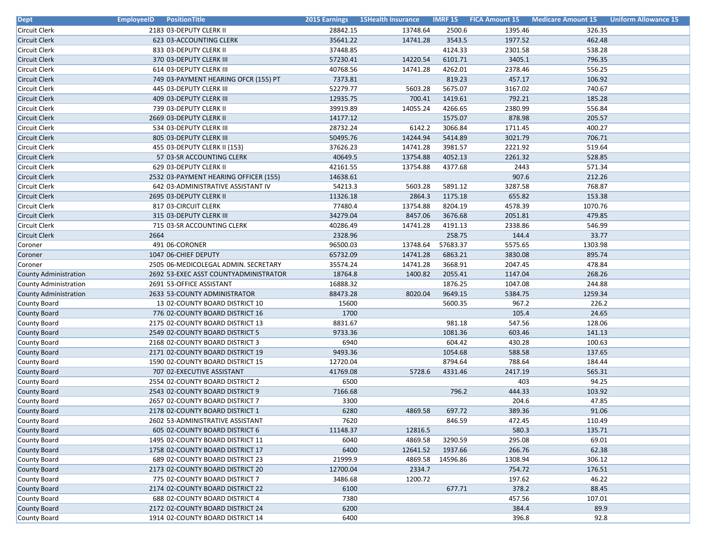| Dept                         | <b>EmployeeID</b> PositionTitle       | <b>2015 Earnings</b> | <b>15Health Insurance</b> |          | <b>IMRF 15 FICA Amount 15</b> | <b>Medicare Amount 15</b> | <b>Uniform Allowance 15</b> |
|------------------------------|---------------------------------------|----------------------|---------------------------|----------|-------------------------------|---------------------------|-----------------------------|
| Circuit Clerk                | 2183 03-DEPUTY CLERK II               | 28842.15             | 13748.64                  | 2500.6   | 1395.46                       | 326.35                    |                             |
| <b>Circuit Clerk</b>         | 623 03-ACCOUNTING CLERK               | 35641.22             | 14741.28                  | 3543.5   | 1977.52                       | 462.48                    |                             |
| Circuit Clerk                | 833 03-DEPUTY CLERK II                | 37448.85             |                           | 4124.33  | 2301.58                       | 538.28                    |                             |
| Circuit Clerk                | 370 03-DEPUTY CLERK III               | 57230.41             | 14220.54                  | 6101.71  | 3405.1                        | 796.35                    |                             |
| Circuit Clerk                | 614 03-DEPUTY CLERK III               | 40768.56             | 14741.28                  | 4262.01  | 2378.46                       | 556.25                    |                             |
| <b>Circuit Clerk</b>         | 749 03-PAYMENT HEARING OFCR (155) PT  | 7373.81              |                           | 819.23   | 457.17                        | 106.92                    |                             |
| Circuit Clerk                | 445 03-DEPUTY CLERK III               | 52279.77             | 5603.28                   | 5675.07  | 3167.02                       | 740.67                    |                             |
| <b>Circuit Clerk</b>         | 409 03-DEPUTY CLERK III               | 12935.75             | 700.41                    | 1419.61  | 792.21                        | 185.28                    |                             |
| Circuit Clerk                | 739 03-DEPUTY CLERK II                | 39919.89             | 14055.24                  | 4266.65  | 2380.99                       | 556.84                    |                             |
| Circuit Clerk                | 2669 03-DEPUTY CLERK II               | 14177.12             |                           | 1575.07  | 878.98                        | 205.57                    |                             |
| Circuit Clerk                | 534 03-DEPUTY CLERK III               | 28732.24             | 6142.2                    | 3066.84  | 1711.45                       | 400.27                    |                             |
| Circuit Clerk                | 805 03-DEPUTY CLERK III               | 50495.76             | 14244.94                  | 5414.89  | 3021.79                       | 706.71                    |                             |
| <b>Circuit Clerk</b>         | 455 03-DEPUTY CLERK II (153)          | 37626.23             | 14741.28                  | 3981.57  | 2221.92                       | 519.64                    |                             |
| <b>Circuit Clerk</b>         | 57 03-SR ACCOUNTING CLERK             | 40649.5              | 13754.88                  | 4052.13  | 2261.32                       | 528.85                    |                             |
| <b>Circuit Clerk</b>         | 629 03-DEPUTY CLERK II                | 42161.55             | 13754.88                  | 4377.68  | 2443                          | 571.34                    |                             |
| Circuit Clerk                | 2532 03-PAYMENT HEARING OFFICER (155) | 14638.61             |                           |          | 907.6                         | 212.26                    |                             |
| Circuit Clerk                | 642 03-ADMINISTRATIVE ASSISTANT IV    | 54213.3              | 5603.28                   | 5891.12  | 3287.58                       | 768.87                    |                             |
| <b>Circuit Clerk</b>         | 2695 03-DEPUTY CLERK II               | 11326.18             | 2864.3                    | 1175.18  | 655.82                        | 153.38                    |                             |
| <b>Circuit Clerk</b>         | 817 03-CIRCUIT CLERK                  | 77480.4              | 13754.88                  | 8204.19  | 4578.39                       | 1070.76                   |                             |
| <b>Circuit Clerk</b>         | 315 03-DEPUTY CLERK III               | 34279.04             | 8457.06                   | 3676.68  | 2051.81                       | 479.85                    |                             |
| Circuit Clerk                | 715 03-SR ACCOUNTING CLERK            | 40286.49             | 14741.28                  | 4191.13  | 2338.86                       | 546.99                    |                             |
| Circuit Clerk                | 2664                                  | 2328.96              |                           | 258.75   | 144.4                         | 33.77                     |                             |
| Coroner                      | 491 06-CORONER                        | 96500.03             | 13748.64                  | 57683.37 | 5575.65                       | 1303.98                   |                             |
| Coroner                      | 1047 06-CHIEF DEPUTY                  | 65732.09             | 14741.28                  | 6863.21  | 3830.08                       | 895.74                    |                             |
| Coroner                      | 2505 06-MEDICOLEGAL ADMIN. SECRETARY  | 35574.24             | 14741.28                  | 3668.91  | 2047.45                       | 478.84                    |                             |
| County Administration        | 2692 53-EXEC ASST COUNTYADMINISTRATOR | 18764.8              | 1400.82                   | 2055.41  | 1147.04                       | 268.26                    |                             |
| County Administration        | 2691 53-OFFICE ASSISTANT              | 16888.32             |                           | 1876.25  | 1047.08                       | 244.88                    |                             |
| <b>County Administration</b> | 2633 53-COUNTY ADMINISTRATOR          | 88473.28             | 8020.04                   | 9649.15  | 5384.75                       | 1259.34                   |                             |
| County Board                 | 13 02-COUNTY BOARD DISTRICT 10        | 15600                |                           | 5600.35  | 967.2                         | 226.2                     |                             |
| <b>County Board</b>          | 776 02-COUNTY BOARD DISTRICT 16       | 1700                 |                           |          | 105.4                         | 24.65                     |                             |
| County Board                 | 2175 02-COUNTY BOARD DISTRICT 13      | 8831.67              |                           | 981.18   | 547.56                        | 128.06                    |                             |
| <b>County Board</b>          | 2549 02-COUNTY BOARD DISTRICT 5       | 9733.36              |                           | 1081.36  | 603.46                        | 141.13                    |                             |
| County Board                 | 2168 02-COUNTY BOARD DISTRICT 3       | 6940                 |                           | 604.42   | 430.28                        | 100.63                    |                             |
| <b>County Board</b>          | 2171 02-COUNTY BOARD DISTRICT 19      | 9493.36              |                           | 1054.68  | 588.58                        | 137.65                    |                             |
| County Board                 | 1590 02-COUNTY BOARD DISTRICT 15      | 12720.04             |                           | 8794.64  | 788.64                        | 184.44                    |                             |
| <b>County Board</b>          | 707 02-EXECUTIVE ASSISTANT            | 41769.08             | 5728.6                    | 4331.46  | 2417.19                       | 565.31                    |                             |
| County Board                 | 2554 02-COUNTY BOARD DISTRICT 2       | 6500                 |                           |          | 403                           | 94.25                     |                             |
| <b>County Board</b>          | 2543 02-COUNTY BOARD DISTRICT 9       | 7166.68              |                           | 796.2    | 444.33                        | 103.92                    |                             |
| County Board                 | 2657 02-COUNTY BOARD DISTRICT 7       | 3300                 |                           |          | 204.6                         | 47.85                     |                             |
| <b>County Board</b>          | 2178 02-COUNTY BOARD DISTRICT 1       | 6280                 | 4869.58                   | 697.72   | 389.36                        | 91.06                     |                             |
| County Board                 | 2602 53-ADMINISTRATIVE ASSISTANT      | 7620                 |                           | 846.59   | 472.45                        | 110.49                    |                             |
| <b>County Board</b>          | 605 02-COUNTY BOARD DISTRICT 6        | 11148.37             | 12816.5                   |          | 580.3                         | 135.71                    |                             |
| <b>County Board</b>          | 1495 02-COUNTY BOARD DISTRICT 11      | 6040                 | 4869.58                   | 3290.59  | 295.08                        | 69.01                     |                             |
| <b>County Board</b>          | 1758 02-COUNTY BOARD DISTRICT 17      | 6400                 | 12641.52                  | 1937.66  | 266.76                        | 62.38                     |                             |
| County Board                 | 689 02-COUNTY BOARD DISTRICT 23       | 21999.9              | 4869.58                   | 14596.86 | 1308.94                       | 306.12                    |                             |
| <b>County Board</b>          | 2173 02-COUNTY BOARD DISTRICT 20      | 12700.04             | 2334.7                    |          | 754.72                        | 176.51                    |                             |
| <b>County Board</b>          | 775 02-COUNTY BOARD DISTRICT 7        | 3486.68              | 1200.72                   |          | 197.62                        | 46.22                     |                             |
| <b>County Board</b>          | 2174 02-COUNTY BOARD DISTRICT 22      | 6100                 |                           | 677.71   | 378.2                         | 88.45                     |                             |
| County Board                 | 688 02-COUNTY BOARD DISTRICT 4        | 7380                 |                           |          | 457.56                        | 107.01                    |                             |
| <b>County Board</b>          | 2172 02-COUNTY BOARD DISTRICT 24      | 6200                 |                           |          | 384.4                         | 89.9                      |                             |
| County Board                 | 1914 02-COUNTY BOARD DISTRICT 14      | 6400                 |                           |          | 396.8                         | 92.8                      |                             |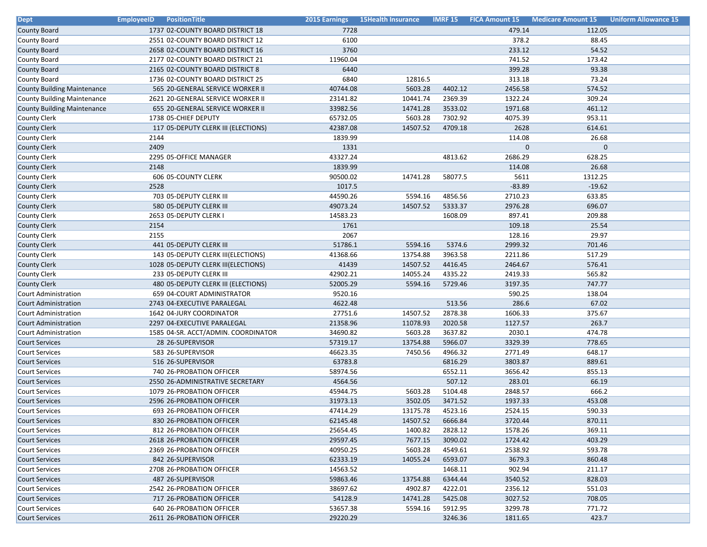| <b>Dept</b>                        | <b>EmployeeID</b><br><b>PositionTitle</b> |          | 2015 Earnings 15Health Insurance |         | <b>IMRF 15 FICA Amount 15</b> | <b>Medicare Amount 15</b> | <b>Uniform Allowance 15</b> |
|------------------------------------|-------------------------------------------|----------|----------------------------------|---------|-------------------------------|---------------------------|-----------------------------|
| County Board                       | 1737 02-COUNTY BOARD DISTRICT 18          | 7728     |                                  |         | 479.14                        | 112.05                    |                             |
| County Board                       | 2551 02-COUNTY BOARD DISTRICT 12          | 6100     |                                  |         | 378.2                         | 88.45                     |                             |
| County Board                       | 2658 02-COUNTY BOARD DISTRICT 16          | 3760     |                                  |         | 233.12                        | 54.52                     |                             |
| County Board                       | 2177 02-COUNTY BOARD DISTRICT 21          | 11960.04 |                                  |         | 741.52                        | 173.42                    |                             |
| County Board                       | 2165 02-COUNTY BOARD DISTRICT 8           | 6440     |                                  |         | 399.28                        | 93.38                     |                             |
| County Board                       | 1736 02-COUNTY BOARD DISTRICT 25          | 6840     | 12816.5                          |         | 313.18                        | 73.24                     |                             |
| <b>County Building Maintenance</b> | 565 20-GENERAL SERVICE WORKER II          | 40744.08 | 5603.28                          | 4402.12 | 2456.58                       | 574.52                    |                             |
| <b>County Building Maintenance</b> | 2621 20-GENERAL SERVICE WORKER II         | 23141.82 | 10441.74                         | 2369.39 | 1322.24                       | 309.24                    |                             |
| <b>County Building Maintenance</b> | 655 20-GENERAL SERVICE WORKER II          | 33982.56 | 14741.28                         | 3533.02 | 1971.68                       | 461.12                    |                             |
| <b>County Clerk</b>                | 1738 05-CHIEF DEPUTY                      | 65732.05 | 5603.28                          | 7302.92 | 4075.39                       | 953.11                    |                             |
| <b>County Clerk</b>                | 117 05-DEPUTY CLERK III (ELECTIONS)       | 42387.08 | 14507.52                         | 4709.18 | 2628                          | 614.61                    |                             |
| County Clerk                       | 2144                                      | 1839.99  |                                  |         | 114.08                        | 26.68                     |                             |
| <b>County Clerk</b>                | 2409                                      | 1331     |                                  |         | $\Omega$                      | $\overline{0}$            |                             |
| <b>County Clerk</b>                | 2295 05-OFFICE MANAGER                    | 43327.24 |                                  | 4813.62 | 2686.29                       | 628.25                    |                             |
| <b>County Clerk</b>                | 2148                                      | 1839.99  |                                  |         | 114.08                        | 26.68                     |                             |
| County Clerk                       | 606 05-COUNTY CLERK                       | 90500.02 | 14741.28                         | 58077.5 | 5611                          | 1312.25                   |                             |
| <b>County Clerk</b>                | 2528                                      | 1017.5   |                                  |         | $-83.89$                      | $-19.62$                  |                             |
| <b>County Clerk</b>                | 703 05-DEPUTY CLERK III                   | 44590.26 | 5594.16                          | 4856.56 | 2710.23                       | 633.85                    |                             |
| <b>County Clerk</b>                | 580 05-DEPUTY CLERK III                   | 49073.24 | 14507.52                         | 5333.37 | 2976.28                       | 696.07                    |                             |
| <b>County Clerk</b>                | 2653 05-DEPUTY CLERK I                    | 14583.23 |                                  | 1608.09 | 897.41                        | 209.88                    |                             |
| <b>County Clerk</b>                | 2154                                      | 1761     |                                  |         | 109.18                        | 25.54                     |                             |
| <b>County Clerk</b>                | 2155                                      | 2067     |                                  |         | 128.16                        | 29.97                     |                             |
| <b>County Clerk</b>                | 441 05-DEPUTY CLERK III                   | 51786.1  | 5594.16                          | 5374.6  | 2999.32                       | 701.46                    |                             |
| County Clerk                       | 143 05-DEPUTY CLERK III(ELECTIONS)        | 41368.66 | 13754.88                         | 3963.58 | 2211.86                       | 517.29                    |                             |
| <b>County Clerk</b>                | 1028 05-DEPUTY CLERK III(ELECTIONS)       | 41439    | 14507.52                         | 4416.45 | 2464.67                       | 576.41                    |                             |
| <b>County Clerk</b>                | 233 05-DEPUTY CLERK III                   | 42902.21 | 14055.24                         | 4335.22 | 2419.33                       | 565.82                    |                             |
| <b>County Clerk</b>                | 480 05-DEPUTY CLERK III (ELECTIONS)       | 52005.29 | 5594.16                          | 5729.46 | 3197.35                       | 747.77                    |                             |
| Court Administration               | 659 04-COURT ADMINISTRATOR                | 9520.16  |                                  |         | 590.25                        | 138.04                    |                             |
| <b>Court Administration</b>        | 2743 04-EXECUTIVE PARALEGAL               | 4622.48  |                                  | 513.56  | 286.6                         | 67.02                     |                             |
| Court Administration               | 1642 04-JURY COORDINATOR                  | 27751.6  | 14507.52                         | 2878.38 | 1606.33                       | 375.67                    |                             |
| <b>Court Administration</b>        | 2297 04-EXECUTIVE PARALEGAL               | 21358.96 | 11078.93                         | 2020.58 | 1127.57                       | 263.7                     |                             |
| Court Administration               | 1585 04-SR. ACCT/ADMIN. COORDINATOR       | 34690.82 | 5603.28                          | 3637.82 | 2030.1                        | 474.78                    |                             |
| <b>Court Services</b>              | 28 26-SUPERVISOR                          | 57319.17 | 13754.88                         | 5966.07 | 3329.39                       | 778.65                    |                             |
| <b>Court Services</b>              | 583 26-SUPERVISOR                         | 46623.35 | 7450.56                          | 4966.32 | 2771.49                       | 648.17                    |                             |
| <b>Court Services</b>              | 516 26-SUPERVISOR                         | 63783.8  |                                  | 6816.29 | 3803.87                       | 889.61                    |                             |
| <b>Court Services</b>              | 740 26-PROBATION OFFICER                  | 58974.56 |                                  | 6552.11 | 3656.42                       | 855.13                    |                             |
| <b>Court Services</b>              | 2550 26-ADMINISTRATIVE SECRETARY          | 4564.56  |                                  | 507.12  | 283.01                        | 66.19                     |                             |
| <b>Court Services</b>              | 1079 26-PROBATION OFFICER                 | 45944.75 | 5603.28                          | 5104.48 | 2848.57                       | 666.2                     |                             |
| <b>Court Services</b>              | 2596 26-PROBATION OFFICER                 | 31973.13 | 3502.05                          | 3471.52 | 1937.33                       | 453.08                    |                             |
| <b>Court Services</b>              | 693 26-PROBATION OFFICER                  | 47414.29 | 13175.78                         | 4523.16 | 2524.15                       | 590.33                    |                             |
| <b>Court Services</b>              | 830 26-PROBATION OFFICER                  | 62145.48 | 14507.52                         | 6666.84 | 3720.44                       | 870.11                    |                             |
| Court Services                     | 812 26-PROBATION OFFICER                  | 25654.45 | 1400.82                          | 2828.12 | 1578.26                       | 369.11                    |                             |
| <b>Court Services</b>              | 2618 26-PROBATION OFFICER                 | 29597.45 | 7677.15                          | 3090.02 | 1724.42                       | 403.29                    |                             |
| <b>Court Services</b>              | 2369 26-PROBATION OFFICER                 | 40950.25 | 5603.28                          | 4549.61 | 2538.92                       | 593.78                    |                             |
| <b>Court Services</b>              | 842 26-SUPERVISOR                         | 62333.19 | 14055.24                         | 6593.07 | 3679.3                        | 860.48                    |                             |
| Court Services                     | 2708 26-PROBATION OFFICER                 | 14563.52 |                                  | 1468.11 | 902.94                        | 211.17                    |                             |
| <b>Court Services</b>              | 487 26-SUPERVISOR                         | 59863.46 | 13754.88                         | 6344.44 | 3540.52                       | 828.03                    |                             |
| <b>Court Services</b>              | 2542 26-PROBATION OFFICER                 | 38697.62 | 4902.87                          | 4222.01 | 2356.12                       | 551.03                    |                             |
| <b>Court Services</b>              | 717 26-PROBATION OFFICER                  | 54128.9  | 14741.28                         | 5425.08 | 3027.52                       | 708.05                    |                             |
| <b>Court Services</b>              | 640 26-PROBATION OFFICER                  | 53657.38 | 5594.16                          | 5912.95 | 3299.78                       | 771.72                    |                             |
| <b>Court Services</b>              | 2611 26-PROBATION OFFICER                 | 29220.29 |                                  | 3246.36 | 1811.65                       | 423.7                     |                             |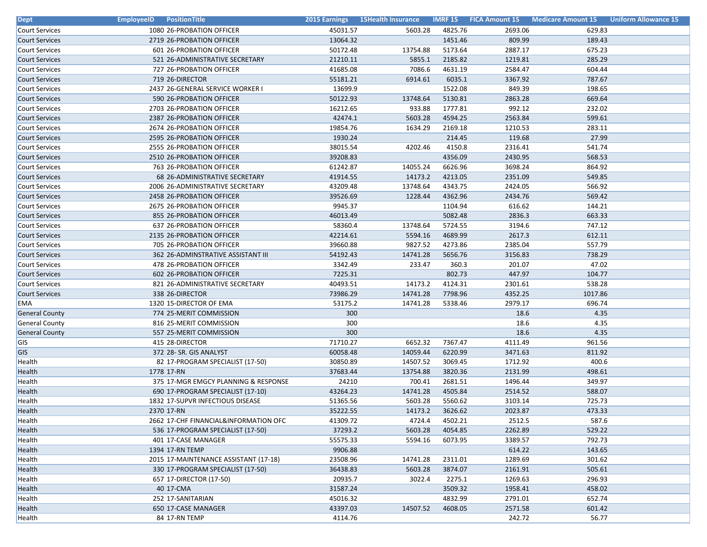| <b>Dept</b>           | <b>EmployeeID</b><br><b>PositionTitle</b> |          | 2015 Earnings 15Health Insurance |         |         | <b>IMRF 15 FICA Amount 15 Medicare Amount 15 Uniform Allowance 15</b> |  |
|-----------------------|-------------------------------------------|----------|----------------------------------|---------|---------|-----------------------------------------------------------------------|--|
| <b>Court Services</b> | 1080 26-PROBATION OFFICER                 | 45031.57 | 5603.28                          | 4825.76 | 2693.06 | 629.83                                                                |  |
| <b>Court Services</b> | 2719 26-PROBATION OFFICER                 | 13064.32 |                                  | 1451.46 | 809.99  | 189.43                                                                |  |
| Court Services        | 601 26-PROBATION OFFICER                  | 50172.48 | 13754.88                         | 5173.64 | 2887.17 | 675.23                                                                |  |
| <b>Court Services</b> | 521 26-ADMINISTRATIVE SECRETARY           | 21210.11 | 5855.1                           | 2185.82 | 1219.81 | 285.29                                                                |  |
| <b>Court Services</b> | 727 26-PROBATION OFFICER                  | 41685.08 | 7086.6                           | 4631.19 | 2584.47 | 604.44                                                                |  |
| <b>Court Services</b> | 719 26-DIRECTOR                           | 55181.21 | 6914.61                          | 6035.1  | 3367.92 | 787.67                                                                |  |
| <b>Court Services</b> | 2437 26-GENERAL SERVICE WORKER I          | 13699.9  |                                  | 1522.08 | 849.39  | 198.65                                                                |  |
| <b>Court Services</b> | 590 26-PROBATION OFFICER                  | 50122.93 | 13748.64                         | 5130.81 | 2863.28 | 669.64                                                                |  |
| <b>Court Services</b> | 2703 26-PROBATION OFFICER                 | 16212.65 | 933.88                           | 1777.81 | 992.12  | 232.02                                                                |  |
| <b>Court Services</b> | 2387 26-PROBATION OFFICER                 | 42474.1  | 5603.28                          | 4594.25 | 2563.84 | 599.61                                                                |  |
| <b>Court Services</b> | 2674 26-PROBATION OFFICER                 | 19854.76 | 1634.29                          | 2169.18 | 1210.53 | 283.11                                                                |  |
| <b>Court Services</b> | 2595 26-PROBATION OFFICER                 | 1930.24  |                                  | 214.45  | 119.68  | 27.99                                                                 |  |
| <b>Court Services</b> | 2555 26-PROBATION OFFICER                 | 38015.54 | 4202.46                          | 4150.8  | 2316.41 | 541.74                                                                |  |
| <b>Court Services</b> | 2510 26-PROBATION OFFICER                 | 39208.83 |                                  | 4356.09 | 2430.95 | 568.53                                                                |  |
| <b>Court Services</b> | 763 26-PROBATION OFFICER                  | 61242.87 | 14055.24                         | 6626.96 | 3698.24 | 864.92                                                                |  |
| <b>Court Services</b> | 68 26-ADMINISTRATIVE SECRETARY            | 41914.55 | 14173.2                          | 4213.05 | 2351.09 | 549.85                                                                |  |
| <b>Court Services</b> | 2006 26-ADMINISTRATIVE SECRETARY          | 43209.48 | 13748.64                         | 4343.75 | 2424.05 | 566.92                                                                |  |
| <b>Court Services</b> | 2458 26-PROBATION OFFICER                 | 39526.69 | 1228.44                          | 4362.96 | 2434.76 | 569.42                                                                |  |
| <b>Court Services</b> | 2675 26-PROBATION OFFICER                 | 9945.37  |                                  | 1104.94 | 616.62  | 144.21                                                                |  |
| <b>Court Services</b> | 855 26-PROBATION OFFICER                  | 46013.49 |                                  | 5082.48 | 2836.3  | 663.33                                                                |  |
| <b>Court Services</b> | 637 26-PROBATION OFFICER                  | 58360.4  | 13748.64                         | 5724.55 | 3194.6  | 747.12                                                                |  |
| <b>Court Services</b> | 2135 26-PROBATION OFFICER                 | 42214.61 | 5594.16                          | 4689.99 | 2617.3  | 612.11                                                                |  |
| <b>Court Services</b> | 705 26-PROBATION OFFICER                  | 39660.88 | 9827.52                          | 4273.86 | 2385.04 | 557.79                                                                |  |
| <b>Court Services</b> | 362 26-ADMINSTRATIVE ASSISTANT III        | 54192.43 | 14741.28                         | 5656.76 | 3156.83 | 738.29                                                                |  |
| <b>Court Services</b> | 478 26-PROBATION OFFICER                  | 3342.49  | 233.47                           | 360.3   | 201.07  | 47.02                                                                 |  |
| <b>Court Services</b> | 602 26-PROBATION OFFICER                  | 7225.31  |                                  | 802.73  | 447.97  | 104.77                                                                |  |
| <b>Court Services</b> | 821 26-ADMINISTRATIVE SECRETARY           | 40493.51 | 14173.2                          | 4124.31 | 2301.61 | 538.28                                                                |  |
| <b>Court Services</b> | 338 26-DIRECTOR                           | 73986.29 | 14741.28                         | 7798.96 | 4352.25 | 1017.86                                                               |  |
| EMA                   | 1320 15-DIRECTOR OF EMA                   | 53175.2  | 14741.28                         | 5338.46 | 2979.17 | 696.74                                                                |  |
| <b>General County</b> | 774 25-MERIT COMMISSION                   | 300      |                                  |         | 18.6    | 4.35                                                                  |  |
| <b>General County</b> | 816 25-MERIT COMMISSION                   | 300      |                                  |         | 18.6    | 4.35                                                                  |  |
| <b>General County</b> | 557 25-MERIT COMMISSION                   | 300      |                                  |         | 18.6    | 4.35                                                                  |  |
| GIS                   | 415 28-DIRECTOR                           | 71710.27 | 6652.32                          | 7367.47 | 4111.49 | 961.56                                                                |  |
| GIS                   | 372 28- SR. GIS ANALYST                   | 60058.48 | 14059.44                         | 6220.99 | 3471.63 | 811.92                                                                |  |
| Health                | 82 17-PROGRAM SPECIALIST (17-50)          | 30850.89 | 14507.52                         | 3069.45 | 1712.92 | 400.6                                                                 |  |
| Health                | 1778 17-RN                                | 37683.44 | 13754.88                         | 3820.36 | 2131.99 | 498.61                                                                |  |
| Health                | 375 17-MGR EMGCY PLANNING & RESPONSE      | 24210    | 700.41                           | 2681.51 | 1496.44 | 349.97                                                                |  |
| Health                | 690 17-PROGRAM SPECIALIST (17-10)         | 43264.23 | 14741.28                         | 4505.84 | 2514.52 | 588.07                                                                |  |
| Health                | 1832 17-SUPVR INFECTIOUS DISEASE          | 51365.56 | 5603.28                          | 5560.62 | 3103.14 | 725.73                                                                |  |
| Health                | 2370 17-RN                                | 35222.55 | 14173.2                          | 3626.62 | 2023.87 | 473.33                                                                |  |
| Health                | 2662 17-CHF FINANCIAL&INFORMATION OFC     | 41309.72 | 4724.4                           | 4502.21 | 2512.5  | 587.6                                                                 |  |
| Health                | 536 17-PROGRAM SPECIALIST (17-50)         | 37293.2  | 5603.28                          | 4054.85 | 2262.89 | 529.22                                                                |  |
| Health                | 401 17-CASE MANAGER                       | 55575.33 | 5594.16                          | 6073.95 | 3389.57 | 792.73                                                                |  |
| Health                | 1394 17-RN TEMP                           | 9906.88  |                                  |         | 614.22  | 143.65                                                                |  |
| Health                | 2015 17-MAINTENANCE ASSISTANT (17-18)     | 23508.96 | 14741.28                         | 2311.01 | 1289.69 | 301.62                                                                |  |
| Health                | 330 17-PROGRAM SPECIALIST (17-50)         | 36438.83 | 5603.28                          | 3874.07 | 2161.91 | 505.61                                                                |  |
| Health                | 657 17-DIRECTOR (17-50)                   | 20935.7  | 3022.4                           | 2275.1  | 1269.63 | 296.93                                                                |  |
| Health                | 40 17-CMA                                 | 31587.24 |                                  | 3509.32 | 1958.41 | 458.02                                                                |  |
| Health                | 252 17-SANITARIAN                         | 45016.32 |                                  | 4832.99 | 2791.01 | 652.74                                                                |  |
| Health                | 650 17-CASE MANAGER                       | 43397.03 | 14507.52                         | 4608.05 | 2571.58 | 601.42                                                                |  |
| Health                | 84 17-RN TEMP                             | 4114.76  |                                  |         | 242.72  | 56.77                                                                 |  |
|                       |                                           |          |                                  |         |         |                                                                       |  |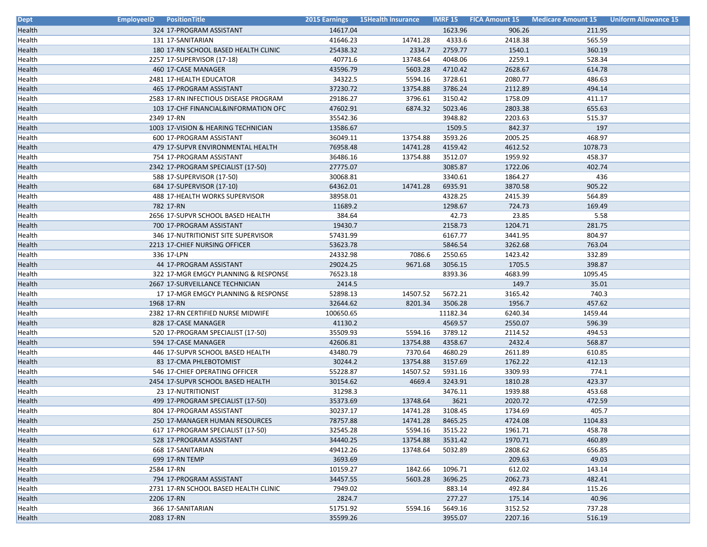| <b>Dept</b> | <b>EmployeeID</b> PositionTitle |                                                                   |                   | 2015 Earnings 15Health Insurance |                  |         | <b>IMRF 15 FICA Amount 15 Medicare Amount 15 Uniform Allowance 15</b> |  |
|-------------|---------------------------------|-------------------------------------------------------------------|-------------------|----------------------------------|------------------|---------|-----------------------------------------------------------------------|--|
| Health      |                                 | 324 17-PROGRAM ASSISTANT                                          | 14617.04          |                                  | 1623.96          | 906.26  | 211.95                                                                |  |
| Health      |                                 | 131 17-SANITARIAN                                                 | 41646.23          | 14741.28                         | 4333.6           | 2418.38 | 565.59                                                                |  |
| Health      |                                 | 180 17-RN SCHOOL BASED HEALTH CLINIC                              | 25438.32          | 2334.7                           | 2759.77          | 1540.1  | 360.19                                                                |  |
| Health      |                                 | 2257 17-SUPERVISOR (17-18)                                        | 40771.6           | 13748.64                         | 4048.06          | 2259.1  | 528.34                                                                |  |
| Health      |                                 | 460 17-CASE MANAGER                                               | 43596.79          | 5603.28                          | 4710.42          | 2628.67 | 614.78                                                                |  |
| Health      |                                 | 2481 17-HEALTH EDUCATOR                                           | 34322.5           | 5594.16                          | 3728.61          | 2080.77 | 486.63                                                                |  |
| Health      |                                 | 465 17-PROGRAM ASSISTANT                                          | 37230.72          | 13754.88                         | 3786.24          | 2112.89 | 494.14                                                                |  |
| Health      |                                 | 2583 17-RN INFECTIOUS DISEASE PROGRAM                             | 29186.27          | 3796.61                          | 3150.42          | 1758.09 | 411.17                                                                |  |
| Health      |                                 | 103 17-CHF FINANCIAL&INFORMATION OFC                              | 47602.91          | 6874.32                          | 5023.46          | 2803.38 | 655.63                                                                |  |
| Health      |                                 | 2349 17-RN                                                        | 35542.36          |                                  | 3948.82          | 2203.63 | 515.37                                                                |  |
| Health      |                                 | 1003 17-VISION & HEARING TECHNICIAN                               | 13586.67          |                                  | 1509.5           | 842.37  | 197                                                                   |  |
| Health      |                                 | 600 17-PROGRAM ASSISTANT                                          | 36049.11          | 13754.88                         | 3593.26          | 2005.25 | 468.97                                                                |  |
| Health      |                                 | 479 17-SUPVR ENVIRONMENTAL HEALTH                                 | 76958.48          | 14741.28                         | 4159.42          | 4612.52 | 1078.73                                                               |  |
| Health      |                                 | 754 17-PROGRAM ASSISTANT                                          | 36486.16          | 13754.88                         | 3512.07          | 1959.92 | 458.37                                                                |  |
| Health      |                                 | 2342 17-PROGRAM SPECIALIST (17-50)                                | 27775.07          |                                  | 3085.87          | 1722.06 | 402.74                                                                |  |
| Health      |                                 | 588 17-SUPERVISOR (17-50)                                         | 30068.81          |                                  | 3340.61          | 1864.27 | 436                                                                   |  |
| Health      |                                 | 684 17-SUPERVISOR (17-10)                                         | 64362.01          | 14741.28                         | 6935.91          | 3870.58 | 905.22                                                                |  |
| Health      |                                 | 488 17-HEALTH WORKS SUPERVISOR                                    | 38958.01          |                                  | 4328.25          | 2415.39 | 564.89                                                                |  |
| Health      |                                 | 782 17-RN                                                         | 11689.2           |                                  | 1298.67          | 724.73  | 169.49                                                                |  |
| Health      |                                 | 2656 17-SUPVR SCHOOL BASED HEALTH                                 | 384.64            |                                  | 42.73            | 23.85   | 5.58                                                                  |  |
| Health      |                                 | 700 17-PROGRAM ASSISTANT                                          | 19430.7           |                                  | 2158.73          | 1204.71 | 281.75                                                                |  |
| Health      |                                 | 346 17-NUTRITIONIST SITE SUPERVISOR                               | 57431.99          |                                  | 6167.77          | 3441.95 | 804.97                                                                |  |
| Health      |                                 | 2213 17-CHIEF NURSING OFFICER                                     | 53623.78          |                                  | 5846.54          | 3262.68 | 763.04                                                                |  |
| Health      |                                 | 336 17-LPN                                                        | 24332.98          | 7086.6                           | 2550.65          | 1423.42 | 332.89                                                                |  |
| Health      |                                 | 44 17-PROGRAM ASSISTANT                                           | 29024.25          | 9671.68                          | 3056.15          | 1705.5  | 398.87                                                                |  |
| Health      |                                 | 322 17-MGR EMGCY PLANNING & RESPONSE                              | 76523.18          |                                  | 8393.36          | 4683.99 | 1095.45                                                               |  |
| Health      |                                 | 2667 17-SURVEILLANCE TECHNICIAN                                   | 2414.5            |                                  |                  | 149.7   | 35.01                                                                 |  |
| Health      |                                 | 17 17-MGR EMGCY PLANNING & RESPONSE                               | 52898.13          | 14507.52                         | 5672.21          | 3165.42 | 740.3                                                                 |  |
| Health      |                                 | 1968 17-RN                                                        | 32644.62          | 8201.34                          | 3506.28          | 1956.7  | 457.62                                                                |  |
| Health      |                                 | 2382 17-RN CERTIFIED NURSE MIDWIFE                                | 100650.65         |                                  | 11182.34         | 6240.34 | 1459.44                                                               |  |
| Health      |                                 | 828 17-CASE MANAGER                                               | 41130.2           |                                  | 4569.57          | 2550.07 | 596.39                                                                |  |
| Health      |                                 | 520 17-PROGRAM SPECIALIST (17-50)                                 | 35509.93          | 5594.16                          | 3789.12          | 2114.52 | 494.53                                                                |  |
| Health      |                                 | 594 17-CASE MANAGER                                               | 42606.81          | 13754.88                         | 4358.67          | 2432.4  | 568.87                                                                |  |
| Health      |                                 | 446 17-SUPVR SCHOOL BASED HEALTH                                  | 43480.79          | 7370.64                          | 4680.29          | 2611.89 | 610.85                                                                |  |
| Health      |                                 | 83 17-CMA PHLEBOTOMIST                                            | 30244.2           | 13754.88                         | 3157.69          | 1762.22 | 412.13                                                                |  |
| Health      |                                 | 546 17-CHIEF OPERATING OFFICER                                    | 55228.87          | 14507.52                         | 5931.16          | 3309.93 | 774.1                                                                 |  |
| Health      |                                 | 2454 17-SUPVR SCHOOL BASED HEALTH                                 | 30154.62          | 4669.4                           | 3243.91          | 1810.28 | 423.37                                                                |  |
| Health      |                                 | 23 17-NUTRITIONIST                                                | 31298.3           |                                  | 3476.11          | 1939.88 | 453.68                                                                |  |
| Health      |                                 | 499 17-PROGRAM SPECIALIST (17-50)                                 | 35373.69          | 13748.64                         | 3621             | 2020.72 | 472.59                                                                |  |
| Health      |                                 | 804 17-PROGRAM ASSISTANT                                          | 30237.17          | 14741.28                         | 3108.45          | 1734.69 | 405.7                                                                 |  |
| Health      |                                 | 250 17-MANAGER HUMAN RESOURCES                                    | 78757.88          | 14741.28                         | 8465.25          | 4724.08 | 1104.83                                                               |  |
| Health      |                                 | 617 17-PROGRAM SPECIALIST (17-50)                                 | 32545.28          | 5594.16                          | 3515.22          | 1961.71 | 458.78                                                                |  |
| Health      |                                 | 528 17-PROGRAM ASSISTANT                                          | 34440.25          | 13754.88                         | 3531.42          | 1970.71 | 460.89                                                                |  |
| Health      |                                 | 668 17-SANITARIAN                                                 | 49412.26          | 13748.64                         | 5032.89          | 2808.62 | 656.85                                                                |  |
| Health      |                                 | 699 17-RN TEMP                                                    | 3693.69           |                                  |                  | 209.63  | 49.03                                                                 |  |
| Health      |                                 | 2584 17-RN                                                        | 10159.27          |                                  | 1096.71          | 612.02  | 143.14                                                                |  |
|             |                                 |                                                                   |                   | 1842.66                          |                  |         |                                                                       |  |
| Health      |                                 | 794 17-PROGRAM ASSISTANT<br>2731 17-RN SCHOOL BASED HEALTH CLINIC | 34457.55          | 5603.28                          | 3696.25          | 2062.73 | 482.41                                                                |  |
| Health      |                                 | 2206 17-RN                                                        | 7949.02<br>2824.7 |                                  | 883.14<br>277.27 | 492.84  | 115.26<br>40.96                                                       |  |
| Health      |                                 |                                                                   | 51751.92          |                                  |                  | 175.14  |                                                                       |  |
| Health      |                                 | 366 17-SANITARIAN                                                 |                   | 5594.16                          | 5649.16          | 3152.52 | 737.28                                                                |  |
| Health      |                                 | 2083 17-RN                                                        | 35599.26          |                                  | 3955.07          | 2207.16 | 516.19                                                                |  |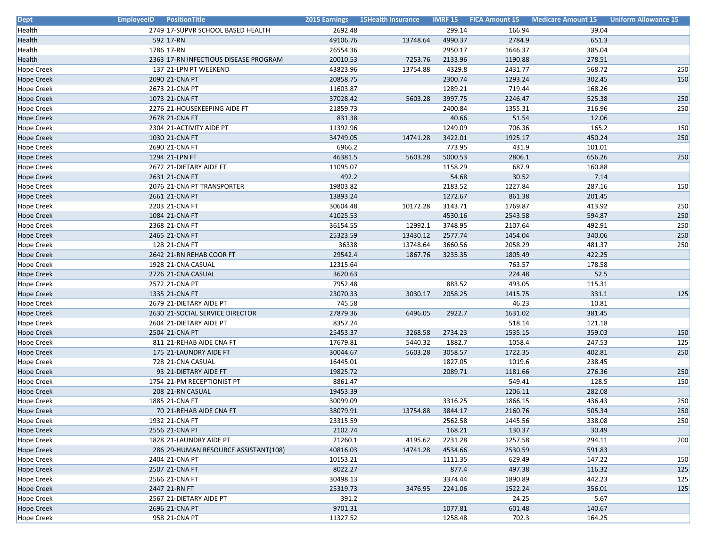| <b>Dept</b>       | <b>EmployeeID</b><br><b>PositionTitle</b> | 2015 Earnings | 15Health Insurance |         | <b>IMRF 15 FICA Amount 15</b> | Medicare Amount 15 | <b>Uniform Allowance 15</b> |
|-------------------|-------------------------------------------|---------------|--------------------|---------|-------------------------------|--------------------|-----------------------------|
| Health            | 2749 17-SUPVR SCHOOL BASED HEALTH         | 2692.48       |                    | 299.14  | 166.94                        | 39.04              |                             |
| Health            | 592 17-RN                                 | 49106.76      | 13748.64           | 4990.37 | 2784.9                        | 651.3              |                             |
| Health            | 1786 17-RN                                | 26554.36      |                    | 2950.17 | 1646.37                       | 385.04             |                             |
| Health            | 2363 17-RN INFECTIOUS DISEASE PROGRAM     | 20010.53      | 7253.76            | 2133.96 | 1190.88                       | 278.51             |                             |
| <b>Hope Creek</b> | 137 21-LPN PT WEEKEND                     | 43823.96      | 13754.88           | 4329.8  | 2431.77                       | 568.72             | 250                         |
| <b>Hope Creek</b> | 2090 21-CNA PT                            | 20858.75      |                    | 2300.74 | 1293.24                       | 302.45             | 150                         |
| Hope Creek        | 2673 21-CNA PT                            | 11603.87      |                    | 1289.21 | 719.44                        | 168.26             |                             |
| <b>Hope Creek</b> | 1073 21-CNA FT                            | 37028.42      | 5603.28            | 3997.75 | 2246.47                       | 525.38             | 250                         |
| <b>Hope Creek</b> | 2276 21-HOUSEKEEPING AIDE FT              | 21859.73      |                    | 2400.84 | 1355.31                       | 316.96             | 250                         |
| Hope Creek        | 2678 21-CNA FT                            | 831.38        |                    | 40.66   | 51.54                         | 12.06              |                             |
| Hope Creek        | 2304 21-ACTIVITY AIDE PT                  | 11392.96      |                    | 1249.09 | 706.36                        | 165.2              | 150                         |
| <b>Hope Creek</b> | 1030 21-CNA FT                            | 34749.05      | 14741.28           | 3422.01 | 1925.17                       | 450.24             | 250                         |
| <b>Hope Creek</b> | 2690 21-CNA FT                            | 6966.2        |                    | 773.95  | 431.9                         | 101.01             |                             |
| Hope Creek        | 1294 21-LPN FT                            | 46381.5       | 5603.28            | 5000.53 | 2806.1                        | 656.26             | 250                         |
| <b>Hope Creek</b> | 2672 21-DIETARY AIDE FT                   | 11095.07      |                    | 1158.29 | 687.9                         | 160.88             |                             |
| <b>Hope Creek</b> | 2631 21-CNA FT                            | 492.2         |                    | 54.68   | 30.52                         | 7.14               |                             |
| Hope Creek        | 2076 21-CNA PT TRANSPORTER                | 19803.82      |                    | 2183.52 | 1227.84                       | 287.16             | 150                         |
| <b>Hope Creek</b> | 2661 21-CNA PT                            | 13893.24      |                    | 1272.67 | 861.38                        | 201.45             |                             |
| Hope Creek        | 2203 21-CNA FT                            | 30604.48      | 10172.28           | 3143.71 | 1769.87                       | 413.92             | 250                         |
| <b>Hope Creek</b> | 1084 21-CNA FT                            | 41025.53      |                    | 4530.16 | 2543.58                       | 594.87             | 250                         |
| Hope Creek        | 2368 21-CNA FT                            | 36154.55      | 12992.1            | 3748.95 | 2107.64                       | 492.91             | 250                         |
| <b>Hope Creek</b> | 2465 21-CNA FT                            | 25323.59      | 13430.12           | 2577.74 | 1454.04                       | 340.06             | 250                         |
| <b>Hope Creek</b> | 128 21-CNA FT                             | 36338         | 13748.64           | 3660.56 | 2058.29                       | 481.37             | 250                         |
| <b>Hope Creek</b> | 2642 21-RN REHAB COOR FT                  | 29542.4       | 1867.76            | 3235.35 | 1805.49                       | 422.25             |                             |
| Hope Creek        | 1928 21-CNA CASUAL                        | 12315.64      |                    |         | 763.57                        | 178.58             |                             |
| <b>Hope Creek</b> | 2726 21-CNA CASUAL                        | 3620.63       |                    |         | 224.48                        | 52.5               |                             |
| <b>Hope Creek</b> | 2572 21-CNA PT                            | 7952.48       |                    | 883.52  | 493.05                        | 115.31             |                             |
| <b>Hope Creek</b> | 1335 21-CNA FT                            | 23070.33      | 3030.17            | 2058.25 | 1415.75                       | 331.1              | 125                         |
| <b>Hope Creek</b> | 2679 21-DIETARY AIDE PT                   | 745.58        |                    |         | 46.23                         | 10.81              |                             |
| <b>Hope Creek</b> | 2630 21-SOCIAL SERVICE DIRECTOR           | 27879.36      | 6496.05            | 2922.7  | 1631.02                       | 381.45             |                             |
| Hope Creek        | 2604 21-DIETARY AIDE PT                   | 8357.24       |                    |         | 518.14                        | 121.18             |                             |
| <b>Hope Creek</b> | 2504 21-CNA PT                            | 25453.37      | 3268.58            | 2734.23 | 1535.15                       | 359.03             | 150                         |
| <b>Hope Creek</b> | 811 21-REHAB AIDE CNA FT                  | 17679.81      | 5440.32            | 1882.7  | 1058.4                        | 247.53             | 125                         |
| <b>Hope Creek</b> | 175 21-LAUNDRY AIDE FT                    | 30044.67      | 5603.28            | 3058.57 | 1722.35                       | 402.81             | 250                         |
| Hope Creek        | 728 21-CNA CASUAL                         | 16445.01      |                    | 1827.05 | 1019.6                        | 238.45             |                             |
| <b>Hope Creek</b> | 93 21-DIETARY AIDE FT                     | 19825.72      |                    | 2089.71 | 1181.66                       | 276.36             | 250                         |
| <b>Hope Creek</b> | 1754 21-PM RECEPTIONIST PT                | 8861.47       |                    |         | 549.41                        | 128.5              | 150                         |
| <b>Hope Creek</b> | 208 21-RN CASUAL                          | 19453.39      |                    |         | 1206.11                       | 282.08             |                             |
| Hope Creek        | 1885 21-CNA FT                            | 30099.09      |                    | 3316.25 | 1866.15                       | 436.43             | 250                         |
| <b>Hope Creek</b> | 70 21-REHAB AIDE CNA FT                   | 38079.91      | 13754.88           | 3844.17 | 2160.76                       | 505.34             | 250                         |
| <b>Hope Creek</b> | 1932 21-CNA FT                            | 23315.59      |                    | 2562.58 | 1445.56                       | 338.08             | 250                         |
| <b>Hope Creek</b> | 2556 21-CNA PT                            | 2102.74       |                    | 168.21  | 130.37                        | 30.49              |                             |
| <b>Hope Creek</b> | 1828 21-LAUNDRY AIDE PT                   | 21260.1       | 4195.62            | 2231.28 | 1257.58                       | 294.11             | 200                         |
| <b>Hope Creek</b> | 286 29-HUMAN RESOURCE ASSISTANT(108)      | 40816.03      | 14741.28           | 4534.66 | 2530.59                       | 591.83             |                             |
| <b>Hope Creek</b> | 2404 21-CNA PT                            | 10153.21      |                    | 1111.35 | 629.49                        | 147.22             | 150                         |
| <b>Hope Creek</b> | 2507 21-CNA FT                            | 8022.27       |                    | 877.4   | 497.38                        | 116.32             | 125                         |
| <b>Hope Creek</b> | 2566 21-CNA FT                            | 30498.13      |                    | 3374.44 | 1890.89                       | 442.23             | 125                         |
| <b>Hope Creek</b> | 2447 21-RN FT                             | 25319.73      | 3476.95            | 2241.06 | 1522.24                       | 356.01             | 125                         |
| <b>Hope Creek</b> | 2567 21-DIETARY AIDE PT                   | 391.2         |                    |         | 24.25                         | 5.67               |                             |
| <b>Hope Creek</b> | 2696 21-CNA PT                            | 9701.31       |                    | 1077.81 | 601.48                        | 140.67             |                             |
| <b>Hope Creek</b> | 958 21-CNA PT                             | 11327.52      |                    | 1258.48 | 702.3                         | 164.25             |                             |
|                   |                                           |               |                    |         |                               |                    |                             |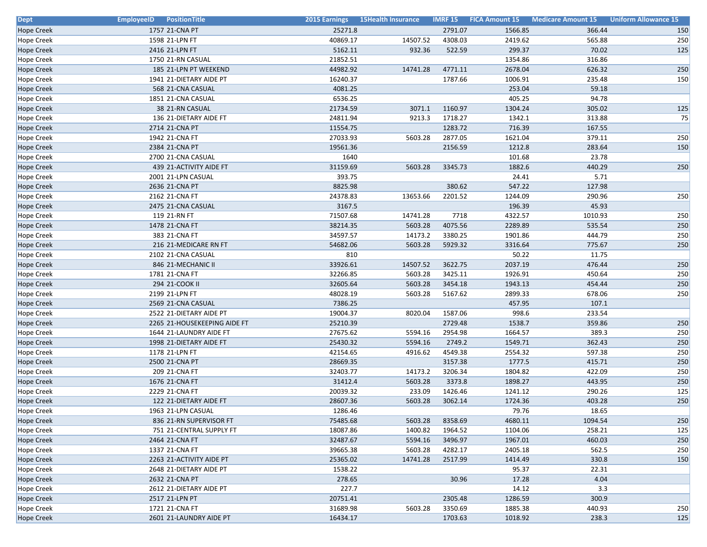| <b>Dept</b>       | <b>EmployeeID</b> PositionTitle | 2015 Earnings | <b>15Health Insurance</b> |         | <b>IMRF 15 FICA Amount 15</b> | <b>Medicare Amount 15</b> | <b>Uniform Allowance 15</b> |
|-------------------|---------------------------------|---------------|---------------------------|---------|-------------------------------|---------------------------|-----------------------------|
| <b>Hope Creek</b> | 1757 21-CNA PT                  | 25271.8       |                           | 2791.07 | 1566.85                       | 366.44                    | 150                         |
| <b>Hope Creek</b> | 1598 21-LPN FT                  | 40869.17      | 14507.52                  | 4308.03 | 2419.62                       | 565.88                    | 250                         |
| Hope Creek        | 2416 21-LPN FT                  | 5162.11       | 932.36                    | 522.59  | 299.37                        | 70.02                     | 125                         |
| Hope Creek        | 1750 21-RN CASUAL               | 21852.51      |                           |         | 1354.86                       | 316.86                    |                             |
| <b>Hope Creek</b> | 185 21-LPN PT WEEKEND           | 44982.92      | 14741.28                  | 4771.11 | 2678.04                       | 626.32                    | 250                         |
| Hope Creek        | 1941 21-DIETARY AIDE PT         | 16240.37      |                           | 1787.66 | 1006.91                       | 235.48                    | 150                         |
| Hope Creek        | 568 21-CNA CASUAL               | 4081.25       |                           |         | 253.04                        | 59.18                     |                             |
| Hope Creek        | 1851 21-CNA CASUAL              | 6536.25       |                           |         | 405.25                        | 94.78                     |                             |
| <b>Hope Creek</b> | 38 21-RN CASUAL                 | 21734.59      | 3071.1                    | 1160.97 | 1304.24                       | 305.02                    | 125                         |
| Hope Creek        | 136 21-DIETARY AIDE FT          | 24811.94      | 9213.3                    | 1718.27 | 1342.1                        | 313.88                    | 75                          |
| Hope Creek        | 2714 21-CNA PT                  | 11554.75      |                           | 1283.72 | 716.39                        | 167.55                    |                             |
| <b>Hope Creek</b> | 1942 21-CNA FT                  | 27033.93      | 5603.28                   | 2877.05 | 1621.04                       | 379.11                    | 250                         |
| Hope Creek        | 2384 21-CNA PT                  | 19561.36      |                           | 2156.59 | 1212.8                        | 283.64                    | 150                         |
| Hope Creek        | 2700 21-CNA CASUAL              | 1640          |                           |         | 101.68                        | 23.78                     |                             |
| Hope Creek        | 439 21-ACTIVITY AIDE FT         | 31159.69      | 5603.28                   | 3345.73 | 1882.6                        | 440.29                    | 250                         |
| <b>Hope Creek</b> | 2001 21-LPN CASUAL              | 393.75        |                           |         | 24.41                         | 5.71                      |                             |
| Hope Creek        | 2636 21-CNA PT                  | 8825.98       |                           | 380.62  | 547.22                        | 127.98                    |                             |
| Hope Creek        | 2162 21-CNA FT                  | 24378.83      | 13653.66                  | 2201.52 | 1244.09                       | 290.96                    | 250                         |
| <b>Hope Creek</b> | 2475 21-CNA CASUAL              | 3167.5        |                           |         | 196.39                        | 45.93                     |                             |
| Hope Creek        | 119 21-RN FT                    | 71507.68      | 14741.28                  | 7718    | 4322.57                       | 1010.93                   | 250                         |
| Hope Creek        | 1478 21-CNA FT                  | 38214.35      | 5603.28                   | 4075.56 | 2289.89                       | 535.54                    | 250                         |
| <b>Hope Creek</b> | 383 21-CNA FT                   | 34597.57      | 14173.2                   | 3380.25 | 1901.86                       | 444.79                    | 250                         |
| <b>Hope Creek</b> | 216 21-MEDICARE RN FT           | 54682.06      | 5603.28                   | 5929.32 | 3316.64                       | 775.67                    | 250                         |
| Hope Creek        | 2102 21-CNA CASUAL              | 810           |                           |         | 50.22                         | 11.75                     |                             |
| Hope Creek        | 846 21-MECHANIC II              | 33926.61      | 14507.52                  | 3622.75 | 2037.19                       | 476.44                    | 250                         |
| Hope Creek        | 1781 21-CNA FT                  | 32266.85      | 5603.28                   | 3425.11 | 1926.91                       | 450.64                    | 250                         |
| <b>Hope Creek</b> | 294 21-COOK II                  | 32605.64      | 5603.28                   | 3454.18 | 1943.13                       | 454.44                    | 250                         |
| Hope Creek        | 2199 21-LPN FT                  | 48028.19      | 5603.28                   | 5167.62 | 2899.33                       | 678.06                    | 250                         |
| Hope Creek        | 2569 21-CNA CASUAL              | 7386.25       |                           |         | 457.95                        | 107.1                     |                             |
| <b>Hope Creek</b> | 2522 21-DIETARY AIDE PT         | 19004.37      | 8020.04                   | 1587.06 | 998.6                         | 233.54                    |                             |
| Hope Creek        | 2265 21-HOUSEKEEPING AIDE FT    | 25210.39      |                           | 2729.48 | 1538.7                        | 359.86                    | 250                         |
| Hope Creek        | 1644 21-LAUNDRY AIDE FT         | 27675.62      | 5594.16                   | 2954.98 | 1664.57                       | 389.3                     | 250                         |
| <b>Hope Creek</b> | 1998 21-DIETARY AIDE FT         | 25430.32      | 5594.16                   | 2749.2  | 1549.71                       | 362.43                    | 250                         |
| Hope Creek        | 1178 21-LPN FT                  | 42154.65      | 4916.62                   | 4549.38 | 2554.32                       | 597.38                    | 250                         |
| Hope Creek        | 2500 21-CNA PT                  | 28669.35      |                           | 3157.38 | 1777.5                        | 415.71                    | 250                         |
| Hope Creek        | 209 21-CNA FT                   | 32403.77      | 14173.2                   | 3206.34 | 1804.82                       | 422.09                    | 250                         |
| Hope Creek        | 1676 21-CNA FT                  | 31412.4       | 5603.28                   | 3373.8  | 1898.27                       | 443.95                    | 250                         |
| Hope Creek        | 2229 21-CNA FT                  | 20039.32      | 233.09                    | 1426.46 | 1241.12                       | 290.26                    | 125                         |
| Hope Creek        | 122 21-DIETARY AIDE FT          | 28607.36      | 5603.28                   | 3062.14 | 1724.36                       | 403.28                    | 250                         |
| <b>Hope Creek</b> | 1963 21-LPN CASUAL              | 1286.46       |                           |         | 79.76                         | 18.65                     |                             |
| <b>Hope Creek</b> | 836 21-RN SUPERVISOR FT         | 75485.68      | 5603.28                   | 8358.69 | 4680.11                       | 1094.54                   | 250                         |
| Hope Creek        | 751 21-CENTRAL SUPPLY FT        | 18087.86      | 1400.82                   | 1964.52 | 1104.06                       | 258.21                    | 125                         |
| <b>Hope Creek</b> | 2464 21-CNA FT                  | 32487.67      | 5594.16                   | 3496.97 | 1967.01                       | 460.03                    | 250                         |
| <b>Hope Creek</b> | 1337 21-CNA FT                  | 39665.38      | 5603.28                   | 4282.17 | 2405.18                       | 562.5                     | 250                         |
| <b>Hope Creek</b> | 2263 21-ACTIVITY AIDE PT        | 25365.02      | 14741.28                  | 2517.99 | 1414.49                       | 330.8                     | 150                         |
| <b>Hope Creek</b> | 2648 21-DIETARY AIDE PT         | 1538.22       |                           |         | 95.37                         | 22.31                     |                             |
| <b>Hope Creek</b> | 2632 21-CNA PT                  | 278.65        |                           | 30.96   | 17.28                         | 4.04                      |                             |
| <b>Hope Creek</b> | 2612 21-DIETARY AIDE PT         | 227.7         |                           |         | 14.12                         | 3.3                       |                             |
| <b>Hope Creek</b> | 2517 21-LPN PT                  | 20751.41      |                           | 2305.48 | 1286.59                       | 300.9                     |                             |
| <b>Hope Creek</b> | 1721 21-CNA FT                  | 31689.98      | 5603.28                   | 3350.69 | 1885.38                       | 440.93                    | 250                         |
| <b>Hope Creek</b> | 2601 21-LAUNDRY AIDE PT         | 16434.17      |                           | 1703.63 | 1018.92                       | 238.3                     | 125                         |
|                   |                                 |               |                           |         |                               |                           |                             |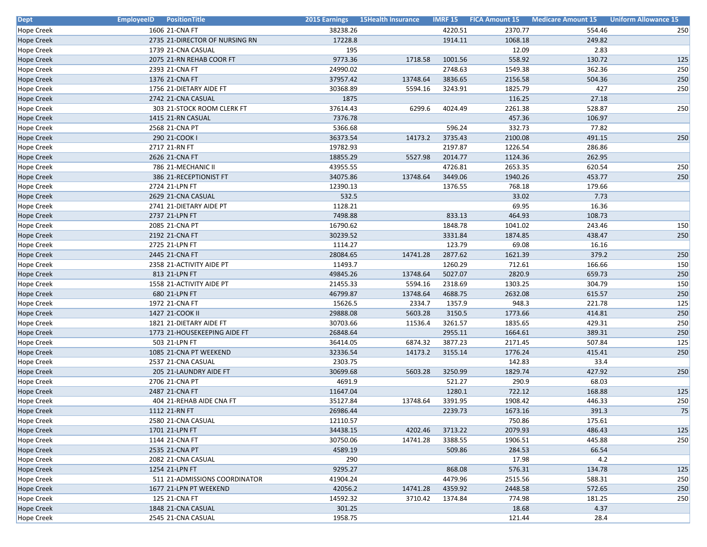| <b>Dept</b>       | <b>EmployeeID</b> Position Title | 2015 Earnings | <b>15Health Insurance</b> |         |         | <b>IMRF 15 FICA Amount 15 Medicare Amount 15</b> | <b>Uniform Allowance 15</b> |
|-------------------|----------------------------------|---------------|---------------------------|---------|---------|--------------------------------------------------|-----------------------------|
| <b>Hope Creek</b> | 1606 21-CNA FT                   | 38238.26      |                           | 4220.51 | 2370.77 | 554.46                                           | 250                         |
| <b>Hope Creek</b> | 2735 21-DIRECTOR OF NURSING RN   | 17228.8       |                           | 1914.11 | 1068.18 | 249.82                                           |                             |
| Hope Creek        | 1739 21-CNA CASUAL               | 195           |                           |         | 12.09   | 2.83                                             |                             |
| <b>Hope Creek</b> | 2075 21-RN REHAB COOR FT         | 9773.36       | 1718.58                   | 1001.56 | 558.92  | 130.72                                           | 125                         |
| <b>Hope Creek</b> | 2393 21-CNA FT                   | 24990.02      |                           | 2748.63 | 1549.38 | 362.36                                           | 250                         |
| <b>Hope Creek</b> | 1376 21-CNA FT                   | 37957.42      | 13748.64                  | 3836.65 | 2156.58 | 504.36                                           | 250                         |
| Hope Creek        | 1756 21-DIETARY AIDE FT          | 30368.89      | 5594.16                   | 3243.91 | 1825.79 | 427                                              | 250                         |
| <b>Hope Creek</b> | 2742 21-CNA CASUAL               | 1875          |                           |         | 116.25  | 27.18                                            |                             |
| <b>Hope Creek</b> | 303 21-STOCK ROOM CLERK FT       | 37614.43      | 6299.6                    | 4024.49 | 2261.38 | 528.87                                           | 250                         |
| Hope Creek        | 1415 21-RN CASUAL                | 7376.78       |                           |         | 457.36  | 106.97                                           |                             |
| <b>Hope Creek</b> | 2568 21-CNA PT                   | 5366.68       |                           | 596.24  | 332.73  | 77.82                                            |                             |
| <b>Hope Creek</b> | 290 21-COOK I                    | 36373.54      | 14173.2                   | 3735.43 | 2100.08 | 491.15                                           | 250                         |
| <b>Hope Creek</b> | 2717 21-RN FT                    | 19782.93      |                           | 2197.87 | 1226.54 | 286.86                                           |                             |
| Hope Creek        | 2626 21-CNA FT                   | 18855.29      | 5527.98                   | 2014.77 | 1124.36 | 262.95                                           |                             |
| <b>Hope Creek</b> | 786 21-MECHANIC II               | 43955.55      |                           | 4726.81 | 2653.35 | 620.54                                           | 250                         |
| <b>Hope Creek</b> | 386 21-RECEPTIONIST FT           | 34075.86      | 13748.64                  | 3449.06 | 1940.26 | 453.77                                           | 250                         |
| Hope Creek        | 2724 21-LPN FT                   | 12390.13      |                           | 1376.55 | 768.18  | 179.66                                           |                             |
| <b>Hope Creek</b> | 2629 21-CNA CASUAL               | 532.5         |                           |         | 33.02   | 7.73                                             |                             |
| Hope Creek        | 2741 21-DIETARY AIDE PT          | 1128.21       |                           |         | 69.95   | 16.36                                            |                             |
| <b>Hope Creek</b> | 2737 21-LPN FT                   | 7498.88       |                           | 833.13  | 464.93  | 108.73                                           |                             |
| <b>Hope Creek</b> | 2085 21-CNA PT                   | 16790.62      |                           | 1848.78 | 1041.02 | 243.46                                           | 150                         |
| <b>Hope Creek</b> | 2192 21-CNA FT                   | 30239.52      |                           | 3331.84 | 1874.85 | 438.47                                           | 250                         |
| <b>Hope Creek</b> | 2725 21-LPN FT                   | 1114.27       |                           | 123.79  | 69.08   | 16.16                                            |                             |
| <b>Hope Creek</b> | 2445 21-CNA FT                   | 28084.65      | 14741.28                  | 2877.62 | 1621.39 | 379.2                                            | 250                         |
| Hope Creek        | 2358 21-ACTIVITY AIDE PT         | 11493.7       |                           | 1260.29 | 712.61  | 166.66                                           | 150                         |
| <b>Hope Creek</b> | 813 21-LPN FT                    | 49845.26      | 13748.64                  | 5027.07 | 2820.9  | 659.73                                           | 250                         |
| <b>Hope Creek</b> | 1558 21-ACTIVITY AIDE PT         | 21455.33      | 5594.16                   | 2318.69 | 1303.25 | 304.79                                           | 150                         |
| <b>Hope Creek</b> | 680 21-LPN FT                    | 46799.87      | 13748.64                  | 4688.75 | 2632.08 | 615.57                                           | 250                         |
| <b>Hope Creek</b> | 1972 21-CNA FT                   | 15626.5       | 2334.7                    | 1357.9  | 948.3   | 221.78                                           | 125                         |
| <b>Hope Creek</b> | 1427 21-COOK II                  | 29888.08      | 5603.28                   | 3150.5  | 1773.66 | 414.81                                           | 250                         |
| Hope Creek        | 1821 21-DIETARY AIDE FT          | 30703.66      | 11536.4                   | 3261.57 | 1835.65 | 429.31                                           | 250                         |
| <b>Hope Creek</b> | 1773 21-HOUSEKEEPING AIDE FT     | 26848.64      |                           | 2955.11 | 1664.61 | 389.31                                           | 250                         |
| <b>Hope Creek</b> | 503 21-LPN FT                    | 36414.05      | 6874.32                   | 3877.23 | 2171.45 | 507.84                                           | 125                         |
| <b>Hope Creek</b> | 1085 21-CNA PT WEEKEND           | 32336.54      | 14173.2                   | 3155.14 | 1776.24 | 415.41                                           | 250                         |
| Hope Creek        | 2537 21-CNA CASUAL               | 2303.75       |                           |         | 142.83  | 33.4                                             |                             |
| <b>Hope Creek</b> | 205 21-LAUNDRY AIDE FT           | 30699.68      | 5603.28                   | 3250.99 | 1829.74 | 427.92                                           | 250                         |
| <b>Hope Creek</b> | 2706 21-CNA PT                   | 4691.9        |                           | 521.27  | 290.9   | 68.03                                            |                             |
| <b>Hope Creek</b> | 2487 21-CNA FT                   | 11647.04      |                           | 1280.1  | 722.12  | 168.88                                           | 125                         |
| <b>Hope Creek</b> | 404 21-REHAB AIDE CNA FT         | 35127.84      | 13748.64                  | 3391.95 | 1908.42 | 446.33                                           | 250                         |
| <b>Hope Creek</b> | 1112 21-RN FT                    | 26986.44      |                           | 2239.73 | 1673.16 | 391.3                                            | 75                          |
| <b>Hope Creek</b> | 2580 21-CNA CASUAL               | 12110.57      |                           |         | 750.86  | 175.61                                           |                             |
| <b>Hope Creek</b> | 1701 21-LPN FT                   | 34438.15      | 4202.46                   | 3713.22 | 2079.93 | 486.43                                           | 125                         |
| <b>Hope Creek</b> | 1144 21-CNA FT                   | 30750.06      | 14741.28                  | 3388.55 | 1906.51 | 445.88                                           | 250                         |
| <b>Hope Creek</b> | 2535 21-CNA PT                   | 4589.19       |                           | 509.86  | 284.53  | 66.54                                            |                             |
| <b>Hope Creek</b> | 2082 21-CNA CASUAL               | 290           |                           |         | 17.98   | 4.2                                              |                             |
| <b>Hope Creek</b> | 1254 21-LPN FT                   | 9295.27       |                           | 868.08  | 576.31  | 134.78                                           | 125                         |
| <b>Hope Creek</b> | 511 21-ADMISSIONS COORDINATOR    | 41904.24      |                           | 4479.96 | 2515.56 | 588.31                                           | 250                         |
| <b>Hope Creek</b> | 1677 21-LPN PT WEEKEND           | 42056.2       | 14741.28                  | 4359.92 | 2448.58 | 572.65                                           | 250                         |
| <b>Hope Creek</b> | 125 21-CNA FT                    | 14592.32      | 3710.42                   | 1374.84 | 774.98  | 181.25                                           | 250                         |
| <b>Hope Creek</b> | 1848 21-CNA CASUAL               | 301.25        |                           |         | 18.68   | 4.37                                             |                             |
| <b>Hope Creek</b> | 2545 21-CNA CASUAL               | 1958.75       |                           |         | 121.44  | 28.4                                             |                             |
|                   |                                  |               |                           |         |         |                                                  |                             |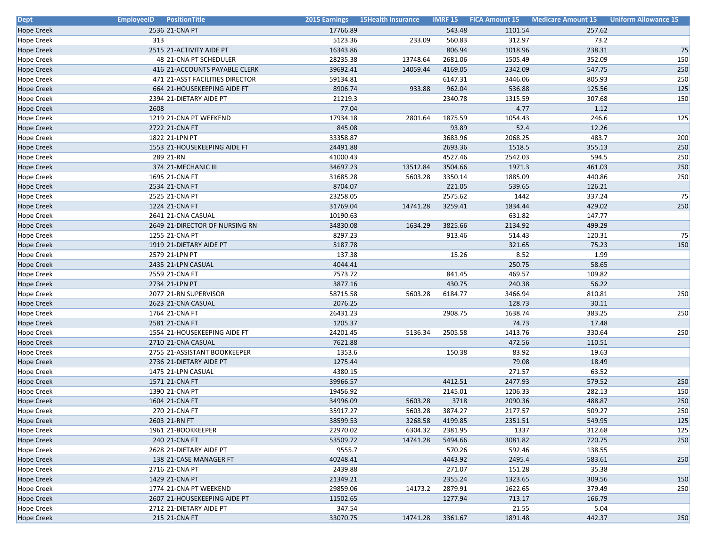| <b>Dept</b>       | <b>EmployeeID</b> PositionTitle | 2015 Earnings | <b>15Health Insurance</b> |         | <b>IMRF 15 FICA Amount 15</b> | <b>Medicare Amount 15</b> | <b>Uniform Allowance 15</b> |
|-------------------|---------------------------------|---------------|---------------------------|---------|-------------------------------|---------------------------|-----------------------------|
| <b>Hope Creek</b> | 2536 21-CNA PT                  | 17766.89      |                           | 543.48  | 1101.54                       | 257.62                    |                             |
| <b>Hope Creek</b> | 313                             | 5123.36       | 233.09                    | 560.83  | 312.97                        | 73.2                      |                             |
| Hope Creek        | 2515 21-ACTIVITY AIDE PT        | 16343.86      |                           | 806.94  | 1018.96                       | 238.31                    | 75                          |
| <b>Hope Creek</b> | 48 21-CNA PT SCHEDULER          | 28235.38      | 13748.64                  | 2681.06 | 1505.49                       | 352.09                    | 150                         |
| <b>Hope Creek</b> | 416 21-ACCOUNTS PAYABLE CLERK   | 39692.41      | 14059.44                  | 4169.05 | 2342.09                       | 547.75                    | 250                         |
| Hope Creek        | 471 21-ASST FACILITIES DIRECTOR | 59134.81      |                           | 6147.31 | 3446.06                       | 805.93                    | 250                         |
| Hope Creek        | 664 21-HOUSEKEEPING AIDE FT     | 8906.74       | 933.88                    | 962.04  | 536.88                        | 125.56                    | 125                         |
| <b>Hope Creek</b> | 2394 21-DIETARY AIDE PT         | 21219.3       |                           | 2340.78 | 1315.59                       | 307.68                    | 150                         |
| <b>Hope Creek</b> | 2608                            | 77.04         |                           |         | 4.77                          | 1.12                      |                             |
| Hope Creek        | 1219 21-CNA PT WEEKEND          | 17934.18      | 2801.64                   | 1875.59 | 1054.43                       | 246.6                     | 125                         |
| <b>Hope Creek</b> | 2722 21-CNA FT                  | 845.08        |                           | 93.89   | 52.4                          | 12.26                     |                             |
| <b>Hope Creek</b> | 1822 21-LPN PT                  | 33358.87      |                           | 3683.96 | 2068.25                       | 483.7                     | 200                         |
| <b>Hope Creek</b> | 1553 21-HOUSEKEEPING AIDE FT    | 24491.88      |                           | 2693.36 | 1518.5                        | 355.13                    | 250                         |
| Hope Creek        | 289 21-RN                       | 41000.43      |                           | 4527.46 | 2542.03                       | 594.5                     | 250                         |
| <b>Hope Creek</b> | 374 21-MECHANIC III             | 34697.23      | 13512.84                  | 3504.66 | 1971.3                        | 461.03                    | 250                         |
| <b>Hope Creek</b> | 1695 21-CNA FT                  | 31685.28      | 5603.28                   | 3350.14 | 1885.09                       | 440.86                    | 250                         |
| <b>Hope Creek</b> | 2534 21-CNA FT                  | 8704.07       |                           | 221.05  | 539.65                        | 126.21                    |                             |
| <b>Hope Creek</b> | 2525 21-CNA PT                  | 23258.05      |                           | 2575.62 | 1442                          | 337.24                    | 75                          |
| <b>Hope Creek</b> | 1224 21-CNA FT                  | 31769.04      | 14741.28                  | 3259.41 | 1834.44                       | 429.02                    | 250                         |
| <b>Hope Creek</b> | 2641 21-CNA CASUAL              | 10190.63      |                           |         | 631.82                        | 147.77                    |                             |
| <b>Hope Creek</b> | 2649 21-DIRECTOR OF NURSING RN  | 34830.08      | 1634.29                   | 3825.66 | 2134.92                       | 499.29                    |                             |
| <b>Hope Creek</b> | 1255 21-CNA PT                  | 8297.23       |                           | 913.46  | 514.43                        | 120.31                    | 75                          |
| <b>Hope Creek</b> | 1919 21-DIETARY AIDE PT         | 5187.78       |                           |         | 321.65                        | 75.23                     | 150                         |
| <b>Hope Creek</b> | 2579 21-LPN PT                  | 137.38        |                           | 15.26   | 8.52                          | 1.99                      |                             |
| Hope Creek        | 2435 21-LPN CASUAL              | 4044.41       |                           |         | 250.75                        | 58.65                     |                             |
| <b>Hope Creek</b> | 2559 21-CNA FT                  | 7573.72       |                           | 841.45  | 469.57                        | 109.82                    |                             |
| <b>Hope Creek</b> | 2734 21-LPN PT                  | 3877.16       |                           | 430.75  | 240.38                        | 56.22                     |                             |
| Hope Creek        | 2077 21-RN SUPERVISOR           | 58715.58      | 5603.28                   | 6184.77 | 3466.94                       | 810.81                    | 250                         |
| <b>Hope Creek</b> | 2623 21-CNA CASUAL              | 2076.25       |                           |         | 128.73                        | 30.11                     |                             |
| <b>Hope Creek</b> | 1764 21-CNA FT                  | 26431.23      |                           | 2908.75 | 1638.74                       | 383.25                    | 250                         |
| <b>Hope Creek</b> | 2581 21-CNA FT                  | 1205.37       |                           |         | 74.73                         | 17.48                     |                             |
| Hope Creek        | 1554 21-HOUSEKEEPING AIDE FT    | 24201.45      | 5136.34                   | 2505.58 | 1413.76                       | 330.64                    | 250                         |
| <b>Hope Creek</b> | 2710 21-CNA CASUAL              | 7621.88       |                           |         | 472.56                        | 110.51                    |                             |
| <b>Hope Creek</b> | 2755 21-ASSISTANT BOOKKEEPER    | 1353.6        |                           | 150.38  | 83.92                         | 19.63                     |                             |
| <b>Hope Creek</b> | 2736 21-DIETARY AIDE PT         | 1275.44       |                           |         | 79.08                         | 18.49                     |                             |
| Hope Creek        | 1475 21-LPN CASUAL              | 4380.15       |                           |         | 271.57                        | 63.52                     |                             |
| <b>Hope Creek</b> | 1571 21-CNA FT                  | 39966.57      |                           | 4412.51 | 2477.93                       | 579.52                    | 250                         |
| Hope Creek        | 1390 21-CNA PT                  | 19456.92      |                           | 2145.01 | 1206.33                       | 282.13                    | 150                         |
| <b>Hope Creek</b> | 1604 21-CNA FT                  | 34996.09      | 5603.28                   | 3718    | 2090.36                       | 488.87                    | 250                         |
| <b>Hope Creek</b> | 270 21-CNA FT                   | 35917.27      | 5603.28                   | 3874.27 | 2177.57                       | 509.27                    | 250                         |
| <b>Hope Creek</b> | 2603 21-RN FT                   | 38599.53      | 3268.58                   | 4199.85 | 2351.51                       | 549.95                    | 125                         |
| <b>Hope Creek</b> | 1961 21-BOOKKEEPER              | 22970.02      | 6304.32                   | 2381.95 | 1337                          | 312.68                    | 125                         |
| <b>Hope Creek</b> | 240 21-CNA FT                   | 53509.72      | 14741.28                  | 5494.66 | 3081.82                       | 720.75                    | 250                         |
| <b>Hope Creek</b> | 2628 21-DIETARY AIDE PT         | 9555.7        |                           | 570.26  | 592.46                        | 138.55                    |                             |
|                   |                                 | 40248.41      |                           | 4443.92 |                               |                           |                             |
| <b>Hope Creek</b> | 138 21-CASE MANAGER FT          |               |                           |         | 2495.4                        | 583.61                    | 250                         |
| <b>Hope Creek</b> | 2716 21-CNA PT                  | 2439.88       |                           | 271.07  | 151.28                        | 35.38                     |                             |
| <b>Hope Creek</b> | 1429 21-CNA PT                  | 21349.21      |                           | 2355.24 | 1323.65                       | 309.56                    | 150                         |
| <b>Hope Creek</b> | 1774 21-CNA PT WEEKEND          | 29859.06      | 14173.2                   | 2879.91 | 1622.65                       | 379.49                    | 250                         |
| <b>Hope Creek</b> | 2607 21-HOUSEKEEPING AIDE PT    | 11502.65      |                           | 1277.94 | 713.17                        | 166.79                    |                             |
| <b>Hope Creek</b> | 2712 21-DIETARY AIDE PT         | 347.54        |                           |         | 21.55                         | 5.04                      |                             |
| <b>Hope Creek</b> | 215 21-CNA FT                   | 33070.75      | 14741.28                  | 3361.67 | 1891.48                       | 442.37                    | 250                         |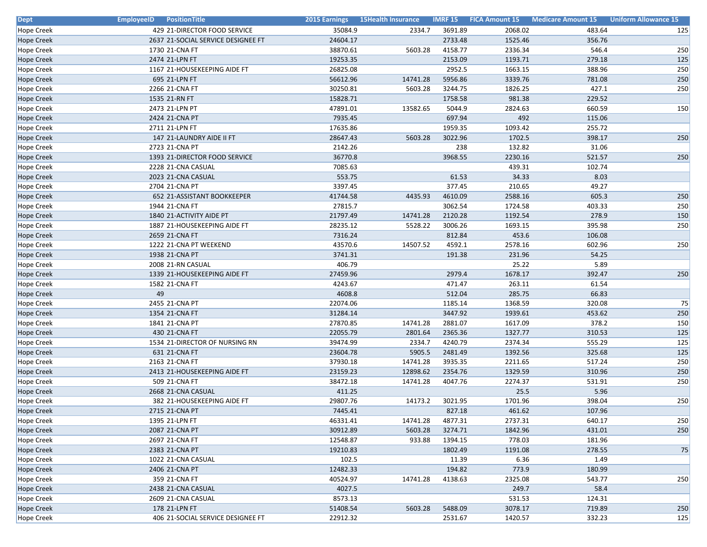| <b>Dept</b>       | <b>EmployeeID</b> Position Title   | 2015 Earnings | <b>15Health Insurance</b> |         | <b>IMRF 15 FICA Amount 15</b> | <b>Medicare Amount 15</b> | <b>Uniform Allowance 15</b> |
|-------------------|------------------------------------|---------------|---------------------------|---------|-------------------------------|---------------------------|-----------------------------|
| <b>Hope Creek</b> | 429 21-DIRECTOR FOOD SERVICE       | 35084.9       | 2334.7                    | 3691.89 | 2068.02                       | 483.64                    | 125                         |
| <b>Hope Creek</b> | 2637 21-SOCIAL SERVICE DESIGNEE FT | 24604.17      |                           | 2733.48 | 1525.46                       | 356.76                    |                             |
| Hope Creek        | 1730 21-CNA FT                     | 38870.61      | 5603.28                   | 4158.77 | 2336.34                       | 546.4                     | 250                         |
| <b>Hope Creek</b> | 2474 21-LPN FT                     | 19253.35      |                           | 2153.09 | 1193.71                       | 279.18                    | 125                         |
| <b>Hope Creek</b> | 1167 21-HOUSEKEEPING AIDE FT       | 26825.08      |                           | 2952.5  | 1663.15                       | 388.96                    | 250                         |
| <b>Hope Creek</b> | 695 21-LPN FT                      | 56612.96      | 14741.28                  | 5956.86 | 3339.76                       | 781.08                    | 250                         |
| Hope Creek        | 2266 21-CNA FT                     | 30250.81      | 5603.28                   | 3244.75 | 1826.25                       | 427.1                     | 250                         |
| <b>Hope Creek</b> | 1535 21-RN FT                      | 15828.71      |                           | 1758.58 | 981.38                        | 229.52                    |                             |
| <b>Hope Creek</b> | 2473 21-LPN PT                     | 47891.01      | 13582.65                  | 5044.9  | 2824.63                       | 660.59                    | 150                         |
| <b>Hope Creek</b> | 2424 21-CNA PT                     | 7935.45       |                           | 697.94  | 492                           | 115.06                    |                             |
| <b>Hope Creek</b> | 2711 21-LPN FT                     | 17635.86      |                           | 1959.35 | 1093.42                       | 255.72                    |                             |
| <b>Hope Creek</b> | 147 21-LAUNDRY AIDE II FT          | 28647.43      | 5603.28                   | 3022.96 | 1702.5                        | 398.17                    | 250                         |
| <b>Hope Creek</b> | 2723 21-CNA PT                     | 2142.26       |                           | 238     | 132.82                        | 31.06                     |                             |
| Hope Creek        | 1393 21-DIRECTOR FOOD SERVICE      | 36770.8       |                           | 3968.55 | 2230.16                       | 521.57                    | 250                         |
| <b>Hope Creek</b> | 2228 21-CNA CASUAL                 | 7085.63       |                           |         | 439.31                        | 102.74                    |                             |
| <b>Hope Creek</b> | 2023 21-CNA CASUAL                 | 553.75        |                           | 61.53   | 34.33                         | 8.03                      |                             |
| Hope Creek        | 2704 21-CNA PT                     | 3397.45       |                           | 377.45  | 210.65                        | 49.27                     |                             |
| <b>Hope Creek</b> | 652 21-ASSISTANT BOOKKEEPER        | 41744.58      | 4435.93                   | 4610.09 | 2588.16                       | 605.3                     | 250                         |
| Hope Creek        | 1944 21-CNA FT                     | 27815.7       |                           | 3062.54 | 1724.58                       | 403.33                    | 250                         |
| <b>Hope Creek</b> | 1840 21-ACTIVITY AIDE PT           | 21797.49      | 14741.28                  | 2120.28 | 1192.54                       | 278.9                     | 150                         |
| <b>Hope Creek</b> | 1887 21-HOUSEKEEPING AIDE FT       | 28235.12      | 5528.22                   | 3006.26 | 1693.15                       | 395.98                    | 250                         |
| <b>Hope Creek</b> | 2659 21-CNA FT                     | 7316.24       |                           | 812.84  | 453.6                         | 106.08                    |                             |
| <b>Hope Creek</b> | 1222 21-CNA PT WEEKEND             | 43570.6       | 14507.52                  | 4592.1  | 2578.16                       | 602.96                    | 250                         |
| <b>Hope Creek</b> | 1938 21-CNA PT                     | 3741.31       |                           | 191.38  | 231.96                        | 54.25                     |                             |
| Hope Creek        | 2008 21-RN CASUAL                  | 406.79        |                           |         | 25.22                         | 5.89                      |                             |
| <b>Hope Creek</b> | 1339 21-HOUSEKEEPING AIDE FT       | 27459.96      |                           | 2979.4  | 1678.17                       | 392.47                    | 250                         |
| <b>Hope Creek</b> | 1582 21-CNA FT                     | 4243.67       |                           | 471.47  | 263.11                        | 61.54                     |                             |
| <b>Hope Creek</b> | 49                                 | 4608.8        |                           | 512.04  | 285.75                        | 66.83                     |                             |
| <b>Hope Creek</b> | 2455 21-CNA PT                     | 22074.06      |                           | 1185.14 | 1368.59                       | 320.08                    | 75                          |
| <b>Hope Creek</b> | 1354 21-CNA FT                     | 31284.14      |                           | 3447.92 | 1939.61                       | 453.62                    | 250                         |
| Hope Creek        | 1841 21-CNA PT                     | 27870.85      | 14741.28                  | 2881.07 | 1617.09                       | 378.2                     | 150                         |
| <b>Hope Creek</b> | 430 21-CNA FT                      | 22055.79      | 2801.64                   | 2365.36 | 1327.77                       | 310.53                    | 125                         |
| Hope Creek        | 1534 21-DIRECTOR OF NURSING RN     | 39474.99      | 2334.7                    | 4240.79 | 2374.34                       | 555.29                    | 125                         |
| <b>Hope Creek</b> | 631 21-CNA FT                      | 23604.78      | 5905.5                    | 2481.49 | 1392.56                       | 325.68                    | 125                         |
| Hope Creek        | 2163 21-CNA FT                     | 37930.18      | 14741.28                  | 3935.35 | 2211.65                       | 517.24                    | 250                         |
| <b>Hope Creek</b> | 2413 21-HOUSEKEEPING AIDE FT       | 23159.23      | 12898.62                  | 2354.76 | 1329.59                       | 310.96                    | 250                         |
| <b>Hope Creek</b> | 509 21-CNA FT                      | 38472.18      | 14741.28                  | 4047.76 | 2274.37                       | 531.91                    | 250                         |
| <b>Hope Creek</b> | 2668 21-CNA CASUAL                 | 411.25        |                           |         | 25.5                          | 5.96                      |                             |
| Hope Creek        | 382 21-HOUSEKEEPING AIDE FT        | 29807.76      | 14173.2                   | 3021.95 | 1701.96                       | 398.04                    | 250                         |
| <b>Hope Creek</b> | 2715 21-CNA PT                     | 7445.41       |                           | 827.18  | 461.62                        | 107.96                    |                             |
| <b>Hope Creek</b> | 1395 21-LPN FT                     | 46331.41      | 14741.28                  | 4877.31 | 2737.31                       | 640.17                    | 250                         |
| <b>Hope Creek</b> | 2087 21-CNA PT                     | 30912.89      | 5603.28                   | 3274.71 | 1842.96                       | 431.01                    | 250                         |
| <b>Hope Creek</b> | 2697 21-CNA FT                     | 12548.87      | 933.88                    | 1394.15 | 778.03                        | 181.96                    |                             |
| <b>Hope Creek</b> | 2383 21-CNA PT                     | 19210.83      |                           | 1802.49 | 1191.08                       | 278.55                    | 75                          |
| <b>Hope Creek</b> | 1022 21-CNA CASUAL                 | 102.5         |                           | 11.39   | 6.36                          | 1.49                      |                             |
| <b>Hope Creek</b> | 2406 21-CNA PT                     | 12482.33      |                           | 194.82  | 773.9                         | 180.99                    |                             |
| <b>Hope Creek</b> | 359 21-CNA FT                      | 40524.97      | 14741.28                  | 4138.63 | 2325.08                       | 543.77                    | 250                         |
| <b>Hope Creek</b> | 2438 21-CNA CASUAL                 | 4027.5        |                           |         | 249.7                         | 58.4                      |                             |
| <b>Hope Creek</b> | 2609 21-CNA CASUAL                 | 8573.13       |                           |         | 531.53                        | 124.31                    |                             |
| <b>Hope Creek</b> | 178 21-LPN FT                      | 51408.54      | 5603.28                   | 5488.09 | 3078.17                       | 719.89                    | 250                         |
| <b>Hope Creek</b> | 406 21-SOCIAL SERVICE DESIGNEE FT  | 22912.32      |                           | 2531.67 | 1420.57                       | 332.23                    | 125                         |
|                   |                                    |               |                           |         |                               |                           |                             |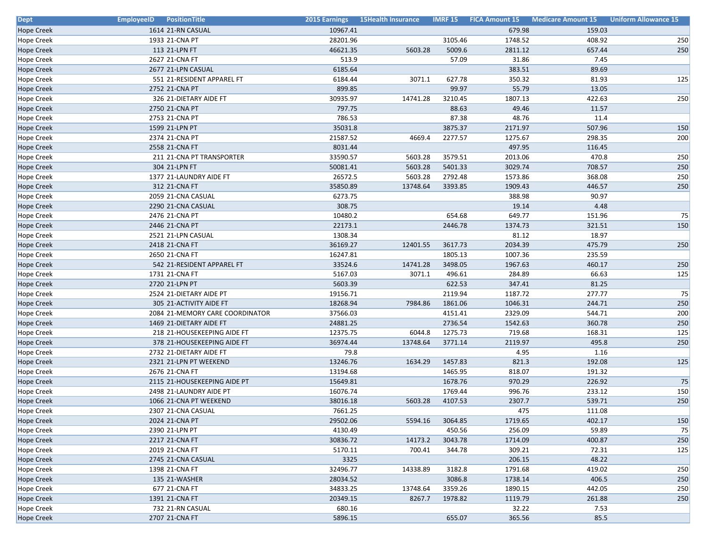| <b>Dept</b>       | <b>EmployeeID</b> PositionTitle | 2015 Earnings | <b>15Health Insurance</b> |         | <b>IMRF 15 FICA Amount 15</b> | <b>Medicare Amount 15</b> | <b>Uniform Allowance 15</b> |
|-------------------|---------------------------------|---------------|---------------------------|---------|-------------------------------|---------------------------|-----------------------------|
| <b>Hope Creek</b> | 1614 21-RN CASUAL               | 10967.41      |                           |         | 679.98                        | 159.03                    |                             |
| <b>Hope Creek</b> | 1933 21-CNA PT                  | 28201.96      |                           | 3105.46 | 1748.52                       | 408.92                    | 250                         |
| Hope Creek        | 113 21-LPN FT                   | 46621.35      | 5603.28                   | 5009.6  | 2811.12                       | 657.44                    | 250                         |
| <b>Hope Creek</b> | 2627 21-CNA FT                  | 513.9         |                           | 57.09   | 31.86                         | 7.45                      |                             |
| <b>Hope Creek</b> | 2677 21-LPN CASUAL              | 6185.64       |                           |         | 383.51                        | 89.69                     |                             |
| Hope Creek        | 551 21-RESIDENT APPAREL FT      | 6184.44       | 3071.1                    | 627.78  | 350.32                        | 81.93                     | 125                         |
| Hope Creek        | 2752 21-CNA PT                  | 899.85        |                           | 99.97   | 55.79                         | 13.05                     |                             |
| <b>Hope Creek</b> | 326 21-DIETARY AIDE FT          | 30935.97      | 14741.28                  | 3210.45 | 1807.13                       | 422.63                    | 250                         |
| <b>Hope Creek</b> | 2750 21-CNA PT                  | 797.75        |                           | 88.63   | 49.46                         | 11.57                     |                             |
| Hope Creek        | 2753 21-CNA PT                  | 786.53        |                           | 87.38   | 48.76                         | 11.4                      |                             |
| <b>Hope Creek</b> | 1599 21-LPN PT                  | 35031.8       |                           | 3875.37 | 2171.97                       | 507.96                    | 150                         |
| <b>Hope Creek</b> | 2374 21-CNA PT                  | 21587.52      | 4669.4                    | 2277.57 | 1275.67                       | 298.35                    | 200                         |
| <b>Hope Creek</b> | 2558 21-CNA FT                  | 8031.44       |                           |         | 497.95                        | 116.45                    |                             |
| Hope Creek        | 211 21-CNA PT TRANSPORTER       | 33590.57      | 5603.28                   | 3579.51 | 2013.06                       | 470.8                     | 250                         |
| <b>Hope Creek</b> | 304 21-LPN FT                   | 50081.41      | 5603.28                   | 5401.33 | 3029.74                       | 708.57                    | 250                         |
| <b>Hope Creek</b> | 1377 21-LAUNDRY AIDE FT         | 26572.5       | 5603.28                   | 2792.48 | 1573.86                       | 368.08                    | 250                         |
| <b>Hope Creek</b> | 312 21-CNA FT                   | 35850.89      | 13748.64                  | 3393.85 | 1909.43                       | 446.57                    | 250                         |
| Hope Creek        | 2059 21-CNA CASUAL              | 6273.75       |                           |         | 388.98                        | 90.97                     |                             |
| <b>Hope Creek</b> | 2290 21-CNA CASUAL              | 308.75        |                           |         | 19.14                         | 4.48                      |                             |
| Hope Creek        | 2476 21-CNA PT                  | 10480.2       |                           | 654.68  | 649.77                        | 151.96                    | 75                          |
| <b>Hope Creek</b> | 2446 21-CNA PT                  | 22173.1       |                           | 2446.78 | 1374.73                       | 321.51                    | 150                         |
| <b>Hope Creek</b> | 2521 21-LPN CASUAL              | 1308.34       |                           |         | 81.12                         | 18.97                     |                             |
| <b>Hope Creek</b> | 2418 21-CNA FT                  | 36169.27      | 12401.55                  | 3617.73 | 2034.39                       | 475.79                    | 250                         |
| <b>Hope Creek</b> | 2650 21-CNA FT                  | 16247.81      |                           | 1805.13 | 1007.36                       | 235.59                    |                             |
| Hope Creek        | 542 21-RESIDENT APPAREL FT      | 33524.6       | 14741.28                  | 3498.05 | 1967.63                       | 460.17                    | 250                         |
| <b>Hope Creek</b> | 1731 21-CNA FT                  | 5167.03       | 3071.1                    | 496.61  | 284.89                        | 66.63                     | 125                         |
| <b>Hope Creek</b> | 2720 21-LPN PT                  | 5603.39       |                           | 622.53  | 347.41                        | 81.25                     |                             |
| Hope Creek        | 2524 21-DIETARY AIDE PT         | 19156.71      |                           | 2119.94 | 1187.72                       | 277.77                    | 75                          |
| <b>Hope Creek</b> | 305 21-ACTIVITY AIDE FT         | 18268.94      | 7984.86                   | 1861.06 | 1046.31                       | 244.71                    | 250                         |
| <b>Hope Creek</b> | 2084 21-MEMORY CARE COORDINATOR | 37566.03      |                           | 4151.41 | 2329.09                       | 544.71                    | 200                         |
| <b>Hope Creek</b> | 1469 21-DIETARY AIDE FT         | 24881.25      |                           | 2736.54 | 1542.63                       | 360.78                    | 250                         |
| Hope Creek        | 218 21-HOUSEKEEPING AIDE FT     | 12375.75      | 6044.8                    | 1275.73 | 719.68                        | 168.31                    | 125                         |
| <b>Hope Creek</b> | 378 21-HOUSEKEEPING AIDE FT     | 36974.44      | 13748.64                  | 3771.14 | 2119.97                       | 495.8                     | 250                         |
| <b>Hope Creek</b> | 2732 21-DIETARY AIDE FT         | 79.8          |                           |         | 4.95                          | 1.16                      |                             |
| <b>Hope Creek</b> | 2321 21-LPN PT WEEKEND          | 13246.76      | 1634.29                   | 1457.83 | 821.3                         | 192.08                    | 125                         |
| Hope Creek        | 2676 21-CNA FT                  | 13194.68      |                           | 1465.95 | 818.07                        | 191.32                    |                             |
| <b>Hope Creek</b> | 2115 21-HOUSEKEEPING AIDE PT    | 15649.81      |                           | 1678.76 | 970.29                        | 226.92                    | 75                          |
| Hope Creek        | 2498 21-LAUNDRY AIDE PT         | 16076.74      |                           | 1769.44 | 996.76                        | 233.12                    | 150                         |
| <b>Hope Creek</b> | 1066 21-CNA PT WEEKEND          | 38016.18      | 5603.28                   | 4107.53 | 2307.7                        | 539.71                    | 250                         |
| <b>Hope Creek</b> | 2307 21-CNA CASUAL              | 7661.25       |                           |         | 475                           | 111.08                    |                             |
| <b>Hope Creek</b> | 2024 21-CNA PT                  | 29502.06      | 5594.16                   | 3064.85 | 1719.65                       | 402.17                    | 150                         |
| <b>Hope Creek</b> | 2390 21-LPN PT                  | 4130.49       |                           | 450.56  | 256.09                        | 59.89                     | 75                          |
| <b>Hope Creek</b> | 2217 21-CNA FT                  | 30836.72      | 14173.2                   | 3043.78 | 1714.09                       | 400.87                    | 250                         |
| <b>Hope Creek</b> | 2019 21-CNA FT                  | 5170.11       | 700.41                    | 344.78  | 309.21                        | 72.31                     | 125                         |
| <b>Hope Creek</b> | 2745 21-CNA CASUAL              | 3325          |                           |         | 206.15                        | 48.22                     |                             |
| <b>Hope Creek</b> | 1398 21-CNA FT                  | 32496.77      | 14338.89                  | 3182.8  | 1791.68                       | 419.02                    | 250                         |
| <b>Hope Creek</b> | 135 21-WASHER                   | 28034.52      |                           | 3086.8  | 1738.14                       | 406.5                     | 250                         |
| <b>Hope Creek</b> | 677 21-CNA FT                   | 34833.25      | 13748.64                  | 3359.26 | 1890.15                       | 442.05                    | 250                         |
| <b>Hope Creek</b> | 1391 21-CNA FT                  | 20349.15      | 8267.7                    | 1978.82 | 1119.79                       | 261.88                    | 250                         |
| <b>Hope Creek</b> | 732 21-RN CASUAL                | 680.16        |                           |         | 32.22                         | 7.53                      |                             |
| <b>Hope Creek</b> | 2707 21-CNA FT                  | 5896.15       |                           | 655.07  | 365.56                        | 85.5                      |                             |
|                   |                                 |               |                           |         |                               |                           |                             |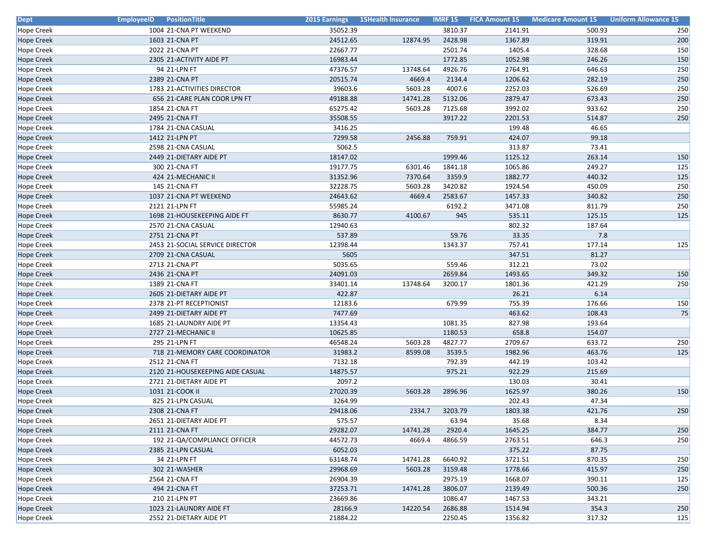| <b>Dept</b>       | <b>EmployeeID</b> PositionTitle  | 2015 Earnings | <b>15Health Insurance</b> | <b>IMRF 15</b> | <b>FICA Amount 15</b> | <b>Medicare Amount 15</b> | <b>Uniform Allowance 15</b> |
|-------------------|----------------------------------|---------------|---------------------------|----------------|-----------------------|---------------------------|-----------------------------|
| <b>Hope Creek</b> | 1004 21-CNA PT WEEKEND           | 35052.39      |                           | 3810.37        | 2141.91               | 500.93                    | 250                         |
| <b>Hope Creek</b> | 1603 21-CNA PT                   | 24512.65      | 12874.95                  | 2428.98        | 1367.89               | 319.91                    | 200                         |
| <b>Hope Creek</b> | 2022 21-CNA PT                   | 22667.77      |                           | 2501.74        | 1405.4                | 328.68                    | 150                         |
| <b>Hope Creek</b> | 2305 21-ACTIVITY AIDE PT         | 16983.44      |                           | 1772.85        | 1052.98               | 246.26                    | 150                         |
| <b>Hope Creek</b> | 94 21-LPN FT                     | 47376.57      | 13748.64                  | 4926.76        | 2764.91               | 646.63                    | 250                         |
| <b>Hope Creek</b> | 2389 21-CNA PT                   | 20515.74      | 4669.4                    | 2134.4         | 1206.62               | 282.19                    | 250                         |
| Hope Creek        | 1783 21-ACTIVITIES DIRECTOR      | 39603.6       | 5603.28                   | 4007.6         | 2252.03               | 526.69                    | 250                         |
| Hope Creek        | 656 21-CARE PLAN COOR LPN FT     | 49188.88      | 14741.28                  | 5132.06        | 2879.47               | 673.43                    | 250                         |
| <b>Hope Creek</b> | 1854 21-CNA FT                   | 65275.42      | 5603.28                   | 7125.68        | 3992.02               | 933.62                    | 250                         |
| Hope Creek        | 2495 21-CNA FT                   | 35508.55      |                           | 3917.22        | 2201.53               | 514.87                    | 250                         |
| <b>Hope Creek</b> | 1784 21-CNA CASUAL               | 3416.25       |                           |                | 199.48                | 46.65                     |                             |
| <b>Hope Creek</b> | 1412 21-LPN PT                   | 7299.58       | 2456.88                   | 759.91         | 424.07                | 99.18                     |                             |
| <b>Hope Creek</b> | 2598 21-CNA CASUAL               | 5062.5        |                           |                | 313.87                | 73.41                     |                             |
| Hope Creek        | 2449 21-DIETARY AIDE PT          | 18147.02      |                           | 1999.46        | 1125.12               | 263.14                    | 150                         |
| <b>Hope Creek</b> | 300 21-CNA FT                    | 19177.75      | 6301.46                   | 1841.18        | 1065.86               | 249.27                    | 125                         |
| <b>Hope Creek</b> | 424 21-MECHANIC II               | 31352.96      | 7370.64                   | 3359.9         | 1882.77               | 440.32                    | 125                         |
| Hope Creek        | 145 21-CNA FT                    | 32228.75      | 5603.28                   | 3420.82        | 1924.54               | 450.09                    | 250                         |
| <b>Hope Creek</b> | 1037 21-CNA PT WEEKEND           | 24643.62      | 4669.4                    | 2583.67        | 1457.33               | 340.82                    | 250                         |
| <b>Hope Creek</b> | 2121 21-LPN FT                   | 55985.24      |                           | 6192.2         | 3471.08               | 811.79                    | 250                         |
| <b>Hope Creek</b> | 1698 21-HOUSEKEEPING AIDE FT     | 8630.77       | 4100.67                   | 945            | 535.11                | 125.15                    | 125                         |
| Hope Creek        | 2570 21-CNA CASUAL               | 12940.63      |                           |                | 802.32                | 187.64                    |                             |
| <b>Hope Creek</b> | 2751 21-CNA PT                   | 537.89        |                           | 59.76          | 33.35                 | 7.8                       |                             |
| <b>Hope Creek</b> | 2453 21-SOCIAL SERVICE DIRECTOR  | 12398.44      |                           | 1343.37        | 757.41                | 177.14                    | 125                         |
| <b>Hope Creek</b> | 2709 21-CNA CASUAL               | 5605          |                           |                | 347.51                | 81.27                     |                             |
| Hope Creek        | 2713 21-CNA PT                   | 5035.65       |                           | 559.46         | 312.21                | 73.02                     |                             |
| <b>Hope Creek</b> | 2436 21-CNA PT                   | 24091.03      |                           | 2659.84        | 1493.65               | 349.32                    | 150                         |
| <b>Hope Creek</b> | 1389 21-CNA FT                   | 33401.14      | 13748.64                  | 3200.17        | 1801.36               | 421.29                    | 250                         |
| <b>Hope Creek</b> | 2605 21-DIETARY AIDE PT          | 422.87        |                           |                | 26.21                 | 6.14                      |                             |
| Hope Creek        | 2378 21-PT RECEPTIONIST          | 12183.6       |                           | 679.99         | 755.39                | 176.66                    | 150                         |
| <b>Hope Creek</b> | 2499 21-DIETARY AIDE PT          | 7477.69       |                           |                | 463.62                | 108.43                    | 75                          |
| Hope Creek        | 1685 21-LAUNDRY AIDE PT          | 13354.43      |                           | 1081.35        | 827.98                | 193.64                    |                             |
| <b>Hope Creek</b> | 2727 21-MECHANIC II              | 10625.85      |                           | 1180.53        | 658.8                 | 154.07                    |                             |
| <b>Hope Creek</b> | 295 21-LPN FT                    | 46548.24      | 5603.28                   | 4827.77        | 2709.67               | 633.72                    | 250                         |
| <b>Hope Creek</b> | 718 21-MEMORY CARE COORDINATOR   | 31983.2       | 8599.08                   | 3539.5         | 1982.96               | 463.76                    | 125                         |
| Hope Creek        | 2512 21-CNA FT                   | 7132.18       |                           | 792.39         | 442.19                | 103.42                    |                             |
| Hope Creek        | 2120 21-HOUSEKEEPING AIDE CASUAL | 14875.57      |                           | 975.21         | 922.29                | 215.69                    |                             |
| <b>Hope Creek</b> | 2721 21-DIETARY AIDE PT          | 2097.2        |                           |                | 130.03                | 30.41                     |                             |
| <b>Hope Creek</b> | 1031 21-COOK II                  | 27020.39      | 5603.28                   | 2896.96        | 1625.97               | 380.26                    | 150                         |
| <b>Hope Creek</b> | 825 21-LPN CASUAL                | 3264.99       |                           |                | 202.43                | 47.34                     |                             |
| <b>Hope Creek</b> | 2308 21-CNA FT                   | 29418.06      | 2334.7                    | 3203.79        | 1803.38               | 421.76                    | 250                         |
| <b>Hope Creek</b> | 2651 21-DIETARY AIDE PT          | 575.57        |                           | 63.94          | 35.68                 | 8.34                      |                             |
| <b>Hope Creek</b> | 2111 21-CNA FT                   | 29282.07      | 14741.28                  | 2920.4         | 1645.25               | 384.77                    | 250                         |
| <b>Hope Creek</b> | 192 21-QA/COMPLIANCE OFFICER     | 44572.73      | 4669.4                    | 4866.59        | 2763.51               | 646.3                     | 250                         |
| <b>Hope Creek</b> | 2385 21-LPN CASUAL               | 6052.03       |                           |                | 375.22                | 87.75                     |                             |
| <b>Hope Creek</b> | 34 21-LPN FT                     | 63148.74      | 14741.28                  | 6640.92        | 3721.51               | 870.35                    | 250                         |
| <b>Hope Creek</b> | 302 21-WASHER                    | 29968.69      | 5603.28                   | 3159.48        | 1778.66               | 415.97                    | 250                         |
| <b>Hope Creek</b> | 2564 21-CNA FT                   | 26904.39      |                           | 2975.19        | 1668.07               | 390.11                    | 125                         |
| <b>Hope Creek</b> | 494 21-CNA FT                    | 37253.71      | 14741.28                  | 3806.07        | 2139.49               | 500.36                    | 250                         |
| <b>Hope Creek</b> | 210 21-LPN PT                    | 23669.86      |                           | 1086.47        | 1467.53               | 343.21                    |                             |
| <b>Hope Creek</b> | 1023 21-LAUNDRY AIDE FT          | 28166.9       | 14220.54                  | 2686.88        | 1514.94               | 354.3                     | 250                         |
| <b>Hope Creek</b> | 2552 21-DIETARY AIDE PT          | 21884.22      |                           | 2250.45        | 1356.82               | 317.32                    | 125                         |
|                   |                                  |               |                           |                |                       |                           |                             |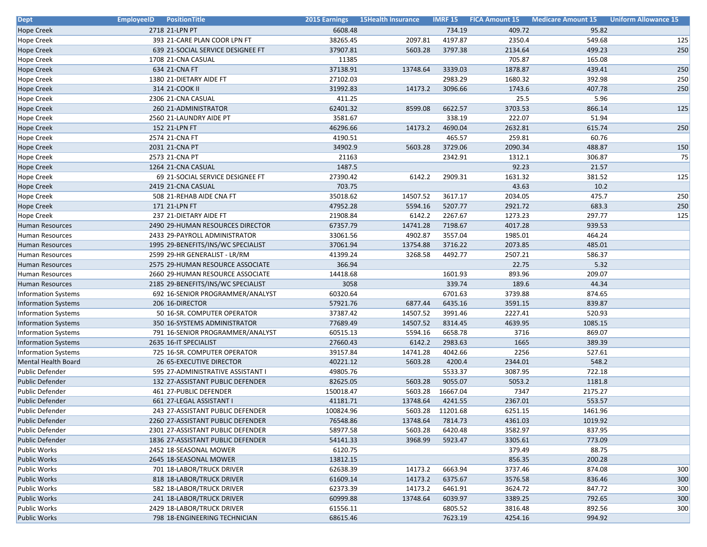| <b>Dept</b>                | <b>EmployeeID</b> Position Title   | <b>2015 Earnings</b> | <b>15Health Insurance</b> |          |         | <b>IMRF 15 FICA Amount 15 Medicare Amount 15</b> | <b>Uniform Allowance 15</b> |
|----------------------------|------------------------------------|----------------------|---------------------------|----------|---------|--------------------------------------------------|-----------------------------|
| <b>Hope Creek</b>          | 2718 21-LPN PT                     | 6608.48              |                           | 734.19   | 409.72  | 95.82                                            |                             |
| <b>Hope Creek</b>          | 393 21-CARE PLAN COOR LPN FT       | 38265.45             | 2097.81                   | 4197.87  | 2350.4  | 549.68                                           | 125                         |
| Hope Creek                 | 639 21-SOCIAL SERVICE DESIGNEE FT  | 37907.81             | 5603.28                   | 3797.38  | 2134.64 | 499.23                                           | 250                         |
| <b>Hope Creek</b>          | 1708 21-CNA CASUAL                 | 11385                |                           |          | 705.87  | 165.08                                           |                             |
| <b>Hope Creek</b>          | 634 21-CNA FT                      | 37138.91             | 13748.64                  | 3339.03  | 1878.87 | 439.41                                           | 250                         |
| Hope Creek                 | 1380 21-DIETARY AIDE FT            | 27102.03             |                           | 2983.29  | 1680.32 | 392.98                                           | 250                         |
| Hope Creek                 | 314 21-COOK II                     | 31992.83             | 14173.2                   | 3096.66  | 1743.6  | 407.78                                           | 250                         |
| <b>Hope Creek</b>          | 2306 21-CNA CASUAL                 | 411.25               |                           |          | 25.5    | 5.96                                             |                             |
| <b>Hope Creek</b>          | 260 21-ADMINISTRATOR               | 62401.32             | 8599.08                   | 6622.57  | 3703.53 | 866.14                                           | 125                         |
| <b>Hope Creek</b>          | 2560 21-LAUNDRY AIDE PT            | 3581.67              |                           | 338.19   | 222.07  | 51.94                                            |                             |
| <b>Hope Creek</b>          | 152 21-LPN FT                      | 46296.66             | 14173.2                   | 4690.04  | 2632.81 | 615.74                                           | 250                         |
| <b>Hope Creek</b>          | 2574 21-CNA FT                     | 4190.51              |                           | 465.57   | 259.81  | 60.76                                            |                             |
| <b>Hope Creek</b>          | 2031 21-CNA PT                     | 34902.9              | 5603.28                   | 3729.06  | 2090.34 | 488.87                                           | 150                         |
| Hope Creek                 | 2573 21-CNA PT                     | 21163                |                           | 2342.91  | 1312.1  | 306.87                                           | 75                          |
| <b>Hope Creek</b>          | 1264 21-CNA CASUAL                 | 1487.5               |                           |          | 92.23   | 21.57                                            |                             |
| <b>Hope Creek</b>          | 69 21-SOCIAL SERVICE DESIGNEE FT   | 27390.42             | 6142.2                    | 2909.31  | 1631.32 | 381.52                                           | 125                         |
| <b>Hope Creek</b>          | 2419 21-CNA CASUAL                 | 703.75               |                           |          | 43.63   | 10.2                                             |                             |
| Hope Creek                 | 508 21-REHAB AIDE CNA FT           | 35018.62             | 14507.52                  | 3617.17  | 2034.05 | 475.7                                            | 250                         |
| Hope Creek                 | 171 21-LPN FT                      | 47952.28             | 5594.16                   | 5207.77  | 2921.72 | 683.3                                            | 250                         |
| Hope Creek                 | 237 21-DIETARY AIDE FT             | 21908.84             | 6142.2                    | 2267.67  | 1273.23 | 297.77                                           | 125                         |
| Human Resources            | 2490 29-HUMAN RESOURCES DIRECTOR   | 67357.79             | 14741.28                  | 7198.67  | 4017.28 | 939.53                                           |                             |
| <b>Human Resources</b>     | 2433 29-PAYROLL ADMINISTRATOR      | 33061.56             | 4902.87                   | 3557.04  | 1985.01 | 464.24                                           |                             |
| Human Resources            | 1995 29-BENEFITS/INS/WC SPECIALIST | 37061.94             | 13754.88                  | 3716.22  | 2073.85 | 485.01                                           |                             |
| Human Resources            | 2599 29-HR GENERALIST - LR/RM      | 41399.24             | 3268.58                   | 4492.77  | 2507.21 | 586.37                                           |                             |
| Human Resources            | 2575 29-HUMAN RESOURCE ASSOCIATE   | 366.94               |                           |          | 22.75   | 5.32                                             |                             |
| Human Resources            | 2660 29-HUMAN RESOURCE ASSOCIATE   | 14418.68             |                           | 1601.93  | 893.96  | 209.07                                           |                             |
| Human Resources            | 2185 29-BENEFITS/INS/WC SPECIALIST | 3058                 |                           | 339.74   | 189.6   | 44.34                                            |                             |
| <b>Information Systems</b> | 692 16-SENIOR PROGRAMMER/ANALYST   | 60320.64             |                           | 6701.63  | 3739.88 | 874.65                                           |                             |
| <b>Information Systems</b> | 206 16-DIRECTOR                    | 57921.76             | 6877.44                   | 6435.16  | 3591.15 | 839.87                                           |                             |
| <b>Information Systems</b> | 50 16-SR. COMPUTER OPERATOR        | 37387.42             | 14507.52                  | 3991.46  | 2227.41 | 520.93                                           |                             |
| <b>Information Systems</b> | 350 16-SYSTEMS ADMINISTRATOR       | 77689.49             | 14507.52                  | 8314.45  | 4639.95 | 1085.15                                          |                             |
| <b>Information Systems</b> | 791 16-SENIOR PROGRAMMER/ANALYST   | 60515.13             | 5594.16                   | 6658.78  | 3716    | 869.07                                           |                             |
| <b>Information Systems</b> | 2635 16-IT SPECIALIST              | 27660.43             | 6142.2                    | 2983.63  | 1665    | 389.39                                           |                             |
| <b>Information Systems</b> | 725 16-SR. COMPUTER OPERATOR       | 39157.84             | 14741.28                  | 4042.66  | 2256    | 527.61                                           |                             |
| <b>Mental Health Board</b> | 26 65-EXECUTIVE DIRECTOR           | 40221.12             | 5603.28                   | 4200.4   | 2344.01 | 548.2                                            |                             |
| Public Defender            | 595 27-ADMINISTRATIVE ASSISTANT I  | 49805.76             |                           | 5533.37  | 3087.95 | 722.18                                           |                             |
| <b>Public Defender</b>     | 132 27-ASSISTANT PUBLIC DEFENDER   | 82625.05             | 5603.28                   | 9055.07  | 5053.2  | 1181.8                                           |                             |
| Public Defender            | 461 27-PUBLIC DEFENDER             | 150018.47            | 5603.28                   | 16667.04 | 7347    | 2175.27                                          |                             |
| <b>Public Defender</b>     | 661 27-LEGAL ASSISTANT I           | 41181.71             | 13748.64                  | 4241.55  | 2367.01 | 553.57                                           |                             |
| Public Defender            | 243 27-ASSISTANT PUBLIC DEFENDER   | 100824.96            | 5603.28                   | 11201.68 | 6251.15 | 1461.96                                          |                             |
| Public Defender            | 2260 27-ASSISTANT PUBLIC DEFENDER  | 76548.86             | 13748.64                  | 7814.73  | 4361.03 | 1019.92                                          |                             |
| Public Defender            | 2301 27-ASSISTANT PUBLIC DEFENDER  | 58977.58             | 5603.28                   | 6420.48  | 3582.97 | 837.95                                           |                             |
| Public Defender            | 1836 27-ASSISTANT PUBLIC DEFENDER  | 54141.33             | 3968.99                   | 5923.47  | 3305.61 | 773.09                                           |                             |
| Public Works               | 2452 18-SEASONAL MOWER             | 6120.75              |                           |          | 379.49  | 88.75                                            |                             |
| <b>Public Works</b>        | 2645 18-SEASONAL MOWER             | 13812.15             |                           |          | 856.35  | 200.28                                           |                             |
| <b>Public Works</b>        | 701 18-LABOR/TRUCK DRIVER          | 62638.39             | 14173.2                   | 6663.94  | 3737.46 | 874.08                                           | 300                         |
| <b>Public Works</b>        | 818 18-LABOR/TRUCK DRIVER          | 61609.14             | 14173.2                   | 6375.67  | 3576.58 | 836.46                                           | 300                         |
| Public Works               | 582 18-LABOR/TRUCK DRIVER          | 62373.39             | 14173.2                   | 6461.91  | 3624.72 | 847.72                                           | 300                         |
| <b>Public Works</b>        | 241 18-LABOR/TRUCK DRIVER          | 60999.88             | 13748.64                  | 6039.97  | 3389.25 | 792.65                                           | 300                         |
| <b>Public Works</b>        | 2429 18-LABOR/TRUCK DRIVER         | 61556.11             |                           | 6805.52  | 3816.48 | 892.56                                           | 300                         |
| <b>Public Works</b>        | 798 18-ENGINEERING TECHNICIAN      | 68615.46             |                           | 7623.19  | 4254.16 | 994.92                                           |                             |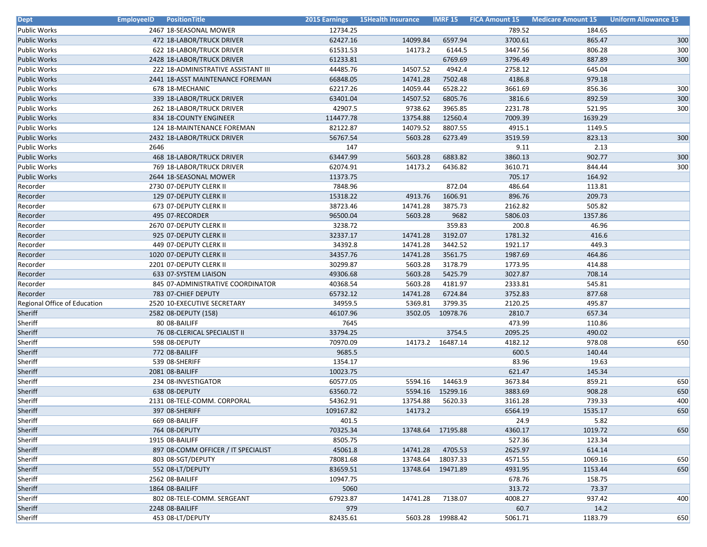| <b>Dept</b>                  | <b>EmployeeID</b><br><b>PositionTitle</b> |           | 2015 Earnings 15Health Insurance |                   |         | <b>IMRF 15 FICA Amount 15 Medicare Amount 15</b> | <b>Uniform Allowance 15</b> |
|------------------------------|-------------------------------------------|-----------|----------------------------------|-------------------|---------|--------------------------------------------------|-----------------------------|
| <b>Public Works</b>          | 2467 18-SEASONAL MOWER                    | 12734.25  |                                  |                   | 789.52  | 184.65                                           |                             |
| <b>Public Works</b>          | 472 18-LABOR/TRUCK DRIVER                 | 62427.16  | 14099.84                         | 6597.94           | 3700.61 | 865.47                                           | 300                         |
| <b>Public Works</b>          | 622 18-LABOR/TRUCK DRIVER                 | 61531.53  | 14173.2                          | 6144.5            | 3447.56 | 806.28                                           | 300                         |
| <b>Public Works</b>          | 2428 18-LABOR/TRUCK DRIVER                | 61233.81  |                                  | 6769.69           | 3796.49 | 887.89                                           | 300                         |
| <b>Public Works</b>          | 222 18-ADMINISTRATIVE ASSISTANT III       | 44485.76  | 14507.52                         | 4942.4            | 2758.12 | 645.04                                           |                             |
| <b>Public Works</b>          | 2441 18-ASST MAINTENANCE FOREMAN          | 66848.05  | 14741.28                         | 7502.48           | 4186.8  | 979.18                                           |                             |
| Public Works                 | 678 18-MECHANIC                           | 62217.26  | 14059.44                         | 6528.22           | 3661.69 | 856.36                                           | 300                         |
| <b>Public Works</b>          | 339 18-LABOR/TRUCK DRIVER                 | 63401.04  | 14507.52                         | 6805.76           | 3816.6  | 892.59                                           | 300                         |
| <b>Public Works</b>          | 262 18-LABOR/TRUCK DRIVER                 | 42907.5   | 9738.62                          | 3965.85           | 2231.78 | 521.95                                           | 300                         |
| <b>Public Works</b>          | 834 18-COUNTY ENGINEER                    | 114477.78 | 13754.88                         | 12560.4           | 7009.39 | 1639.29                                          |                             |
| <b>Public Works</b>          | 124 18-MAINTENANCE FOREMAN                | 82122.87  | 14079.52                         | 8807.55           | 4915.1  | 1149.5                                           |                             |
| <b>Public Works</b>          | 2432 18-LABOR/TRUCK DRIVER                | 56767.54  | 5603.28                          | 6273.49           | 3519.59 | 823.13                                           | 300                         |
| Public Works                 | 2646                                      | 147       |                                  |                   | 9.11    | 2.13                                             |                             |
| <b>Public Works</b>          | 468 18-LABOR/TRUCK DRIVER                 | 63447.99  | 5603.28                          | 6883.82           | 3860.13 | 902.77                                           | 300                         |
| <b>Public Works</b>          | 769 18-LABOR/TRUCK DRIVER                 | 62074.91  | 14173.2                          | 6436.82           | 3610.71 | 844.44                                           | 300                         |
| <b>Public Works</b>          | 2644 18-SEASONAL MOWER                    | 11373.75  |                                  |                   | 705.17  | 164.92                                           |                             |
| Recorder                     | 2730 07-DEPUTY CLERK II                   | 7848.96   |                                  | 872.04            | 486.64  | 113.81                                           |                             |
| Recorder                     | 129 07-DEPUTY CLERK II                    | 15318.22  | 4913.76                          | 1606.91           | 896.76  | 209.73                                           |                             |
| Recorder                     | 673 07-DEPUTY CLERK II                    | 38723.46  | 14741.28                         | 3875.73           | 2162.82 | 505.82                                           |                             |
| Recorder                     | 495 07-RECORDER                           | 96500.04  | 5603.28                          | 9682              | 5806.03 | 1357.86                                          |                             |
| Recorder                     | 2670 07-DEPUTY CLERK II                   | 3238.72   |                                  | 359.83            | 200.8   | 46.96                                            |                             |
| Recorder                     | 925 07-DEPUTY CLERK II                    | 32337.17  | 14741.28                         | 3192.07           | 1781.32 | 416.6                                            |                             |
| Recorder                     | 449 07-DEPUTY CLERK II                    | 34392.8   | 14741.28                         | 3442.52           | 1921.17 | 449.3                                            |                             |
| Recorder                     | 1020 07-DEPUTY CLERK II                   | 34357.76  | 14741.28                         | 3561.75           | 1987.69 | 464.86                                           |                             |
| Recorder                     | 2201 07-DEPUTY CLERK II                   | 30299.87  | 5603.28                          | 3178.79           | 1773.95 | 414.88                                           |                             |
| Recorder                     | 633 07-SYSTEM LIAISON                     | 49306.68  | 5603.28                          | 5425.79           | 3027.87 | 708.14                                           |                             |
| Recorder                     | 845 07-ADMINISTRATIVE COORDINATOR         | 40368.54  | 5603.28                          | 4181.97           | 2333.81 | 545.81                                           |                             |
| Recorder                     | 783 07-CHIEF DEPUTY                       | 65732.12  | 14741.28                         | 6724.84           | 3752.83 | 877.68                                           |                             |
| Regional Office of Education | 2520 10-EXECUTIVE SECRETARY               | 34959.5   | 5369.81                          | 3799.35           | 2120.25 | 495.87                                           |                             |
| Sheriff                      | 2582 08-DEPUTY (158)                      | 46107.96  | 3502.05                          | 10978.76          | 2810.7  | 657.34                                           |                             |
| Sheriff                      | 80 08-BAILIFF                             | 7645      |                                  |                   | 473.99  | 110.86                                           |                             |
| Sheriff                      | 76 08-CLERICAL SPECIALIST II              | 33794.25  |                                  | 3754.5            | 2095.25 | 490.02                                           |                             |
| Sheriff                      | 598 08-DEPUTY                             | 70970.09  | 14173.2                          | 16487.14          | 4182.12 | 978.08                                           | 650                         |
| Sheriff                      | 772 08-BAILIFF                            | 9685.5    |                                  |                   | 600.5   | 140.44                                           |                             |
| Sheriff                      | 539 08-SHERIFF                            | 1354.17   |                                  |                   | 83.96   | 19.63                                            |                             |
| Sheriff                      | 2081 08-BAILIFF                           | 10023.75  |                                  |                   | 621.47  | 145.34                                           |                             |
| Sheriff                      | 234 08-INVESTIGATOR                       | 60577.05  | 5594.16                          | 14463.9           | 3673.84 | 859.21                                           | 650                         |
| Sheriff                      | 638 08-DEPUTY                             | 63560.72  | 5594.16                          | 15299.16          | 3883.69 | 908.28                                           | 650                         |
| Sheriff                      | 2131 08-TELE-COMM. CORPORAL               | 54362.91  | 13754.88                         | 5620.33           | 3161.28 | 739.33                                           | 400                         |
| Sheriff                      | 397 08-SHERIFF                            | 109167.82 | 14173.2                          |                   | 6564.19 | 1535.17                                          | 650                         |
| Sheriff                      | 669 08-BAILIFF                            | 401.5     |                                  |                   | 24.9    | 5.82                                             |                             |
| Sheriff                      | 764 08-DEPUTY                             | 70325.34  |                                  | 13748.64 17195.88 | 4360.17 | 1019.72                                          | 650                         |
| Sheriff                      | 1915 08-BAILIFF                           | 8505.75   |                                  |                   | 527.36  | 123.34                                           |                             |
| Sheriff                      | 897 08-COMM OFFICER / IT SPECIALIST       | 45061.8   | 14741.28                         | 4705.53           | 2625.97 | 614.14                                           |                             |
| Sheriff                      | 803 08-SGT/DEPUTY                         | 78081.68  | 13748.64                         | 18037.33          | 4571.55 | 1069.16                                          | 650                         |
| Sheriff                      | 552 08-LT/DEPUTY                          | 83659.51  | 13748.64                         | 19471.89          | 4931.95 | 1153.44                                          | 650                         |
| Sheriff                      | 2562 08-BAILIFF                           | 10947.75  |                                  |                   | 678.76  | 158.75                                           |                             |
| Sheriff                      | 1864 08-BAILIFF                           | 5060      |                                  |                   | 313.72  | 73.37                                            |                             |
| Sheriff                      | 802 08-TELE-COMM. SERGEANT                | 67923.87  | 14741.28                         | 7138.07           | 4008.27 | 937.42                                           | 400                         |
| Sheriff                      | 2248 08-BAILIFF                           | 979       |                                  |                   | 60.7    | 14.2                                             |                             |
| Sheriff                      | 453 08-LT/DEPUTY                          | 82435.61  | 5603.28                          | 19988.42          | 5061.71 | 1183.79                                          | 650                         |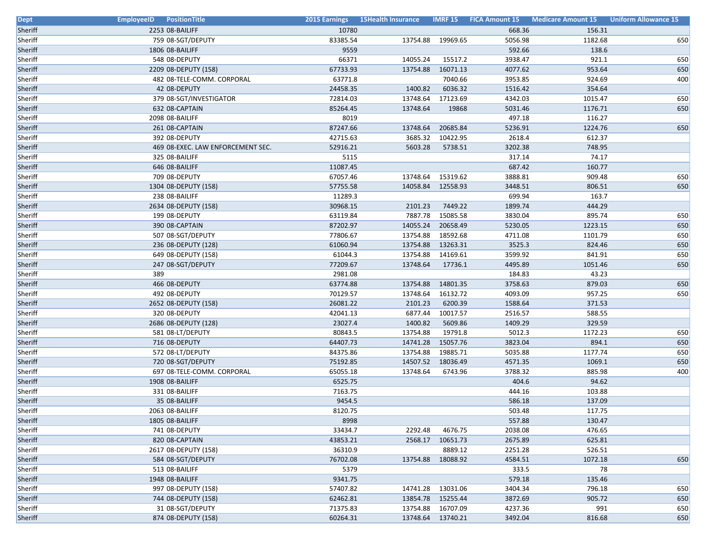| <b>Dept</b> | <b>EmployeeID</b> PositionTitle   | <b>2015 Earnings</b> | 15Health Insurance |          |         | <b>IMRF 15 FICA Amount 15 Medicare Amount 15</b> | <b>Uniform Allowance 15</b> |
|-------------|-----------------------------------|----------------------|--------------------|----------|---------|--------------------------------------------------|-----------------------------|
| Sheriff     | 2253 08-BAILIFF                   | 10780                |                    |          | 668.36  | 156.31                                           |                             |
| Sheriff     | 759 08-SGT/DEPUTY                 | 83385.54             | 13754.88           | 19969.65 | 5056.98 | 1182.68                                          | 650                         |
| Sheriff     | 1806 08-BAILIFF                   | 9559                 |                    |          | 592.66  | 138.6                                            |                             |
| Sheriff     | 548 08-DEPUTY                     | 66371                | 14055.24           | 15517.2  | 3938.47 | 921.1                                            | 650                         |
| Sheriff     | 2209 08-DEPUTY (158)              | 67733.93             | 13754.88           | 16071.13 | 4077.62 | 953.64                                           | 650                         |
| Sheriff     | 482 08-TELE-COMM. CORPORAL        | 63771.8              |                    | 7040.66  | 3953.85 | 924.69                                           | 400                         |
| Sheriff     | 42 08-DEPUTY                      | 24458.35             | 1400.82            | 6036.32  | 1516.42 | 354.64                                           |                             |
| Sheriff     | 379 08-SGT/INVESTIGATOR           | 72814.03             | 13748.64           | 17123.69 | 4342.03 | 1015.47                                          | 650                         |
| Sheriff     | 632 08-CAPTAIN                    | 85264.45             | 13748.64           | 19868    | 5031.46 | 1176.71                                          | 650                         |
| Sheriff     | 2098 08-BAILIFF                   | 8019                 |                    |          | 497.18  | 116.27                                           |                             |
| Sheriff     | 261 08-CAPTAIN                    | 87247.66             | 13748.64           | 20685.84 | 5236.91 | 1224.76                                          | 650                         |
| Sheriff     | 392 08-DEPUTY                     | 42715.63             | 3685.32            | 10422.95 | 2618.4  | 612.37                                           |                             |
| Sheriff     | 469 08-EXEC. LAW ENFORCEMENT SEC. | 52916.21             | 5603.28            | 5738.51  | 3202.38 | 748.95                                           |                             |
| Sheriff     | 325 08-BAILIFF                    | 5115                 |                    |          | 317.14  | 74.17                                            |                             |
| Sheriff     | 646 08-BAILIFF                    | 11087.45             |                    |          | 687.42  | 160.77                                           |                             |
| Sheriff     | 709 08-DEPUTY                     | 67057.46             | 13748.64           | 15319.62 | 3888.81 | 909.48                                           | 650                         |
| Sheriff     | 1304 08-DEPUTY (158)              | 57755.58             | 14058.84           | 12558.93 | 3448.51 | 806.51                                           | 650                         |
| Sheriff     | 238 08-BAILIFF                    | 11289.3              |                    |          | 699.94  | 163.7                                            |                             |
| Sheriff     | 2634 08-DEPUTY (158)              | 30968.15             | 2101.23            | 7449.22  | 1899.74 | 444.29                                           |                             |
| Sheriff     | 199 08-DEPUTY                     | 63119.84             | 7887.78            | 15085.58 | 3830.04 | 895.74                                           | 650                         |
| Sheriff     | 390 08-CAPTAIN                    | 87202.97             | 14055.24           | 20658.49 | 5230.05 | 1223.15                                          | 650                         |
| Sheriff     | 507 08-SGT/DEPUTY                 | 77806.67             | 13754.88           | 18592.68 | 4711.08 | 1101.79                                          | 650                         |
| Sheriff     | 236 08-DEPUTY (128)               | 61060.94             | 13754.88           | 13263.31 | 3525.3  | 824.46                                           | 650                         |
| Sheriff     | 649 08-DEPUTY (158)               | 61044.3              | 13754.88           | 14169.61 | 3599.92 | 841.91                                           | 650                         |
| Sheriff     | 247 08-SGT/DEPUTY                 | 77209.67             | 13748.64           | 17736.1  | 4495.89 | 1051.46                                          | 650                         |
| Sheriff     | 389                               | 2981.08              |                    |          | 184.83  | 43.23                                            |                             |
| Sheriff     | 466 08-DEPUTY                     | 63774.88             | 13754.88           | 14801.35 | 3758.63 | 879.03                                           | 650                         |
| Sheriff     | 492 08-DEPUTY                     | 70129.57             | 13748.64           | 16132.72 | 4093.09 | 957.25                                           | 650                         |
| Sheriff     | 2652 08-DEPUTY (158)              | 26081.22             | 2101.23            | 6200.39  | 1588.64 | 371.53                                           |                             |
| Sheriff     | 320 08-DEPUTY                     | 42041.13             | 6877.44            | 10017.57 | 2516.57 | 588.55                                           |                             |
| Sheriff     | 2686 08-DEPUTY (128)              | 23027.4              | 1400.82            | 5609.86  | 1409.29 | 329.59                                           |                             |
| Sheriff     | 581 08-LT/DEPUTY                  | 80843.5              | 13754.88           | 19791.8  | 5012.3  | 1172.23                                          | 650                         |
| Sheriff     | 716 08-DEPUTY                     | 64407.73             | 14741.28           | 15057.76 | 3823.04 | 894.1                                            | 650                         |
| Sheriff     | 572 08-LT/DEPUTY                  | 84375.86             | 13754.88           | 19885.71 | 5035.88 | 1177.74                                          | 650                         |
| Sheriff     | 720 08-SGT/DEPUTY                 | 75192.85             | 14507.52           | 18036.49 | 4571.35 | 1069.1                                           | 650                         |
| Sheriff     | 697 08-TELE-COMM. CORPORAL        | 65055.18             | 13748.64           | 6743.96  | 3788.32 | 885.98                                           | 400                         |
| Sheriff     | 1908 08-BAILIFF                   | 6525.75              |                    |          | 404.6   | 94.62                                            |                             |
| Sheriff     | 331 08-BAILIFF                    | 7163.75              |                    |          | 444.16  | 103.88                                           |                             |
| Sheriff     | 35 08-BAILIFF                     | 9454.5               |                    |          | 586.18  | 137.09                                           |                             |
| Sheriff     | 2063 08-BAILIFF                   | 8120.75              |                    |          | 503.48  | 117.75                                           |                             |
| Sheriff     | 1805 08-BAILIFF                   | 8998                 |                    |          | 557.88  | 130.47                                           |                             |
| Sheriff     | 741 08-DEPUTY                     | 33434.7              | 2292.48            | 4676.75  | 2038.08 | 476.65                                           |                             |
| Sheriff     | 820 08-CAPTAIN                    | 43853.21             | 2568.17            | 10651.73 | 2675.89 | 625.81                                           |                             |
| Sheriff     | 2617 08-DEPUTY (158)              | 36310.9              |                    | 8889.12  | 2251.28 | 526.51                                           |                             |
| Sheriff     | 584 08-SGT/DEPUTY                 | 76702.08             | 13754.88           | 18088.92 | 4584.51 | 1072.18                                          | 650                         |
| Sheriff     | 513 08-BAILIFF                    | 5379                 |                    |          | 333.5   | 78                                               |                             |
| Sheriff     | 1948 08-BAILIFF                   | 9341.75              |                    |          | 579.18  | 135.46                                           |                             |
| Sheriff     | 997 08-DEPUTY (158)               | 57407.82             | 14741.28           | 13031.06 | 3404.34 | 796.18                                           | 650                         |
| Sheriff     | 744 08-DEPUTY (158)               | 62462.81             | 13854.78           | 15255.44 | 3872.69 | 905.72                                           | 650                         |
| Sheriff     | 31 08-SGT/DEPUTY                  | 71375.83             | 13754.88           | 16707.09 | 4237.36 | 991                                              | 650                         |
| Sheriff     | 874 08-DEPUTY (158)               | 60264.31             | 13748.64           | 13740.21 | 3492.04 | 816.68                                           | 650                         |
|             |                                   |                      |                    |          |         |                                                  |                             |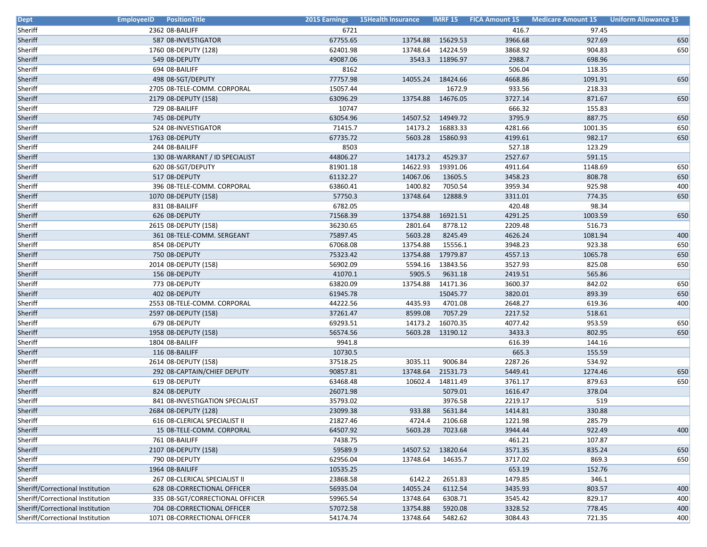| <b>Dept</b>                      | <b>EmployeeID</b> PositionTitle |          | <b>2015 Earnings 15Health Insurance</b> |                 |         | <b>IMRF 15 FICA Amount 15 Medicare Amount 15</b> | <b>Uniform Allowance 15</b> |
|----------------------------------|---------------------------------|----------|-----------------------------------------|-----------------|---------|--------------------------------------------------|-----------------------------|
| Sheriff                          | 2362 08-BAILIFF                 | 6721     |                                         |                 | 416.7   | 97.45                                            |                             |
| Sheriff                          | 587 08-INVESTIGATOR             | 67755.65 | 13754.88                                | 15629.53        | 3966.68 | 927.69                                           | 650                         |
| Sheriff                          | 1760 08-DEPUTY (128)            | 62401.98 | 13748.64                                | 14224.59        | 3868.92 | 904.83                                           | 650                         |
| Sheriff                          | 549 08-DEPUTY                   | 49087.06 |                                         | 3543.3 11896.97 | 2988.7  | 698.96                                           |                             |
| Sheriff                          | 694 08-BAILIFF                  | 8162     |                                         |                 | 506.04  | 118.35                                           |                             |
| Sheriff                          | 498 08-SGT/DEPUTY               | 77757.98 | 14055.24                                | 18424.66        | 4668.86 | 1091.91                                          | 650                         |
| Sheriff                          | 2705 08-TELE-COMM. CORPORAL     | 15057.44 |                                         | 1672.9          | 933.56  | 218.33                                           |                             |
| Sheriff                          | 2179 08-DEPUTY (158)            | 63096.29 | 13754.88                                | 14676.05        | 3727.14 | 871.67                                           | 650                         |
| Sheriff                          | 729 08-BAILIFF                  | 10747    |                                         |                 | 666.32  | 155.83                                           |                             |
| Sheriff                          | 745 08-DEPUTY                   | 63054.96 | 14507.52                                | 14949.72        | 3795.9  | 887.75                                           | 650                         |
| Sheriff                          | 524 08-INVESTIGATOR             | 71415.7  | 14173.2                                 | 16883.33        | 4281.66 | 1001.35                                          | 650                         |
| Sheriff                          | 1763 08-DEPUTY                  | 67735.72 | 5603.28                                 | 15860.93        | 4199.61 | 982.17                                           | 650                         |
| Sheriff                          | 244 08-BAILIFF                  | 8503     |                                         |                 | 527.18  | 123.29                                           |                             |
| Sheriff                          | 130 08-WARRANT / ID SPECIALIST  | 44806.27 | 14173.2                                 | 4529.37         | 2527.67 | 591.15                                           |                             |
| Sheriff                          | 620 08-SGT/DEPUTY               | 81901.18 | 14622.93                                | 19391.06        | 4911.64 | 1148.69                                          | 650                         |
| Sheriff                          | 517 08-DEPUTY                   | 61132.27 | 14067.06                                | 13605.5         | 3458.23 | 808.78                                           | 650                         |
| Sheriff                          | 396 08-TELE-COMM. CORPORAL      | 63860.41 | 1400.82                                 | 7050.54         | 3959.34 | 925.98                                           | 400                         |
| Sheriff                          | 1070 08-DEPUTY (158)            | 57750.3  | 13748.64                                | 12888.9         | 3311.01 | 774.35                                           | 650                         |
| Sheriff                          | 831 08-BAILIFF                  | 6782.05  |                                         |                 | 420.48  | 98.34                                            |                             |
| Sheriff                          | 626 08-DEPUTY                   | 71568.39 | 13754.88                                | 16921.51        | 4291.25 | 1003.59                                          | 650                         |
| Sheriff                          | 2615 08-DEPUTY (158)            | 36230.65 | 2801.64                                 | 8778.12         | 2209.48 | 516.73                                           |                             |
| Sheriff                          | 361 08-TELE-COMM. SERGEANT      | 75897.45 | 5603.28                                 | 8245.49         | 4626.24 | 1081.94                                          | 400                         |
| Sheriff                          | 854 08-DEPUTY                   | 67068.08 | 13754.88                                | 15556.1         | 3948.23 | 923.38                                           | 650                         |
| Sheriff                          | 750 08-DEPUTY                   | 75323.42 | 13754.88                                | 17979.87        | 4557.13 | 1065.78                                          | 650                         |
| Sheriff                          | 2014 08-DEPUTY (158)            | 56902.09 | 5594.16                                 | 13843.56        | 3527.93 | 825.08                                           | 650                         |
| Sheriff                          | 156 08-DEPUTY                   | 41070.1  | 5905.5                                  | 9631.18         | 2419.51 | 565.86                                           |                             |
| Sheriff                          | 773 08-DEPUTY                   | 63820.09 | 13754.88                                | 14171.36        | 3600.37 | 842.02                                           | 650                         |
| Sheriff                          | 402 08-DEPUTY                   | 61945.78 |                                         | 15045.77        | 3820.01 | 893.39                                           | 650                         |
| Sheriff                          | 2553 08-TELE-COMM. CORPORAL     | 44222.56 | 4435.93                                 | 4701.08         | 2648.27 | 619.36                                           | 400                         |
| Sheriff                          | 2597 08-DEPUTY (158)            | 37261.47 | 8599.08                                 | 7057.29         | 2217.52 | 518.61                                           |                             |
| Sheriff                          | 679 08-DEPUTY                   | 69293.51 | 14173.2                                 | 16070.35        | 4077.42 | 953.59                                           | 650                         |
| Sheriff                          | 1958 08-DEPUTY (158)            | 56574.56 | 5603.28                                 | 13190.12        | 3433.3  | 802.95                                           | 650                         |
| Sheriff                          | 1804 08-BAILIFF                 | 9941.8   |                                         |                 | 616.39  | 144.16                                           |                             |
| Sheriff                          | 116 08-BAILIFF                  | 10730.5  |                                         |                 | 665.3   | 155.59                                           |                             |
| Sheriff                          | 2614 08-DEPUTY (158)            | 37518.25 | 3035.11                                 | 9006.84         | 2287.26 | 534.92                                           |                             |
| Sheriff                          | 292 08-CAPTAIN/CHIEF DEPUTY     | 90857.81 | 13748.64                                | 21531.73        | 5449.41 | 1274.46                                          | 650                         |
| Sheriff                          | 619 08-DEPUTY                   | 63468.48 | 10602.4                                 | 14811.49        | 3761.17 | 879.63                                           | 650                         |
| Sheriff                          | 824 08-DEPUTY                   | 26071.98 |                                         | 5079.01         | 1616.47 | 378.04                                           |                             |
| Sheriff                          | 841 08-INVESTIGATION SPECIALIST | 35793.02 |                                         | 3976.58         | 2219.17 | 519                                              |                             |
| Sheriff                          | 2684 08-DEPUTY (128)            | 23099.38 | 933.88                                  | 5631.84         | 1414.81 | 330.88                                           |                             |
| Sheriff                          | 616 08-CLERICAL SPECIALIST II   | 21827.46 | 4724.4                                  | 2106.68         | 1221.98 | 285.79                                           |                             |
| Sheriff                          | 15 08-TELE-COMM. CORPORAL       | 64507.92 | 5603.28                                 | 7023.68         | 3944.44 | 922.49                                           | 400                         |
| Sheriff                          | 761 08-BAILIFF                  | 7438.75  |                                         |                 | 461.21  | 107.87                                           |                             |
| Sheriff                          | 2107 08-DEPUTY (158)            | 59589.9  | 14507.52                                | 13820.64        | 3571.35 | 835.24                                           | 650                         |
| Sheriff                          | 790 08-DEPUTY                   | 62956.04 | 13748.64                                | 14635.7         | 3717.02 | 869.3                                            | 650                         |
| Sheriff                          | 1964 08-BAILIFF                 | 10535.25 |                                         |                 | 653.19  | 152.76                                           |                             |
| Sheriff                          | 267 08-CLERICAL SPECIALIST II   | 23868.58 | 6142.2                                  | 2651.83         | 1479.85 | 346.1                                            |                             |
| Sheriff/Correctional Institution | 628 08-CORRECTIONAL OFFICER     | 56935.04 | 14055.24                                | 6112.54         | 3435.93 | 803.57                                           | 400                         |
| Sheriff/Correctional Institution | 335 08-SGT/CORRECTIONAL OFFICER | 59965.54 | 13748.64                                | 6308.71         | 3545.42 | 829.17                                           | 400                         |
| Sheriff/Correctional Institution | 704 08-CORRECTIONAL OFFICER     | 57072.58 | 13754.88                                | 5920.08         | 3328.52 | 778.45                                           | 400                         |
| Sheriff/Correctional Institution | 1071 08-CORRECTIONAL OFFICER    | 54174.74 | 13748.64                                | 5482.62         | 3084.43 | 721.35                                           | 400                         |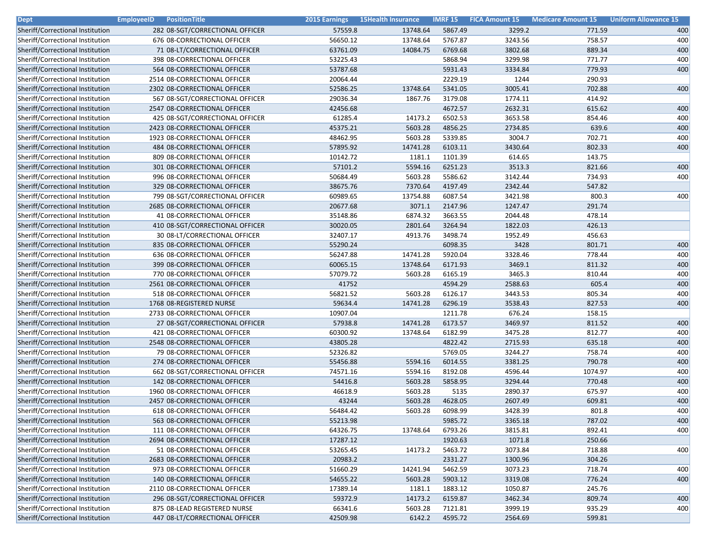| <b>Dept</b>                      | <b>EmployeeID</b><br><b>PositionTitle</b> | 2015 Earnings | <b>15Health Insurance</b> | <b>IMRF 15</b> | <b>FICA Amount 15</b> | <b>Medicare Amount 15</b> | <b>Uniform Allowance 15</b> |
|----------------------------------|-------------------------------------------|---------------|---------------------------|----------------|-----------------------|---------------------------|-----------------------------|
| Sheriff/Correctional Institution | 282 08-SGT/CORRECTIONAL OFFICER           | 57559.8       | 13748.64                  | 5867.49        | 3299.2                | 771.59                    | 400                         |
| Sheriff/Correctional Institution | 676 08-CORRECTIONAL OFFICER               | 56650.12      | 13748.64                  | 5767.87        | 3243.56               | 758.57                    | 400                         |
| Sheriff/Correctional Institution | 71 08-LT/CORRECTIONAL OFFICER             | 63761.09      | 14084.75                  | 6769.68        | 3802.68               | 889.34                    | 400                         |
| Sheriff/Correctional Institution | 398 08-CORRECTIONAL OFFICER               | 53225.43      |                           | 5868.94        | 3299.98               | 771.77                    | 400                         |
| Sheriff/Correctional Institution | 564 08-CORRECTIONAL OFFICER               | 53787.68      |                           | 5931.43        | 3334.84               | 779.93                    | 400                         |
| Sheriff/Correctional Institution | 2514 08-CORRECTIONAL OFFICER              | 20064.44      |                           | 2229.19        | 1244                  | 290.93                    |                             |
| Sheriff/Correctional Institution | 2302 08-CORRECTIONAL OFFICER              | 52586.25      | 13748.64                  | 5341.05        | 3005.41               | 702.88                    | 400                         |
| Sheriff/Correctional Institution | 567 08-SGT/CORRECTIONAL OFFICER           | 29036.34      | 1867.76                   | 3179.08        | 1774.11               | 414.92                    |                             |
| Sheriff/Correctional Institution | 2547 08-CORRECTIONAL OFFICER              | 42456.68      |                           | 4672.57        | 2632.31               | 615.62                    | 400                         |
| Sheriff/Correctional Institution | 425 08-SGT/CORRECTIONAL OFFICER           | 61285.4       | 14173.2                   | 6502.53        | 3653.58               | 854.46                    | 400                         |
| Sheriff/Correctional Institution | 2423 08-CORRECTIONAL OFFICER              | 45375.21      | 5603.28                   | 4856.25        | 2734.85               | 639.6                     | 400                         |
| Sheriff/Correctional Institution | 1923 08-CORRECTIONAL OFFICER              | 48462.95      | 5603.28                   | 5339.85        | 3004.7                | 702.71                    | 400                         |
| Sheriff/Correctional Institution | 484 08-CORRECTIONAL OFFICER               | 57895.92      | 14741.28                  | 6103.11        | 3430.64               | 802.33                    | 400                         |
| Sheriff/Correctional Institution | 809 08-CORRECTIONAL OFFICER               | 10142.72      | 1181.1                    | 1101.39        | 614.65                | 143.75                    |                             |
| Sheriff/Correctional Institution | 301 08-CORRECTIONAL OFFICER               | 57101.2       | 5594.16                   | 6251.23        | 3513.3                | 821.66                    | 400                         |
| Sheriff/Correctional Institution | 996 08-CORRECTIONAL OFFICER               | 50684.49      | 5603.28                   | 5586.62        | 3142.44               | 734.93                    | 400                         |
| Sheriff/Correctional Institution | 329 08-CORRECTIONAL OFFICER               | 38675.76      | 7370.64                   | 4197.49        | 2342.44               | 547.82                    |                             |
| Sheriff/Correctional Institution | 799 08-SGT/CORRECTIONAL OFFICER           | 60989.65      | 13754.88                  | 6087.54        | 3421.98               | 800.3                     | 400                         |
| Sheriff/Correctional Institution | 2685 08-CORRECTIONAL OFFICER              | 20677.68      | 3071.1                    | 2147.96        | 1247.47               | 291.74                    |                             |
| Sheriff/Correctional Institution | 41 08-CORRECTIONAL OFFICER                | 35148.86      | 6874.32                   | 3663.55        | 2044.48               | 478.14                    |                             |
| Sheriff/Correctional Institution | 410 08-SGT/CORRECTIONAL OFFICER           | 30020.05      | 2801.64                   | 3264.94        | 1822.03               | 426.13                    |                             |
| Sheriff/Correctional Institution | 30 08-LT/CORRECTIONAL OFFICER             | 32407.17      | 4913.76                   | 3498.74        | 1952.49               | 456.63                    |                             |
| Sheriff/Correctional Institution | 835 08-CORRECTIONAL OFFICER               | 55290.24      |                           | 6098.35        | 3428                  | 801.71                    | 400                         |
| Sheriff/Correctional Institution | 636 08-CORRECTIONAL OFFICER               | 56247.88      | 14741.28                  | 5920.04        | 3328.46               | 778.44                    | 400                         |
| Sheriff/Correctional Institution | 399 08-CORRECTIONAL OFFICER               | 60065.15      | 13748.64                  | 6171.93        | 3469.1                | 811.32                    | 400                         |
| Sheriff/Correctional Institution | 770 08-CORRECTIONAL OFFICER               | 57079.72      | 5603.28                   | 6165.19        | 3465.3                | 810.44                    | 400                         |
| Sheriff/Correctional Institution | 2561 08-CORRECTIONAL OFFICER              | 41752         |                           | 4594.29        | 2588.63               | 605.4                     | 400                         |
| Sheriff/Correctional Institution | 518 08-CORRECTIONAL OFFICER               | 56821.52      | 5603.28                   | 6126.17        | 3443.53               | 805.34                    | 400                         |
| Sheriff/Correctional Institution | 1768 08-REGISTERED NURSE                  | 59634.4       | 14741.28                  | 6296.19        | 3538.43               | 827.53                    | 400                         |
| Sheriff/Correctional Institution | 2733 08-CORRECTIONAL OFFICER              | 10907.04      |                           | 1211.78        | 676.24                | 158.15                    |                             |
| Sheriff/Correctional Institution | 27 08-SGT/CORRECTIONAL OFFICER            | 57938.8       | 14741.28                  | 6173.57        | 3469.97               | 811.52                    | 400                         |
| Sheriff/Correctional Institution | 421 08-CORRECTIONAL OFFICER               | 60300.92      | 13748.64                  | 6182.99        | 3475.28               | 812.77                    | 400                         |
| Sheriff/Correctional Institution | 2548 08-CORRECTIONAL OFFICER              | 43805.28      |                           | 4822.42        | 2715.93               | 635.18                    | 400                         |
| Sheriff/Correctional Institution | 79 08-CORRECTIONAL OFFICER                | 52326.82      |                           | 5769.05        | 3244.27               | 758.74                    | 400                         |
| Sheriff/Correctional Institution | 274 08-CORRECTIONAL OFFICER               | 55456.88      | 5594.16                   | 6014.55        | 3381.25               | 790.78                    | 400                         |
| Sheriff/Correctional Institution | 662 08-SGT/CORRECTIONAL OFFICER           | 74571.16      | 5594.16                   | 8192.08        | 4596.44               | 1074.97                   | 400                         |
| Sheriff/Correctional Institution | 142 08-CORRECTIONAL OFFICER               | 54416.8       | 5603.28                   | 5858.95        | 3294.44               | 770.48                    | 400                         |
| Sheriff/Correctional Institution | 1960 08-CORRECTIONAL OFFICER              | 46618.9       | 5603.28                   | 5135           | 2890.37               | 675.97                    | 400                         |
| Sheriff/Correctional Institution | 2457 08-CORRECTIONAL OFFICER              | 43244         | 5603.28                   | 4628.05        | 2607.49               | 609.81                    | 400                         |
| Sheriff/Correctional Institution | 618 08-CORRECTIONAL OFFICER               | 56484.42      | 5603.28                   | 6098.99        | 3428.39               | 801.8                     | 400                         |
| Sheriff/Correctional Institution | 563 08-CORRECTIONAL OFFICER               | 55213.98      |                           | 5985.72        | 3365.18               | 787.02                    | 400                         |
| Sheriff/Correctional Institution | 111 08-CORRECTIONAL OFFICER               | 64326.75      | 13748.64                  | 6793.26        | 3815.81               | 892.41                    | 400                         |
| Sheriff/Correctional Institution | 2694 08-CORRECTIONAL OFFICER              | 17287.12      |                           | 1920.63        | 1071.8                | 250.66                    |                             |
| Sheriff/Correctional Institution | 51 08-CORRECTIONAL OFFICER                | 53265.45      | 14173.2                   | 5463.72        | 3073.84               | 718.88                    | 400                         |
| Sheriff/Correctional Institution | 2683 08-CORRECTIONAL OFFICER              | 20983.2       |                           | 2331.27        | 1300.96               | 304.26                    |                             |
| Sheriff/Correctional Institution | 973 08-CORRECTIONAL OFFICER               | 51660.29      | 14241.94                  | 5462.59        | 3073.23               | 718.74                    | 400                         |
| Sheriff/Correctional Institution | 140 08-CORRECTIONAL OFFICER               | 54655.22      | 5603.28                   | 5903.12        | 3319.08               | 776.24                    | 400                         |
| Sheriff/Correctional Institution | 2110 08-CORRECTIONAL OFFICER              | 17389.14      | 1181.1                    | 1883.12        | 1050.87               | 245.76                    |                             |
| Sheriff/Correctional Institution | 296 08-SGT/CORRECTIONAL OFFICER           | 59372.9       | 14173.2                   | 6159.87        | 3462.34               | 809.74                    | 400                         |
| Sheriff/Correctional Institution | 875 08-LEAD REGISTERED NURSE              | 66341.6       | 5603.28                   | 7121.81        | 3999.19               | 935.29                    | 400                         |
| Sheriff/Correctional Institution | 447 08-LT/CORRECTIONAL OFFICER            | 42509.98      | 6142.2                    | 4595.72        | 2564.69               | 599.81                    |                             |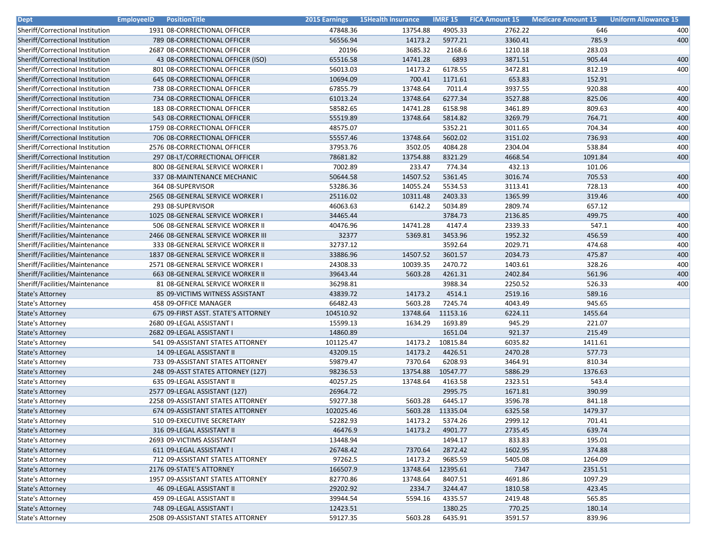| <b>Dept</b>                      | <b>EmployeeID</b><br><b>PositionTitle</b> | <b>2015 Earnings</b> | <b>15Health Insurance</b> |          | <b>IMRF 15 FICA Amount 15</b> | <b>Medicare Amount 15</b> | <b>Uniform Allowance 15</b> |
|----------------------------------|-------------------------------------------|----------------------|---------------------------|----------|-------------------------------|---------------------------|-----------------------------|
| Sheriff/Correctional Institution | 1931 08-CORRECTIONAL OFFICER              | 47848.36             | 13754.88                  | 4905.33  | 2762.22                       | 646                       | 400                         |
| Sheriff/Correctional Institution | 789 08-CORRECTIONAL OFFICER               | 56556.94             | 14173.2                   | 5977.21  | 3360.41                       | 785.9                     | 400                         |
| Sheriff/Correctional Institution | 2687 08-CORRECTIONAL OFFICER              | 20196                | 3685.32                   | 2168.6   | 1210.18                       | 283.03                    |                             |
| Sheriff/Correctional Institution | 43 08-CORRECTIONAL OFFICER (ISO)          | 65516.58             | 14741.28                  | 6893     | 3871.51                       | 905.44                    | 400                         |
| Sheriff/Correctional Institution | 801 08-CORRECTIONAL OFFICER               | 56013.03             | 14173.2                   | 6178.55  | 3472.81                       | 812.19                    | 400                         |
| Sheriff/Correctional Institution | 645 08-CORRECTIONAL OFFICER               | 10694.09             | 700.41                    | 1171.61  | 653.83                        | 152.91                    |                             |
| Sheriff/Correctional Institution | 738 08-CORRECTIONAL OFFICER               | 67855.79             | 13748.64                  | 7011.4   | 3937.55                       | 920.88                    | 400                         |
| Sheriff/Correctional Institution | 734 08-CORRECTIONAL OFFICER               | 61013.24             | 13748.64                  | 6277.34  | 3527.88                       | 825.06                    | 400                         |
| Sheriff/Correctional Institution | 183 08-CORRECTIONAL OFFICER               | 58582.65             | 14741.28                  | 6158.98  | 3461.89                       | 809.63                    | 400                         |
| Sheriff/Correctional Institution | 543 08-CORRECTIONAL OFFICER               | 55519.89             | 13748.64                  | 5814.82  | 3269.79                       | 764.71                    | 400                         |
| Sheriff/Correctional Institution | 1759 08-CORRECTIONAL OFFICER              | 48575.07             |                           | 5352.21  | 3011.65                       | 704.34                    | 400                         |
| Sheriff/Correctional Institution | 706 08-CORRECTIONAL OFFICER               | 55557.46             | 13748.64                  | 5602.02  | 3151.02                       | 736.93                    | 400                         |
| Sheriff/Correctional Institution | 2576 08-CORRECTIONAL OFFICER              | 37953.76             | 3502.05                   | 4084.28  | 2304.04                       | 538.84                    | 400                         |
| Sheriff/Correctional Institution | 297 08-LT/CORRECTIONAL OFFICER            | 78681.82             | 13754.88                  | 8321.29  | 4668.54                       | 1091.84                   | 400                         |
| Sheriff/Facilities/Maintenance   | 800 08-GENERAL SERVICE WORKER I           | 7002.89              | 233.47                    | 774.34   | 432.13                        | 101.06                    |                             |
| Sheriff/Facilities/Maintenance   | 337 08-MAINTENANCE MECHANIC               | 50644.58             | 14507.52                  | 5361.45  | 3016.74                       | 705.53                    | 400                         |
| Sheriff/Facilities/Maintenance   | 364 08-SUPERVISOR                         | 53286.36             | 14055.24                  | 5534.53  | 3113.41                       | 728.13                    | 400                         |
| Sheriff/Facilities/Maintenance   | 2565 08-GENERAL SERVICE WORKER I          | 25116.02             | 10311.48                  | 2403.33  | 1365.99                       | 319.46                    | 400                         |
| Sheriff/Facilities/Maintenance   | 293 08-SUPERVISOR                         | 46063.63             | 6142.2                    | 5034.89  | 2809.74                       | 657.12                    |                             |
| Sheriff/Facilities/Maintenance   | 1025 08-GENERAL SERVICE WORKER I          | 34465.44             |                           | 3784.73  | 2136.85                       | 499.75                    | 400                         |
| Sheriff/Facilities/Maintenance   | 506 08-GENERAL SERVICE WORKER II          | 40476.96             | 14741.28                  | 4147.4   | 2339.33                       | 547.1                     | 400                         |
| Sheriff/Facilities/Maintenance   | 2466 08-GENERAL SERVICE WORKER III        | 32377                | 5369.81                   | 3453.96  | 1952.32                       | 456.59                    | 400                         |
| Sheriff/Facilities/Maintenance   | 333 08-GENERAL SERVICE WORKER II          | 32737.12             |                           | 3592.64  | 2029.71                       | 474.68                    | 400                         |
| Sheriff/Facilities/Maintenance   | 1837 08-GENERAL SERVICE WORKER II         | 33886.96             | 14507.52                  | 3601.57  | 2034.73                       | 475.87                    | 400                         |
| Sheriff/Facilities/Maintenance   | 2571 08-GENERAL SERVICE WORKER I          | 24308.33             | 10039.35                  | 2470.72  | 1403.61                       | 328.26                    | 400                         |
| Sheriff/Facilities/Maintenance   | 663 08-GENERAL SERVICE WORKER II          | 39643.44             | 5603.28                   | 4261.31  | 2402.84                       | 561.96                    | 400                         |
| Sheriff/Facilities/Maintenance   | 81 08-GENERAL SERVICE WORKER II           | 36298.81             |                           | 3988.34  | 2250.52                       | 526.33                    | 400                         |
| <b>State's Attorney</b>          | 85 09-VICTIMS WITNESS ASSISTANT           | 43839.72             | 14173.2                   | 4514.1   | 2519.16                       | 589.16                    |                             |
| <b>State's Attorney</b>          | 458 09-OFFICE MANAGER                     | 66482.43             | 5603.28                   | 7245.74  | 4043.49                       | 945.65                    |                             |
| <b>State's Attorney</b>          | 675 09-FIRST ASST. STATE'S ATTORNEY       | 104510.92            | 13748.64                  | 11153.16 | 6224.11                       | 1455.64                   |                             |
| State's Attorney                 | 2680 09-LEGAL ASSISTANT I                 | 15599.13             | 1634.29                   | 1693.89  | 945.29                        | 221.07                    |                             |
| <b>State's Attorney</b>          | 2682 09-LEGAL ASSISTANT I                 | 14860.89             |                           | 1651.04  | 921.37                        | 215.49                    |                             |
| State's Attorney                 | 541 09-ASSISTANT STATES ATTORNEY          | 101125.47            | 14173.2                   | 10815.84 | 6035.82                       | 1411.61                   |                             |
| <b>State's Attorney</b>          | 14 09-LEGAL ASSISTANT II                  | 43209.15             | 14173.2                   | 4426.51  | 2470.28                       | 577.73                    |                             |
| <b>State's Attorney</b>          | 733 09-ASSISTANT STATES ATTORNEY          | 59879.47             | 7370.64                   | 6208.93  | 3464.91                       | 810.34                    |                             |
| <b>State's Attorney</b>          | 248 09-ASST STATES ATTORNEY (127)         | 98236.53             | 13754.88                  | 10547.77 | 5886.29                       | 1376.63                   |                             |
| State's Attorney                 | 635 09-LEGAL ASSISTANT II                 | 40257.25             | 13748.64                  | 4163.58  | 2323.51                       | 543.4                     |                             |
| <b>State's Attorney</b>          | 2577 09-LEGAL ASSISTANT (127)             | 26964.72             |                           | 2995.75  | 1671.81                       | 390.99                    |                             |
| State's Attorney                 | 2258 09-ASSISTANT STATES ATTORNEY         | 59277.38             | 5603.28                   | 6445.17  | 3596.78                       | 841.18                    |                             |
| <b>State's Attorney</b>          | 674 09-ASSISTANT STATES ATTORNEY          | 102025.46            | 5603.28                   | 11335.04 | 6325.58                       | 1479.37                   |                             |
| <b>State's Attorney</b>          | 510 09-EXECUTIVE SECRETARY                | 52282.93             | 14173.2                   | 5374.26  | 2999.12                       | 701.41                    |                             |
| State's Attorney                 | 316 09-LEGAL ASSISTANT II                 | 46476.9              | 14173.2                   | 4901.77  | 2735.45                       | 639.74                    |                             |
| State's Attorney                 | 2693 09-VICTIMS ASSISTANT                 | 13448.94             |                           | 1494.17  | 833.83                        | 195.01                    |                             |
| State's Attorney                 | 611 09-LEGAL ASSISTANT I                  | 26748.42             | 7370.64                   | 2872.42  | 1602.95                       | 374.88                    |                             |
| State's Attorney                 | 712 09-ASSISTANT STATES ATTORNEY          | 97262.5              | 14173.2                   | 9685.59  | 5405.08                       | 1264.09                   |                             |
| <b>State's Attorney</b>          | 2176 09-STATE'S ATTORNEY                  | 166507.9             | 13748.64                  | 12395.61 | 7347                          | 2351.51                   |                             |
| State's Attorney                 | 1957 09-ASSISTANT STATES ATTORNEY         | 82770.86             | 13748.64                  | 8407.51  | 4691.86                       | 1097.29                   |                             |
| State's Attorney                 | 46 09-LEGAL ASSISTANT II                  | 29202.92             | 2334.7                    | 3244.47  | 1810.58                       | 423.45                    |                             |
| <b>State's Attorney</b>          | 459 09-LEGAL ASSISTANT II                 | 39944.54             | 5594.16                   | 4335.57  | 2419.48                       | 565.85                    |                             |
| State's Attorney                 | 748 09-LEGAL ASSISTANT I                  | 12423.51             |                           | 1380.25  | 770.25                        | 180.14                    |                             |
| State's Attorney                 | 2508 09-ASSISTANT STATES ATTORNEY         | 59127.35             | 5603.28                   | 6435.91  | 3591.57                       | 839.96                    |                             |
|                                  |                                           |                      |                           |          |                               |                           |                             |